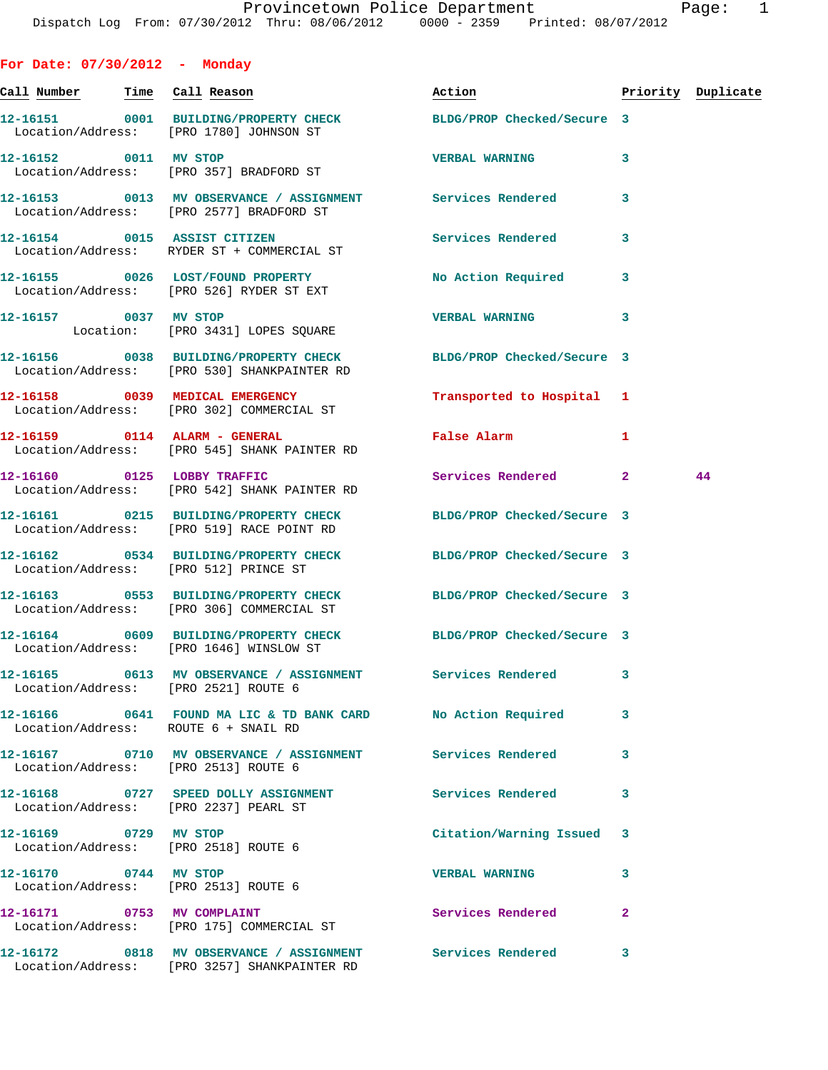**For Date: 07/30/2012 - Monday Call Number Time Call Reason Action Priority Duplicate 12-16151 0001 BUILDING/PROPERTY CHECK BLDG/PROP Checked/Secure 3**  Location/Address: [PRO 1780] JOHNSON ST **12-16152 0011 MV STOP VERBAL WARNING 3**  Location/Address: [PRO 357] BRADFORD ST **12-16153 0013 MV OBSERVANCE / ASSIGNMENT Services Rendered 3**  Location/Address: [PRO 2577] BRADFORD ST **12-16154 0015 ASSIST CITIZEN Services Rendered 3**  Location/Address: RYDER ST + COMMERCIAL ST **12-16155 0026 LOST/FOUND PROPERTY No Action Required 3**  Location/Address: [PRO 526] RYDER ST EXT **12-16157 0037 MV STOP VERBAL WARNING 3**  Location: [PRO 3431] LOPES SOUARE **12-16156 0038 BUILDING/PROPERTY CHECK BLDG/PROP Checked/Secure 3**  Location/Address: [PRO 530] SHANKPAINTER RD **12-16158 0039 MEDICAL EMERGENCY Transported to Hospital 1**  Location/Address: [PRO 302] COMMERCIAL ST **12-16159 0114 ALARM - GENERAL False Alarm 1**  Location/Address: [PRO 545] SHANK PAINTER RD **12-16160 0125 LOBBY TRAFFIC Services Rendered 2 44**  Location/Address: [PRO 542] SHANK PAINTER RD **12-16161 0215 BUILDING/PROPERTY CHECK BLDG/PROP Checked/Secure 3**  Location/Address: [PRO 519] RACE POINT RD **12-16162 0534 BUILDING/PROPERTY CHECK BLDG/PROP Checked/Secure 3**  Location/Address: [PRO 512] PRINCE ST **12-16163 0553 BUILDING/PROPERTY CHECK BLDG/PROP Checked/Secure 3**  Location/Address: [PRO 306] COMMERCIAL ST **12-16164 0609 BUILDING/PROPERTY CHECK BLDG/PROP Checked/Secure 3**  Location/Address: [PRO 1646] WINSLOW ST **12-16165 0613 MV OBSERVANCE / ASSIGNMENT Services Rendered 3**  Location/Address: [PRO 2521] ROUTE 6 **12-16166 0641 FOUND MA LIC & TD BANK CARD No Action Required 3**  Location/Address: ROUTE 6 + SNAIL RD **12-16167 0710 MV OBSERVANCE / ASSIGNMENT Services Rendered 3**  Location/Address: [PRO 2513] ROUTE 6 **12-16168 0727 SPEED DOLLY ASSIGNMENT Services Rendered 3**  Location/Address: [PRO 2237] PEARL ST **12-16169 0729 MV STOP Citation/Warning Issued 3**  Location/Address: [PRO 2518] ROUTE 6 **12-16170 0744 MV STOP VERBAL WARNING 3**  Location/Address: [PRO 2513] ROUTE 6 12-16171 0753 MV COMPLAINT **12-16171** Services Rendered 2 Location/Address: [PRO 175] COMMERCIAL ST **12-16172 0818 MV OBSERVANCE / ASSIGNMENT Services Rendered 3**  Location/Address: [PRO 3257] SHANKPAINTER RD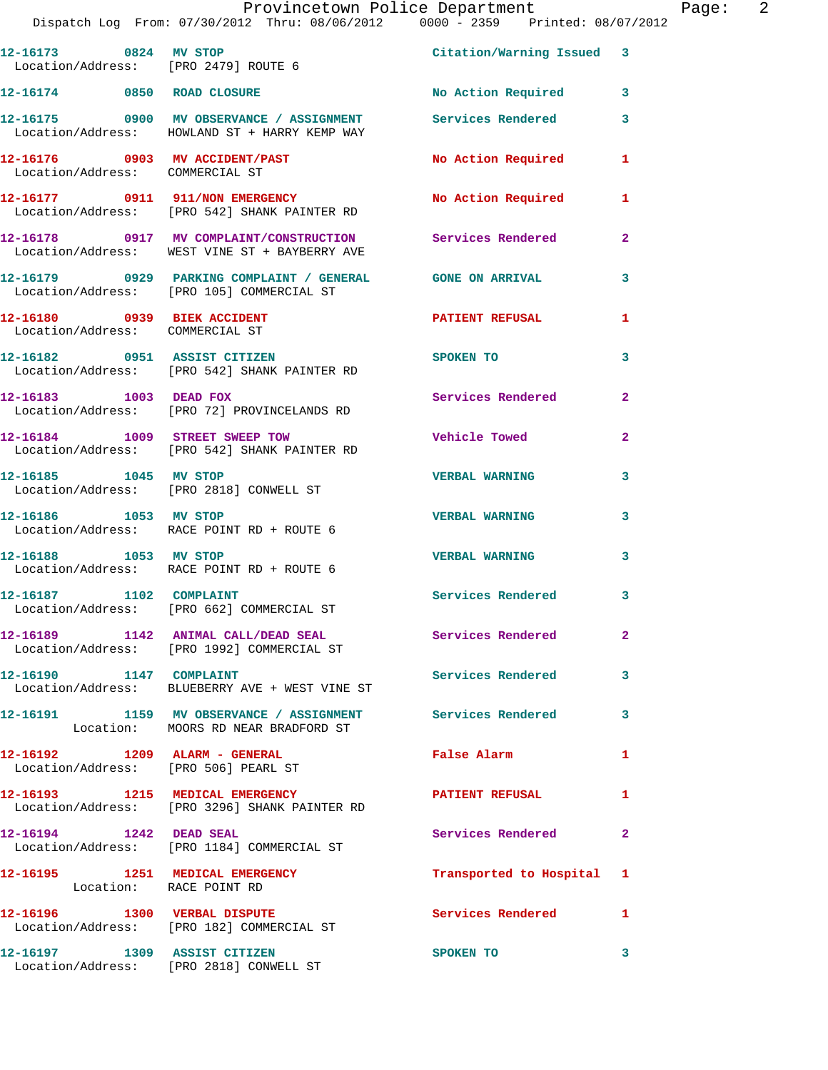|                                                                | Provincetown Police Department<br>Dispatch Log From: 07/30/2012 Thru: 08/06/2012 0000 - 2359 Printed: 08/07/2012    |                           |                         | Page: | $\overline{2}$ |
|----------------------------------------------------------------|---------------------------------------------------------------------------------------------------------------------|---------------------------|-------------------------|-------|----------------|
|                                                                | 12-16173 0824 MV STOP<br>Location/Address: [PRO 2479] ROUTE 6                                                       | Citation/Warning Issued 3 |                         |       |                |
|                                                                | 12-16174 0850 ROAD CLOSURE                                                                                          | No Action Required 3      |                         |       |                |
|                                                                | 12-16175 0900 MV OBSERVANCE / ASSIGNMENT Services Rendered 3<br>Location/Address: HOWLAND ST + HARRY KEMP WAY       |                           |                         |       |                |
| Location/Address: COMMERCIAL ST                                | 12-16176 0903 MV ACCIDENT/PAST No Action Required 1                                                                 |                           |                         |       |                |
|                                                                | 12-16177 0911 911/NON EMERGENCY No Action Required 1<br>Location/Address: [PRO 542] SHANK PAINTER RD                |                           |                         |       |                |
|                                                                | 12-16178 0917 MV COMPLAINT/CONSTRUCTION Services Rendered<br>Location/Address: WEST VINE ST + BAYBERRY AVE          |                           | $\mathbf{2}$            |       |                |
|                                                                | 12-16179      0929   PARKING COMPLAINT / GENERAL      GONE ON ARRIVAL<br>Location/Address:   [PRO 105]COMMERCIAL ST |                           | 3                       |       |                |
| 12-16180 0939 BIEK ACCIDENT<br>Location/Address: COMMERCIAL ST |                                                                                                                     | PATIENT REFUSAL           | $\mathbf{1}$            |       |                |
|                                                                | 12-16182 0951 ASSIST CITIZEN<br>Location/Address: [PRO 542] SHANK PAINTER RD                                        | <b>SPOKEN TO</b>          | $\mathbf{3}$            |       |                |
|                                                                | 12-16183 1003 DEAD FOX<br>Location/Address: [PRO 72] PROVINCELANDS RD                                               | Services Rendered 2       |                         |       |                |
|                                                                | 12-16184 1009 STREET SWEEP TOW<br>Location/Address: [PRO 542] SHANK PAINTER RD                                      | <b>Vehicle Towed</b>      | $\mathbf{2}$            |       |                |
|                                                                | 12-16185    1045    MV STOP<br>Location/Address: [PRO 2818] CONWELL ST                                              | <b>VERBAL WARNING</b>     | $\mathbf{3}$            |       |                |
| 12-16186 1053 MV STOP                                          | Location/Address: RACE POINT RD + ROUTE 6                                                                           | <b>VERBAL WARNING</b>     | 3                       |       |                |
| 12-16188 1053 MV STOP                                          | Location/Address: RACE POINT RD + ROUTE 6                                                                           | <b>VERBAL WARNING</b>     | $\overline{\mathbf{3}}$ |       |                |
|                                                                | Location/Address: [PRO 662] COMMERCIAL ST                                                                           | <b>Services Rendered</b>  | 3.                      |       |                |
| Location/Address:                                              | [PRO 1992] COMMERCIAL ST                                                                                            | Services Rendered         | $\mathbf{2}$            |       |                |
| 12-16190<br>1147                                               | <b>COMPLAINT</b>                                                                                                    | Services Rendered         | 3                       |       |                |

 Location/Address: BLUEBERRY AVE + WEST VINE ST **12-16191 1159 MV OBSERVANCE / ASSIGNMENT Services Rendered 3**  Location: MOORS RD NEAR BRADFORD ST **12-16192 1209 ALARM - GENERAL False Alarm 1**  Location/Address: [PRO 506] PEARL ST **12-16193 1215 MEDICAL EMERGENCY PATIENT REFUSAL 1**  Location/Address: [PRO 3296] SHANK PAINTER RD **12-16194 1242 DEAD SEAL Services Rendered 2**  Location/Address: [PRO 1184] COMMERCIAL ST **12-16195 1251 MEDICAL EMERGENCY Transported to Hospital 1**  Location: RACE POINT RD

12-16196 1300 VERBAL DISPUTE Services Rendered 1 Location/Address: [PRO 182] COMMERCIAL ST **12-16197 1309 ASSIST CITIZEN SPOKEN TO 3**  Location/Address: [PRO 2818] CONWELL ST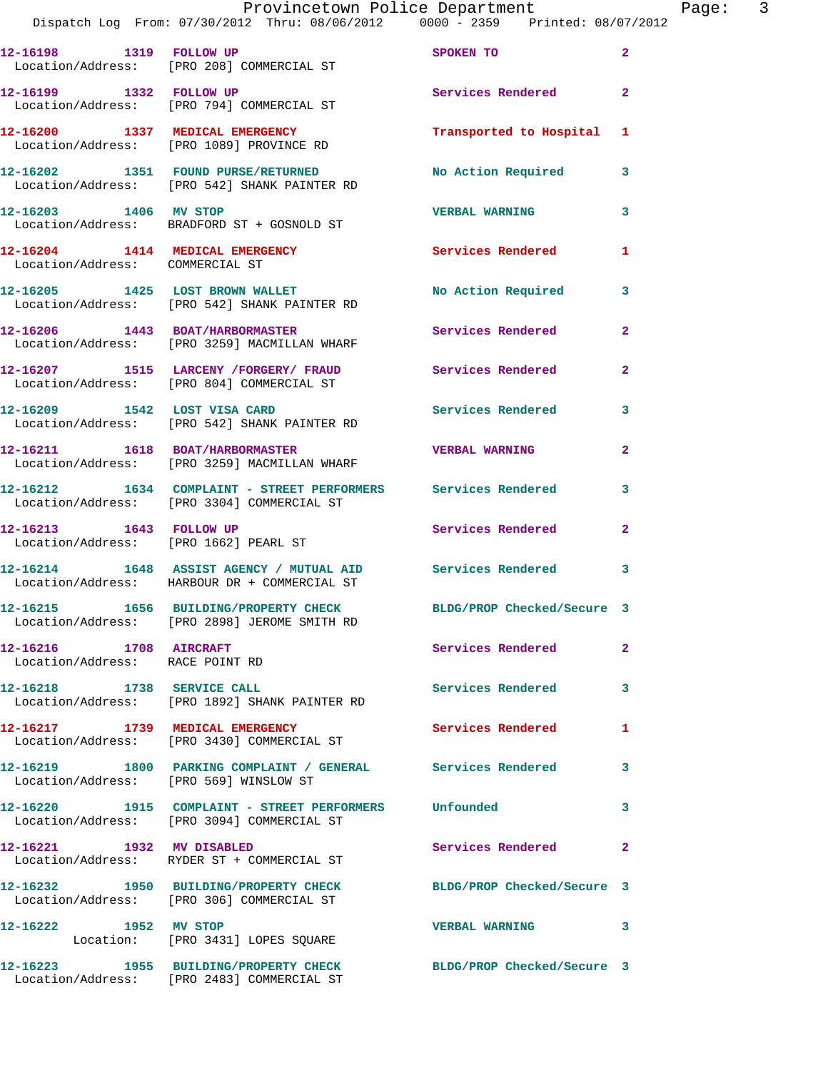|                                                                    | Provincetown Police Department<br>Dispatch Log From: 07/30/2012 Thru: 08/06/2012 0000 - 2359 Printed: 08/07/2012 |                            |                |
|--------------------------------------------------------------------|------------------------------------------------------------------------------------------------------------------|----------------------------|----------------|
|                                                                    | 12-16198 1319 FOLLOW UP<br>Location/Address: [PRO 208] COMMERCIAL ST                                             | SPOKEN TO                  | $\overline{a}$ |
| 12-16199 1332 FOLLOW UP                                            | Location/Address: [PRO 794] COMMERCIAL ST                                                                        | Services Rendered          | $\overline{a}$ |
|                                                                    | 12-16200 1337 MEDICAL EMERGENCY<br>Location/Address: [PRO 1089] PROVINCE RD                                      | Transported to Hospital    | 1              |
|                                                                    | 12-16202 1351 FOUND PURSE/RETURNED<br>Location/Address: [PRO 542] SHANK PAINTER RD                               | No Action Required         | 3              |
|                                                                    | 12-16203 1406 MV STOP<br>Location/Address: BRADFORD ST + GOSNOLD ST                                              | <b>VERBAL WARNING</b>      | 3              |
| 12-16204 1414 MEDICAL EMERGENCY<br>Location/Address: COMMERCIAL ST |                                                                                                                  | Services Rendered          | 1              |
|                                                                    | 12-16205 1425 LOST BROWN WALLET<br>Location/Address: [PRO 542] SHANK PAINTER RD                                  | No Action Required         | 3              |
|                                                                    | 12-16206 1443 BOAT/HARBORMASTER<br>Location/Address: [PRO 3259] MACMILLAN WHARF                                  | Services Rendered          | 2              |
|                                                                    | 12-16207 1515 LARCENY / FORGERY / FRAUD<br>Location/Address: [PRO 804] COMMERCIAL ST                             | Services Rendered          | 2              |
|                                                                    | 12-16209 1542 LOST VISA CARD<br>Location/Address: [PRO 542] SHANK PAINTER RD                                     | <b>Services Rendered</b>   | 3              |
|                                                                    | 12-16211 1618 BOAT/HARBORMASTER<br>Location/Address: [PRO 3259] MACMILLAN WHARF                                  | <b>VERBAL WARNING</b>      | $\overline{a}$ |
|                                                                    | 12-16212 1634 COMPLAINT - STREET PERFORMERS Services Rendered<br>Location/Address: [PRO 3304] COMMERCIAL ST      |                            | 3              |
| 12-16213 1643 FOLLOW UP                                            | Location/Address: [PRO 1662] PEARL ST                                                                            | Services Rendered          | $\overline{2}$ |
|                                                                    | 12-16214 1648 ASSIST AGENCY / MUTUAL AID Services Rendered<br>Location/Address: HARBOUR DR + COMMERCIAL ST       |                            | 3              |
|                                                                    | 12-16215 1656 BUILDING/PROPERTY CHECK<br>Location/Address: [PRO 2898] JEROME SMITH RD                            | BLDG/PROP Checked/Secure 3 |                |
| 12-16216 1708 AIRCRAFT<br>Location/Address: RACE POINT RD          |                                                                                                                  | <b>Services Rendered</b>   | $\overline{2}$ |
| 12-16218 1738 SERVICE CALL                                         | Location/Address: [PRO 1892] SHANK PAINTER RD                                                                    | Services Rendered          | 3              |
|                                                                    | 12-16217 1739 MEDICAL EMERGENCY<br>Location/Address: [PRO 3430] COMMERCIAL ST                                    | Services Rendered          | 1              |
| Location/Address: [PRO 569] WINSLOW ST                             | 12-16219 1800 PARKING COMPLAINT / GENERAL Services Rendered                                                      |                            | 3              |
|                                                                    | 12-16220 1915 COMPLAINT - STREET PERFORMERS<br>Location/Address: [PRO 3094] COMMERCIAL ST                        | Unfounded                  | 3              |
| 12-16221 1932 MV DISABLED                                          | Location/Address: RYDER ST + COMMERCIAL ST                                                                       | Services Rendered          | $\mathbf{2}$   |
|                                                                    | 12-16232 1950 BUILDING/PROPERTY CHECK<br>Location/Address: [PRO 306] COMMERCIAL ST                               | BLDG/PROP Checked/Secure 3 |                |
| 12-16222 1952 MV STOP                                              | Location: [PRO 3431] LOPES SQUARE                                                                                | <b>VERBAL WARNING</b>      | 3              |
|                                                                    | 12-16223 1955 BUILDING/PROPERTY CHECK BLDG/PROP Checked/Secure 3<br>Location/Address: [PRO 2483] COMMERCIAL ST   |                            |                |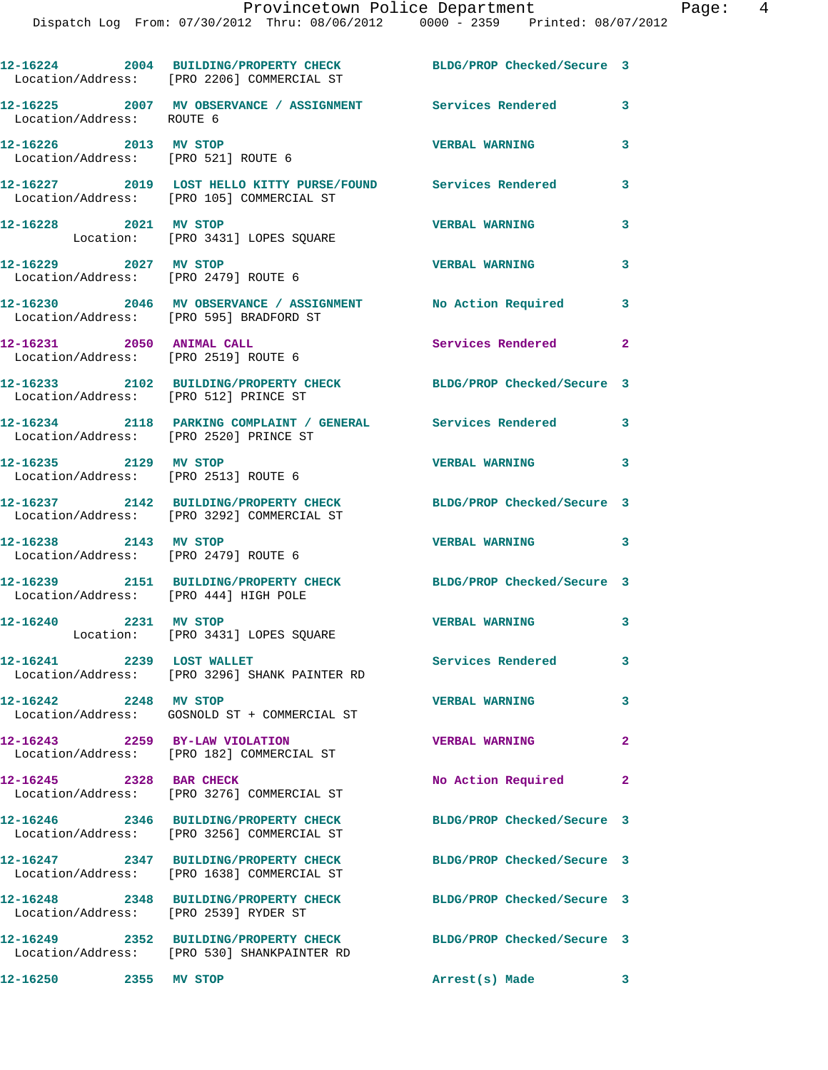|                                                               | 12-16224 2004 BUILDING/PROPERTY CHECK BLDG/PROP Checked/Secure 3<br>Location/Address: [PRO 2206] COMMERCIAL ST |                            |                         |
|---------------------------------------------------------------|----------------------------------------------------------------------------------------------------------------|----------------------------|-------------------------|
| Location/Address: ROUTE 6                                     | 12-16225 2007 MV OBSERVANCE / ASSIGNMENT Services Rendered                                                     |                            | 3                       |
| 12-16226 2013 MV STOP<br>Location/Address: [PRO 521] ROUTE 6  |                                                                                                                | <b>VERBAL WARNING</b>      | 3                       |
|                                                               | 12-16227 2019 LOST HELLO KITTY PURSE/FOUND Services Rendered<br>Location/Address: [PRO 105] COMMERCIAL ST      |                            | $\overline{\mathbf{3}}$ |
| 12-16228 2021 MV STOP                                         | Location: [PRO 3431] LOPES SQUARE                                                                              | <b>VERBAL WARNING</b>      | 3                       |
| 12-16229 2027 MV STOP                                         | Location/Address: [PRO 2479] ROUTE 6                                                                           | <b>VERBAL WARNING</b>      | 3                       |
| Location/Address: [PRO 595] BRADFORD ST                       | 12-16230 2046 MV OBSERVANCE / ASSIGNMENT                                                                       | No Action Required         | 3                       |
| 12-16231 2050 ANIMAL CALL                                     | Location/Address: [PRO 2519] ROUTE 6                                                                           | Services Rendered 2        |                         |
|                                                               | 12-16233 2102 BUILDING/PROPERTY CHECK BLDG/PROP Checked/Secure 3<br>Location/Address: [PRO 512] PRINCE ST      |                            |                         |
| Location/Address: [PRO 2520] PRINCE ST                        | 12-16234 2118 PARKING COMPLAINT / GENERAL Services Rendered 3                                                  |                            |                         |
| 12-16235 2129 MV STOP<br>Location/Address: [PRO 2513] ROUTE 6 |                                                                                                                | <b>VERBAL WARNING</b>      | $\overline{\mathbf{3}}$ |
|                                                               | 12-16237 2142 BUILDING/PROPERTY CHECK<br>Location/Address: [PRO 3292] COMMERCIAL ST                            | BLDG/PROP Checked/Secure 3 |                         |
| 12-16238 2143 MV STOP                                         | Location/Address: [PRO 2479] ROUTE 6                                                                           | <b>VERBAL WARNING</b>      | $\overline{\mathbf{3}}$ |
| Location/Address: [PRO 444] HIGH POLE                         | 12-16239 2151 BUILDING/PROPERTY CHECK BLDG/PROP Checked/Secure 3                                               |                            |                         |
| 12-16240 2231 MV STOP                                         | Location: [PRO 3431] LOPES SQUARE                                                                              | <b>VERBAL WARNING</b>      | 3                       |
| 12-16241 2239 LOST WALLET                                     |                                                                                                                | Services Rendered          | $\mathbf{3}$            |
| 12-16242 2248 MV STOP                                         | Location/Address: [PRO 3296] SHANK PAINTER RD                                                                  | <b>VERBAL WARNING</b>      | 3                       |
| 12-16243 2259 BY-LAW VIOLATION                                | Location/Address: GOSNOLD ST + COMMERCIAL ST                                                                   | <b>VERBAL WARNING</b>      | $\mathbf{2}$            |
| 12-16245 2328 BAR CHECK                                       | Location/Address: [PRO 182] COMMERCIAL ST                                                                      | No Action Required         | $\mathbf{2}$            |
|                                                               | Location/Address: [PRO 3276] COMMERCIAL ST<br>12-16246 2346 BUILDING/PROPERTY CHECK                            | BLDG/PROP Checked/Secure 3 |                         |
|                                                               | Location/Address: [PRO 3256] COMMERCIAL ST<br>12-16247 2347 BUILDING/PROPERTY CHECK                            | BLDG/PROP Checked/Secure 3 |                         |
|                                                               | Location/Address: [PRO 1638] COMMERCIAL ST<br>12-16248 2348 BUILDING/PROPERTY CHECK                            | BLDG/PROP Checked/Secure 3 |                         |
| Location/Address: [PRO 2539] RYDER ST                         |                                                                                                                |                            |                         |
|                                                               | 12-16249 2352 BUILDING/PROPERTY CHECK<br>Location/Address: [PRO 530] SHANKPAINTER RD                           | BLDG/PROP Checked/Secure 3 |                         |
| 12-16250 2355 MV STOP                                         |                                                                                                                | Arrest(s) Made             | $\overline{\mathbf{3}}$ |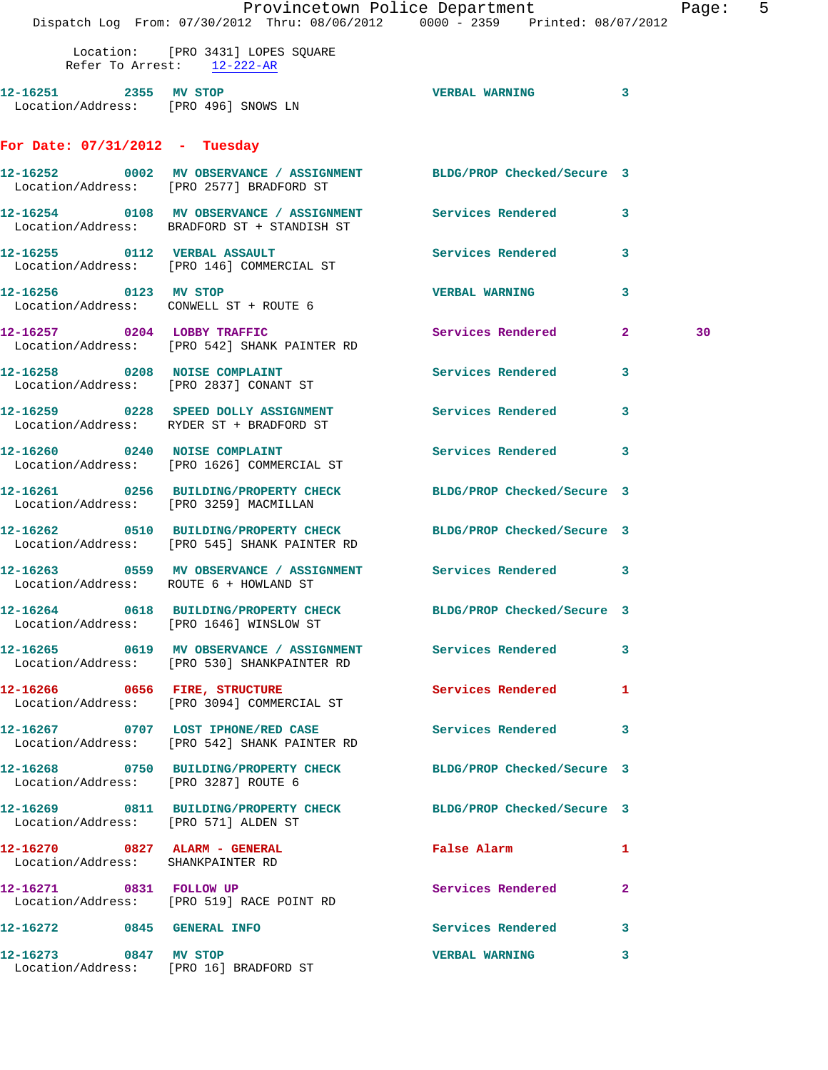|                                                                    | Provincetown Police Department<br>Dispatch Log From: 07/30/2012 Thru: 08/06/2012   0000 - 2359   Printed: 08/07/2012 |                            |                         | Page: | 5 |
|--------------------------------------------------------------------|----------------------------------------------------------------------------------------------------------------------|----------------------------|-------------------------|-------|---|
|                                                                    | Location: [PRO 3431] LOPES SQUARE<br>Refer To Arrest: 12-222-AR                                                      |                            |                         |       |   |
| 12-16251 2355 MV STOP                                              | Location/Address: [PRO 496] SNOWS LN                                                                                 | VERBAL WARNING 3           |                         |       |   |
| For Date: $07/31/2012$ - Tuesday                                   |                                                                                                                      |                            |                         |       |   |
|                                                                    | 12-16252 0002 MV OBSERVANCE / ASSIGNMENT BLDG/PROP Checked/Secure 3<br>Location/Address: [PRO 2577] BRADFORD ST      |                            |                         |       |   |
|                                                                    | 12-16254 0108 MV OBSERVANCE / ASSIGNMENT Services Rendered 3<br>Location/Address: BRADFORD ST + STANDISH ST          |                            |                         |       |   |
|                                                                    |                                                                                                                      | Services Rendered          | $\overline{\mathbf{3}}$ |       |   |
|                                                                    | 12-16256 0123 MV STOP<br>Location/Address: CONWELL ST + ROUTE 6                                                      | <b>VERBAL WARNING</b>      | 3                       |       |   |
|                                                                    | 12-16257 0204 LOBBY TRAFFIC<br>Location/Address: [PRO 542] SHANK PAINTER RD                                          | Services Rendered 2        |                         | 30    |   |
|                                                                    | 12-16258 0208 NOISE COMPLAINT<br>Location/Address: [PRO 2837] CONANT ST                                              | Services Rendered          | 3                       |       |   |
|                                                                    | 12-16259 0228 SPEED DOLLY ASSIGNMENT Services Rendered 3<br>Location/Address: RYDER ST + BRADFORD ST                 |                            |                         |       |   |
|                                                                    | 12-16260 0240 NOISE COMPLAINT<br>Location/Address: [PRO 1626] COMMERCIAL ST                                          | Services Rendered 3        |                         |       |   |
| Location/Address: [PRO 3259] MACMILLAN                             | 12-16261 0256 BUILDING/PROPERTY CHECK BLDG/PROP Checked/Secure 3                                                     |                            |                         |       |   |
|                                                                    | 12-16262 0510 BUILDING/PROPERTY CHECK BLDG/PROP Checked/Secure 3<br>Location/Address: [PRO 545] SHANK PAINTER RD     |                            |                         |       |   |
| Location/Address: ROUTE 6 + HOWLAND ST                             | 12-16263 6559 MV OBSERVANCE / ASSIGNMENT Services Rendered 3                                                         |                            |                         |       |   |
|                                                                    | 12-16264 0618 BUILDING/PROPERTY CHECK<br>Location/Address: [PRO 1646] WINSLOW ST                                     | BLDG/PROP Checked/Secure 3 |                         |       |   |
|                                                                    | 12-16265 0619 MV OBSERVANCE / ASSIGNMENT Services Rendered<br>Location/Address: [PRO 530] SHANKPAINTER RD            |                            | $\mathbf{3}$            |       |   |
|                                                                    | 12-16266 0656 FIRE, STRUCTURE<br>Location/Address: [PRO 3094] COMMERCIAL ST                                          | Services Rendered          | 1                       |       |   |
|                                                                    | 12-16267 0707 LOST IPHONE/RED CASE<br>Location/Address: [PRO 542] SHANK PAINTER RD                                   | Services Rendered          | 3                       |       |   |
| Location/Address: [PRO 3287] ROUTE 6                               | 12-16268 0750 BUILDING/PROPERTY CHECK BLDG/PROP Checked/Secure 3                                                     |                            |                         |       |   |
| Location/Address: [PRO 571] ALDEN ST                               | 12-16269 0811 BUILDING/PROPERTY CHECK BLDG/PROP Checked/Secure 3                                                     |                            |                         |       |   |
| 12-16270 0827 ALARM - GENERAL<br>Location/Address: SHANKPAINTER RD |                                                                                                                      | False Alarm                | 1                       |       |   |
| 12-16271 0831 FOLLOW UP                                            | Location/Address: [PRO 519] RACE POINT RD                                                                            | Services Rendered          | $\mathbf{2}$            |       |   |
| 12-16272 0845 GENERAL INFO                                         |                                                                                                                      | Services Rendered          | 3                       |       |   |
| 12-16273 0847 MV STOP                                              | Location/Address: [PRO 16] BRADFORD ST                                                                               | <b>VERBAL WARNING</b>      | 3                       |       |   |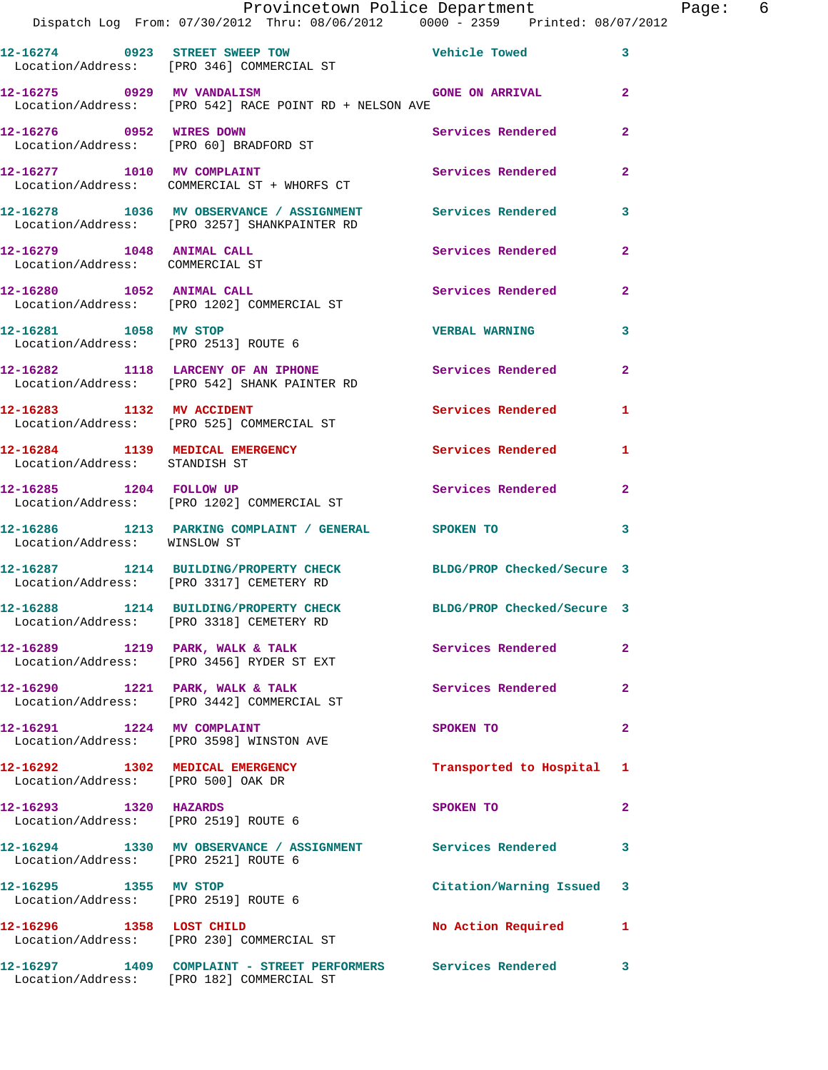|                                                               | Provincetown Police Department                                                                               |                           |                         | Page: 6 |  |
|---------------------------------------------------------------|--------------------------------------------------------------------------------------------------------------|---------------------------|-------------------------|---------|--|
|                                                               | Dispatch Log From: 07/30/2012 Thru: 08/06/2012   0000 - 2359   Printed: 08/07/2012                           |                           |                         |         |  |
|                                                               | 12-16274 0923 STREET SWEEP TOW Vehicle Towed 3<br>Location/Address: [PRO 346] COMMERCIAL ST                  |                           |                         |         |  |
|                                                               | 12-16275 0929 MV VANDALISM CONE ON ARRIVAL<br>Location/Address: [PRO 542] RACE POINT RD + NELSON AVE         |                           |                         |         |  |
|                                                               |                                                                                                              | Services Rendered 2       |                         |         |  |
|                                                               | 12-16277 1010 MV COMPLAINT Services Rendered 2<br>Location/Address: COMMERCIAL ST + WHORFS CT                |                           |                         |         |  |
|                                                               | 12-16278 1036 MV OBSERVANCE / ASSIGNMENT Services Rendered 3<br>Location/Address: [PRO 3257] SHANKPAINTER RD |                           |                         |         |  |
| Location/Address: COMMERCIAL ST                               | 12-16279 1048 ANIMAL CALL Services Rendered 2                                                                |                           |                         |         |  |
|                                                               | 12-16280 1052 ANIMAL CALL 2 Services Rendered 2<br>Location/Address: [PRO 1202] COMMERCIAL ST                |                           |                         |         |  |
|                                                               | 12-16281 1058 MV STOP<br>Location/Address: [PRO 2513] ROUTE 6                                                | <b>VERBAL WARNING</b>     | $\mathbf{3}$            |         |  |
|                                                               | 12-16282 1118 LARCENY OF AN IPHONE Services Rendered 2<br>Location/Address: [PRO 542] SHANK PAINTER RD       |                           |                         |         |  |
|                                                               | 12-16283 1132 MV ACCIDENT<br>Location/Address: [PRO 525] COMMERCIAL ST                                       | Services Rendered 1       |                         |         |  |
| Location/Address: STANDISH ST                                 | 12-16284 1139 MEDICAL EMERGENCY Services Rendered 1                                                          |                           |                         |         |  |
|                                                               | 12-16285 1204 FOLLOW UP Services Rendered 2<br>Location/Address: [PRO 1202] COMMERCIAL ST                    |                           |                         |         |  |
| Location/Address: WINSLOW ST                                  | 12-16286 1213 PARKING COMPLAINT / GENERAL SPOKEN TO                                                          |                           | $\overline{\mathbf{3}}$ |         |  |
|                                                               | 12-16287 1214 BUILDING/PROPERTY CHECK BLDG/PROP Checked/Secure 3<br>Location/Address: [PRO 3317] CEMETERY RD |                           |                         |         |  |
|                                                               | 12-16288 1214 BUILDING/PROPERTY CHECK BLDG/PROP Checked/Secure 3<br>Location/Address: [PRO 3318] CEMETERY RD |                           |                         |         |  |
|                                                               | 12-16289 1219 PARK, WALK & TALK 1999 Services Rendered<br>Location/Address: [PRO 3456] RYDER ST EXT          |                           | $\mathbf{2}$            |         |  |
|                                                               | 12-16290 1221 PARK, WALK & TALK<br>Location/Address: [PRO 3442] COMMERCIAL ST                                | Services Rendered 2       |                         |         |  |
|                                                               | 12-16291 1224 MV COMPLAINT<br>Location/Address: [PRO 3598] WINSTON AVE                                       | SPOKEN TO                 | $\mathbf{2}$            |         |  |
|                                                               | 12-16292 1302 MEDICAL EMERGENCY<br>Location/Address: [PRO 500] OAK DR                                        | Transported to Hospital 1 |                         |         |  |
| 12-16293 1320 HAZARDS<br>Location/Address: [PRO 2519] ROUTE 6 |                                                                                                              | SPOKEN TO                 | $\mathbf{2}$            |         |  |
| Location/Address: [PRO 2521] ROUTE 6                          | 12-16294 1330 MV OBSERVANCE / ASSIGNMENT Services Rendered 3                                                 |                           |                         |         |  |
| 12-16295 1355 MV STOP<br>Location/Address: [PRO 2519] ROUTE 6 |                                                                                                              | Citation/Warning Issued 3 |                         |         |  |
| 12-16296 1358 LOST CHILD                                      | Location/Address: [PRO 230] COMMERCIAL ST                                                                    | No Action Required 1      |                         |         |  |
|                                                               | 12-16297 1409 COMPLAINT - STREET PERFORMERS Services Rendered 3<br>Location/Address: [PRO 182] COMMERCIAL ST |                           |                         |         |  |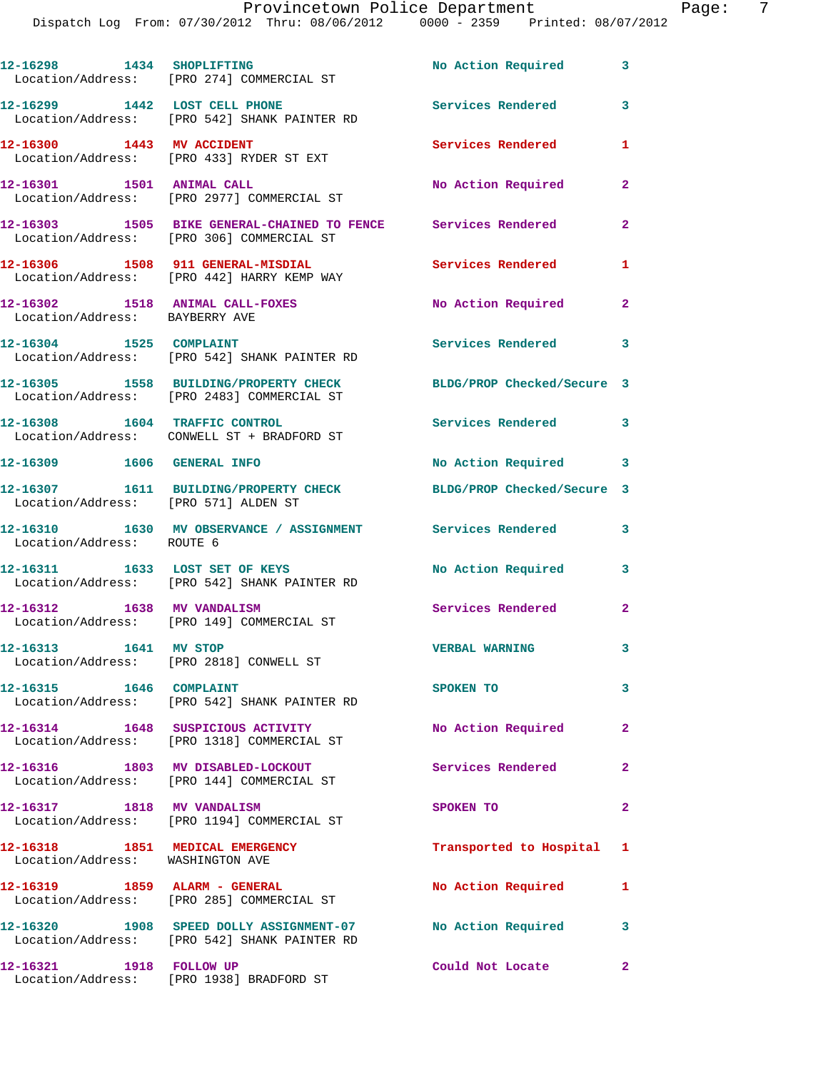**12-16298 1434 SHOPLIFTING No Action Required 3**  Location/Address: [PRO 274] COMMERCIAL ST **12-16299 1442 LOST CELL PHONE Services Rendered 3**  Location/Address: [PRO 542] SHANK PAINTER RD **12-16300 1443 MV ACCIDENT Services Rendered 1**  Location/Address: [PRO 433] RYDER ST EXT **12-16301 1501 ANIMAL CALL No Action Required 2**  Location/Address: [PRO 2977] COMMERCIAL ST **12-16303 1505 BIKE GENERAL-CHAINED TO FENCE Services Rendered 2**  Location/Address: [PRO 306] COMMERCIAL ST **12-16306 1508 911 GENERAL-MISDIAL Services Rendered 1**  Location/Address: [PRO 442] HARRY KEMP WAY **12-16302 1518 ANIMAL CALL-FOXES No Action Required 2**  Location/Address: BAYBERRY AVE 12-16304 1525 COMPLAINT **12-16304** 1525 Services Rendered 3 Location/Address: [PRO 542] SHANK PAINTER RD **12-16305 1558 BUILDING/PROPERTY CHECK BLDG/PROP Checked/Secure 3**  Location/Address: [PRO 2483] COMMERCIAL ST **12-16308 1604 TRAFFIC CONTROL Services Rendered 3**  Location/Address: CONWELL ST + BRADFORD ST 12-16309 1606 GENERAL INFO **160 Required** 3 and 3 No Action Required **12-16307 1611 BUILDING/PROPERTY CHECK BLDG/PROP Checked/Secure 3**  Location/Address: [PRO 571] ALDEN ST **12-16310 1630 MV OBSERVANCE / ASSIGNMENT Services Rendered 3**  Location/Address: ROUTE 6 **12-16311 1633 LOST SET OF KEYS No Action Required 3**  Location/Address: [PRO 542] SHANK PAINTER RD **12-16312 1638 MV VANDALISM Services Rendered 2**  Location/Address: [PRO 149] COMMERCIAL ST **12-16313 1641 MV STOP VERBAL WARNING 3**  Location/Address: [PRO 2818] CONWELL ST **12-16315 1646 COMPLAINT SPOKEN TO 3**  Location/Address: [PRO 542] SHANK PAINTER RD **12-16314 1648 SUSPICIOUS ACTIVITY No Action Required 2**  Location/Address: [PRO 1318] COMMERCIAL ST **12-16316 1803 MV DISABLED-LOCKOUT Services Rendered 2**  Location/Address: [PRO 144] COMMERCIAL ST **12-16317 1818 MV VANDALISM SPOKEN TO 2**  Location/Address: [PRO 1194] COMMERCIAL ST **12-16318 1851 MEDICAL EMERGENCY Transported to Hospital 1**  Location/Address: WASHINGTON AVE **12-16319 1859 ALARM - GENERAL No Action Required 1**  Location/Address: [PRO 285] COMMERCIAL ST **12-16320 1908 SPEED DOLLY ASSIGNMENT-07 No Action Required 3**  Location/Address: [PRO 542] SHANK PAINTER RD **12-16321 1918 FOLLOW UP Could Not Locate 2**  Location/Address: [PRO 1938] BRADFORD ST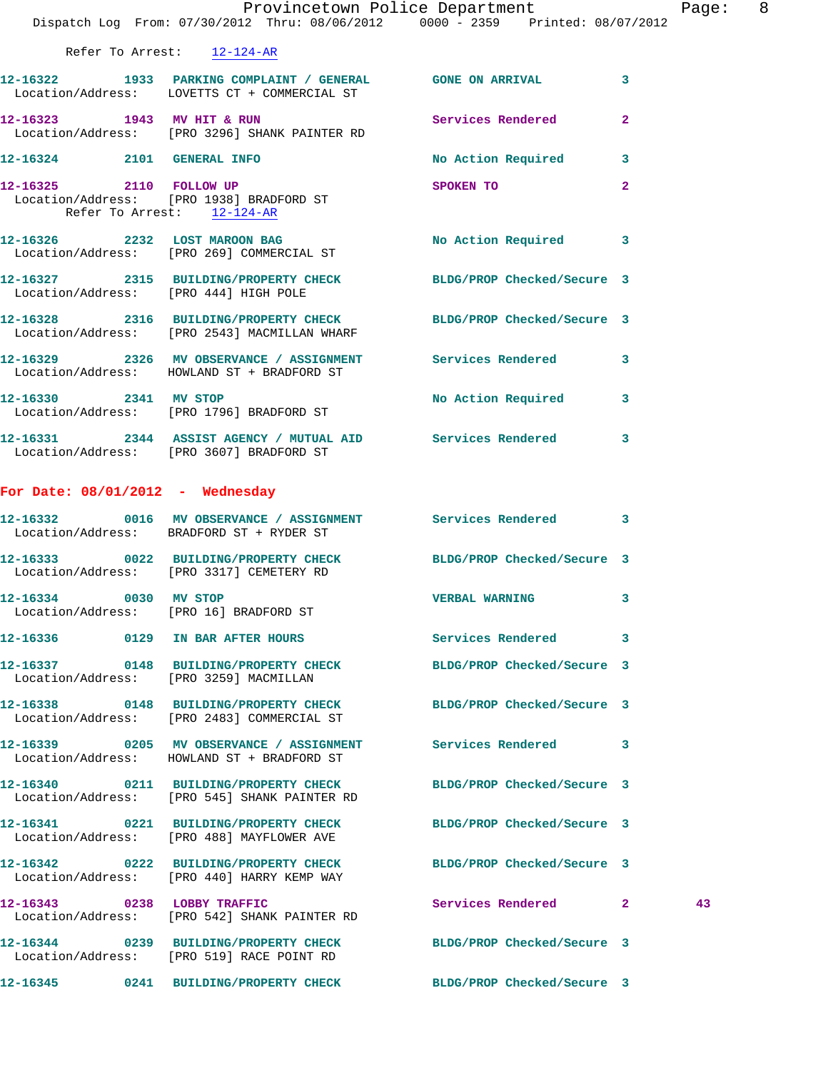|                                                       | Provincetown Police Department The State Page: 8<br>Dispatch Log From: 07/30/2012 Thru: 08/06/2012 0000 - 2359 Printed: 08/07/2012 |                            |                |    |  |
|-------------------------------------------------------|------------------------------------------------------------------------------------------------------------------------------------|----------------------------|----------------|----|--|
| Refer To Arrest: 12-124-AR                            |                                                                                                                                    |                            |                |    |  |
|                                                       | 12-16322 1933 PARKING COMPLAINT / GENERAL GONE ON ARRIVAL 3<br>Location/Address: LOVETTS CT + COMMERCIAL ST                        |                            |                |    |  |
|                                                       | 12-16323 1943 MV HIT & RUN Services Rendered 2<br>Location/Address: [PRO 3296] SHANK PAINTER RD                                    |                            |                |    |  |
|                                                       | 12-16324 2101 GENERAL INFO                                                                                                         | No Action Required 3       |                |    |  |
| 12-16325 2110 FOLLOW UP<br>Refer To Arrest: 12-124-AR | Location/Address: [PRO 1938] BRADFORD ST                                                                                           | SPOKEN TO                  | $\overline{2}$ |    |  |
|                                                       | 12-16326 2232 LOST MAROON BAG No Action Required 3<br>Location/Address: [PRO 269] COMMERCIAL ST                                    |                            |                |    |  |
|                                                       | 12-16327 2315 BUILDING/PROPERTY CHECK BLDG/PROP Checked/Secure 3<br>Location/Address: [PRO 444] HIGH POLE                          |                            |                |    |  |
|                                                       | 12-16328 2316 BUILDING/PROPERTY CHECK BLDG/PROP Checked/Secure 3<br>Location/Address: [PRO 2543] MACMILLAN WHARF                   |                            |                |    |  |
|                                                       | 12-16329 2326 MV OBSERVANCE / ASSIGNMENT Services Rendered 3<br>Location/Address: HOWLAND ST + BRADFORD ST                         |                            |                |    |  |
|                                                       | 12-16330 2341 MV STOP<br>Location/Address: [PRO 1796] BRADFORD ST                                                                  | No Action Required 3       |                |    |  |
|                                                       | 12-16331 2344 ASSIST AGENCY / MUTUAL AID Services Rendered 3<br>Location/Address: [PRO 3607] BRADFORD ST                           |                            |                |    |  |
| For Date: $08/01/2012$ - Wednesday                    |                                                                                                                                    |                            |                |    |  |
|                                                       | 12-16332 0016 MV OBSERVANCE / ASSIGNMENT Services Rendered 3<br>Location/Address: BRADFORD ST + RYDER ST                           |                            |                |    |  |
|                                                       | 12-16333 0022 BUILDING/PROPERTY CHECK BLDG/PROP Checked/Secure 3<br>Location/Address: [PRO 3317] CEMETERY RD                       |                            |                |    |  |
| 12-16334 0030 MV STOP                                 | Location/Address: [PRO 16] BRADFORD ST                                                                                             | <b>VERBAL WARNING</b>      |                |    |  |
|                                                       | 12-16336 0129 IN BAR AFTER HOURS                                                                                                   | Services Rendered 3        |                |    |  |
|                                                       | 12-16337 0148 BUILDING/PROPERTY CHECK BLDG/PROP Checked/Secure 3<br>Location/Address: [PRO 3259] MACMILLAN                         |                            |                |    |  |
|                                                       | 12-16338 0148 BUILDING/PROPERTY CHECK BLDG/PROP Checked/Secure 3<br>Location/Address: [PRO 2483] COMMERCIAL ST                     |                            |                |    |  |
|                                                       | 12-16339 0205 MV OBSERVANCE / ASSIGNMENT Services Rendered 3<br>Location/Address: HOWLAND ST + BRADFORD ST                         |                            |                |    |  |
|                                                       | 12-16340 0211 BUILDING/PROPERTY CHECK<br>Location/Address: [PRO 545] SHANK PAINTER RD                                              | BLDG/PROP Checked/Secure 3 |                |    |  |
|                                                       | 12-16341 0221 BUILDING/PROPERTY CHECK BLDG/PROP Checked/Secure 3<br>Location/Address: [PRO 488] MAYFLOWER AVE                      |                            |                |    |  |
|                                                       | 12-16342 0222 BUILDING/PROPERTY CHECK BLDG/PROP Checked/Secure 3<br>Location/Address: [PRO 440] HARRY KEMP WAY                     |                            |                |    |  |
| 12-16343 0238 LOBBY TRAFFIC                           | Location/Address: [PRO 542] SHANK PAINTER RD                                                                                       | Services Rendered 2        |                | 43 |  |
|                                                       | 12-16344 0239 BUILDING/PROPERTY CHECK BLDG/PROP Checked/Secure 3<br>Location/Address: [PRO 519] RACE POINT RD                      |                            |                |    |  |
|                                                       | 12-16345 0241 BUILDING/PROPERTY CHECK BLDG/PROP Checked/Secure 3                                                                   |                            |                |    |  |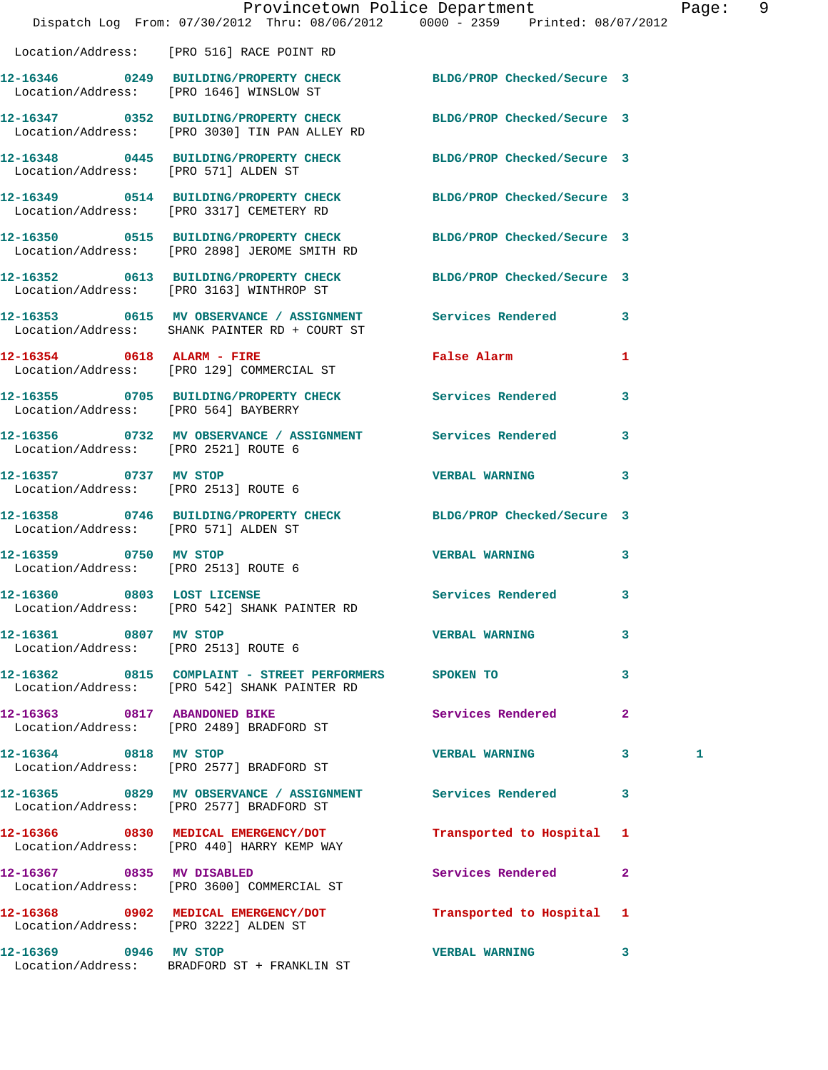|                                                               | Dispatch Log From: 07/30/2012 Thru: 08/06/2012 0000 - 2359 Printed: 08/07/2012                                    | Provincetown Police Department                      |                         | Page: | - 9 |
|---------------------------------------------------------------|-------------------------------------------------------------------------------------------------------------------|-----------------------------------------------------|-------------------------|-------|-----|
|                                                               | Location/Address: [PRO 516] RACE POINT RD                                                                         |                                                     |                         |       |     |
|                                                               | 12-16346 0249 BUILDING/PROPERTY CHECK BLDG/PROP Checked/Secure 3<br>Location/Address: [PRO 1646] WINSLOW ST       |                                                     |                         |       |     |
|                                                               | 12-16347 0352 BUILDING/PROPERTY CHECK BLDG/PROP Checked/Secure 3<br>Location/Address: [PRO 3030] TIN PAN ALLEY RD |                                                     |                         |       |     |
|                                                               | 12-16348 0445 BUILDING/PROPERTY CHECK BLDG/PROP Checked/Secure 3<br>Location/Address: [PRO 571] ALDEN ST          |                                                     |                         |       |     |
|                                                               | 12-16349 0514 BUILDING/PROPERTY CHECK BLDG/PROP Checked/Secure 3<br>Location/Address: [PRO 3317] CEMETERY RD      |                                                     |                         |       |     |
|                                                               | 12-16350 0515 BUILDING/PROPERTY CHECK BLDG/PROP Checked/Secure 3<br>Location/Address: [PRO 2898] JEROME SMITH RD  |                                                     |                         |       |     |
|                                                               | 12-16352 0613 BUILDING/PROPERTY CHECK BLDG/PROP Checked/Secure 3<br>Location/Address: [PRO 3163] WINTHROP ST      |                                                     |                         |       |     |
|                                                               | 12-16353 0615 MV OBSERVANCE / ASSIGNMENT Services Rendered 3<br>Location/Address: SHANK PAINTER RD + COURT ST     |                                                     |                         |       |     |
|                                                               | 12-16354 0618 ALARM - FIRE<br>Location/Address: [PRO 129] COMMERCIAL ST                                           | False Alarm <b>Exercise Service Service Service</b> | $\mathbf{1}$            |       |     |
| Location/Address: [PRO 564] BAYBERRY                          | 12-16355 0705 BUILDING/PROPERTY CHECK Services Rendered                                                           |                                                     | $\overline{\mathbf{3}}$ |       |     |
|                                                               | 12-16356 0732 MV OBSERVANCE / ASSIGNMENT Services Rendered<br>Location/Address: [PRO 2521] ROUTE 6                |                                                     | $\mathbf{3}$            |       |     |
| 12-16357 0737 MV STOP                                         | Location/Address: [PRO 2513] ROUTE 6                                                                              | <b>VERBAL WARNING</b>                               | $\mathbf{3}$            |       |     |
| Location/Address: [PRO 571] ALDEN ST                          | 12-16358 0746 BUILDING/PROPERTY CHECK BLDG/PROP Checked/Secure 3                                                  |                                                     |                         |       |     |
| 12-16359 0750 MV STOP<br>Location/Address: [PRO 2513] ROUTE 6 |                                                                                                                   | <b>VERBAL WARNING</b>                               | 3                       |       |     |
|                                                               | 12-16360 0803 LOST LICENSE<br>Location/Address: [PRO 542] SHANK PAINTER RD                                        | Services Rendered 3                                 |                         |       |     |
| 12-16361 0807 MV STOP                                         | Location/Address: [PRO 2513] ROUTE 6                                                                              | <b>VERBAL WARNING</b>                               | 3                       |       |     |
|                                                               | 12-16362 0815 COMPLAINT - STREET PERFORMERS SPOKEN TO<br>Location/Address: [PRO 542] SHANK PAINTER RD             |                                                     | 3                       |       |     |
|                                                               | 12-16363 0817 ABANDONED BIKE<br>Location/Address: [PRO 2489] BRADFORD ST                                          | Services Rendered                                   | $\mathbf{2}$            |       |     |
|                                                               | 12-16364 0818 MV STOP<br>Location/Address: [PRO 2577] BRADFORD ST                                                 | VERBAL WARNING 3                                    |                         | 1     |     |
|                                                               | 12-16365 0829 MV OBSERVANCE / ASSIGNMENT Services Rendered 3<br>Location/Address: [PRO 2577] BRADFORD ST          |                                                     |                         |       |     |
|                                                               | 12-16366 0830 MEDICAL EMERGENCY/DOT<br>Location/Address: [PRO 440] HARRY KEMP WAY                                 | Transported to Hospital 1                           |                         |       |     |
| 12-16367 0835 MV DISABLED                                     | Location/Address: [PRO 3600] COMMERCIAL ST                                                                        | Services Rendered                                   | $\overline{2}$          |       |     |
| Location/Address: [PRO 3222] ALDEN ST                         | 12-16368 0902 MEDICAL EMERGENCY/DOT                                                                               | Transported to Hospital 1                           |                         |       |     |
| 12-16369 0946 MV STOP                                         | Location/Address: BRADFORD ST + FRANKLIN ST                                                                       | <b>VERBAL WARNING</b>                               | 3                       |       |     |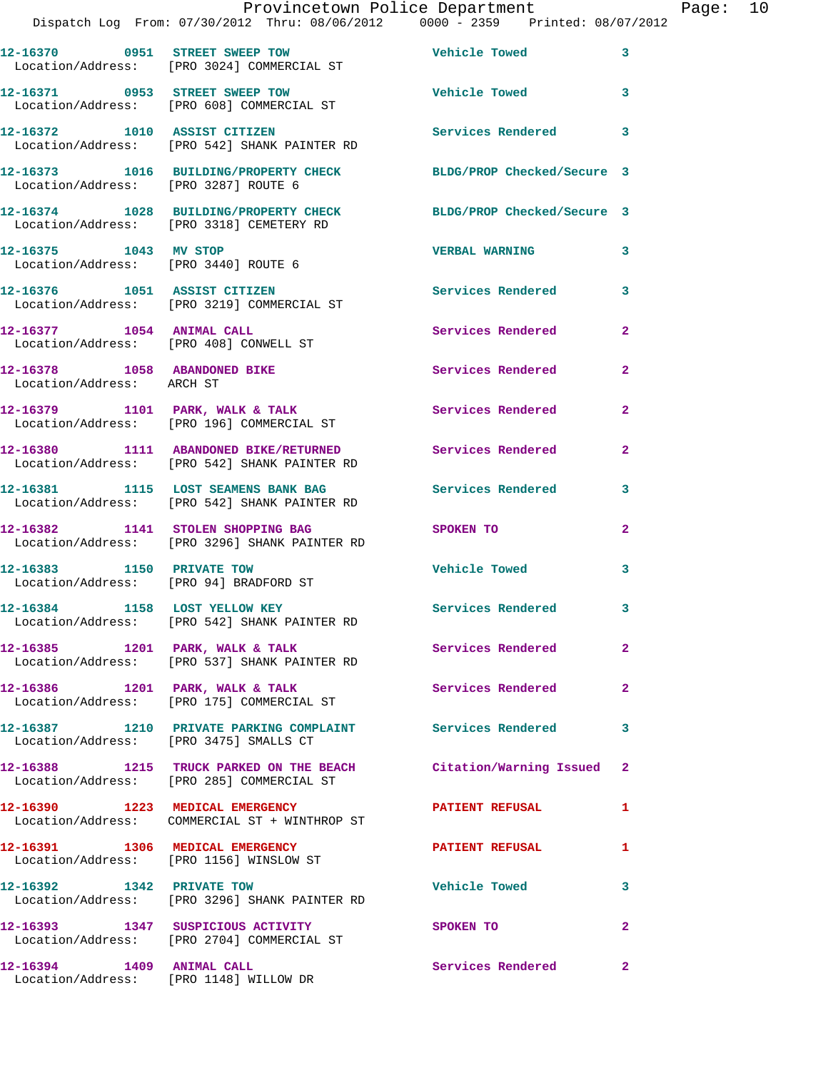|                                                           | Provincetown Police Department<br>Dispatch Log From: 07/30/2012 Thru: 08/06/2012 0000 - 2359 Printed: 08/07/2012 |                          |                         |
|-----------------------------------------------------------|------------------------------------------------------------------------------------------------------------------|--------------------------|-------------------------|
|                                                           | 12-16370 0951 STREET SWEEP TOW<br>Location/Address: [PRO 3024] COMMERCIAL ST                                     | Vehicle Towed            | 3                       |
|                                                           | 12-16371 0953 STREET SWEEP TOW<br>Location/Address: [PRO 608] COMMERCIAL ST                                      | Vehicle Towed            | 3                       |
|                                                           | 12-16372 1010 ASSIST CITIZEN<br>Location/Address: [PRO 542] SHANK PAINTER RD                                     | <b>Services Rendered</b> | 3                       |
| Location/Address: [PRO 3287] ROUTE 6                      | 12-16373 1016 BUILDING/PROPERTY CHECK BLDG/PROP Checked/Secure 3                                                 |                          |                         |
|                                                           | 12-16374 1028 BUILDING/PROPERTY CHECK BLDG/PROP Checked/Secure 3<br>Location/Address: [PRO 3318] CEMETERY RD     |                          |                         |
| 12-16375 1043 MV STOP                                     | Location/Address: [PRO 3440] ROUTE 6                                                                             | <b>VERBAL WARNING</b>    | 3                       |
|                                                           | 12-16376 1051 ASSIST CITIZEN<br>Location/Address: [PRO 3219] COMMERCIAL ST                                       | <b>Services Rendered</b> | 3                       |
| 12-16377 1054 ANIMAL CALL                                 | Location/Address: [PRO 408] CONWELL ST                                                                           | Services Rendered        | $\mathbf{2}$            |
| 12-16378 1058 ABANDONED BIKE<br>Location/Address: ARCH ST |                                                                                                                  | Services Rendered        | $\overline{\mathbf{2}}$ |
|                                                           | 12-16379 1101 PARK, WALK & TALK<br>Location/Address: [PRO 196] COMMERCIAL ST                                     | Services Rendered        | $\mathbf{2}$            |
|                                                           | 12-16380 1111 ABANDONED BIKE/RETURNED Services Rendered<br>Location/Address: [PRO 542] SHANK PAINTER RD          |                          | $\overline{2}$          |
|                                                           | 12-16381 1115 LOST SEAMENS BANK BAG Services Rendered<br>Location/Address: [PRO 542] SHANK PAINTER RD            |                          | 3                       |
|                                                           | 12-16382 1141 STOLEN SHOPPING BAG<br>Location/Address: [PRO 3296] SHANK PAINTER RD                               | SPOKEN TO                | $\overline{a}$          |
|                                                           | 12-16383 1150 PRIVATE TOW<br>Location/Address: [PRO 94] BRADFORD ST                                              | <b>Vehicle Towed</b>     | 3                       |
|                                                           | 12-16384 1158 LOST YELLOW KEY<br>Location/Address: [PRO 542] SHANK PAINTER RD                                    | Services Rendered        | 3                       |
| $12-16385$ 1201 PARK, WALK & TALK                         | Location/Address: [PRO 537] SHANK PAINTER RD                                                                     | Services Rendered        | $\overline{2}$          |
|                                                           | 12-16386 1201 PARK, WALK & TALK<br>Location/Address: [PRO 175] COMMERCIAL ST                                     | <b>Services Rendered</b> | $\mathbf{2}$            |
| Location/Address: [PRO 3475] SMALLS CT                    | 12-16387 1210 PRIVATE PARKING COMPLAINT Services Rendered                                                        |                          | 3                       |
|                                                           | 12-16388 1215 TRUCK PARKED ON THE BEACH Citation/Warning Issued<br>Location/Address: [PRO 285] COMMERCIAL ST     |                          | $\mathbf{2}$            |
|                                                           | 12-16390 1223 MEDICAL EMERGENCY<br>Location/Address: COMMERCIAL ST + WINTHROP ST                                 | <b>PATIENT REFUSAL</b>   | 1                       |
| 12-16391 1306 MEDICAL EMERGENCY                           | Location/Address: [PRO 1156] WINSLOW ST                                                                          | <b>PATIENT REFUSAL</b>   | 1                       |
|                                                           | 12-16392 1342 PRIVATE TOW<br>Location/Address: [PRO 3296] SHANK PAINTER RD                                       | <b>Vehicle Towed</b>     | 3                       |
|                                                           | 12-16393 1347 SUSPICIOUS ACTIVITY<br>Location/Address: [PRO 2704] COMMERCIAL ST                                  | <b>SPOKEN TO</b>         | $\overline{a}$          |
|                                                           |                                                                                                                  | Services Rendered        | $\mathbf{2}$            |

Location/Address: [PRO 1148] WILLOW DR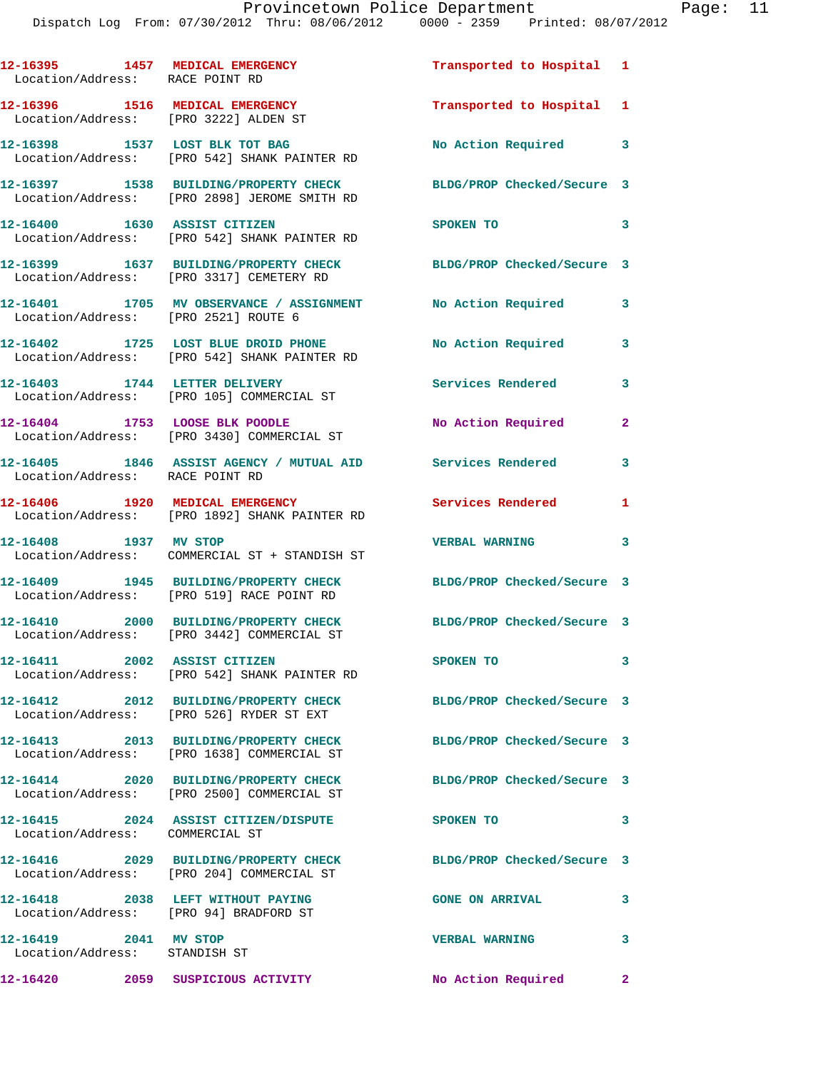| 12-16395 1457 MEDICAL EMERGENCY<br>Location/Address: RACE POINT RD       |                                                                                                     | Transported to Hospital 1  |                |
|--------------------------------------------------------------------------|-----------------------------------------------------------------------------------------------------|----------------------------|----------------|
| 12-16396 1516 MEDICAL EMERGENCY<br>Location/Address: [PRO 3222] ALDEN ST |                                                                                                     | Transported to Hospital 1  |                |
|                                                                          | 12-16398 1537 LOST BLK TOT BAG<br>Location/Address: [PRO 542] SHANK PAINTER RD                      | No Action Required         | 3              |
|                                                                          | 12-16397 1538 BUILDING/PROPERTY CHECK<br>Location/Address: [PRO 2898] JEROME SMITH RD               | BLDG/PROP Checked/Secure 3 |                |
| 12-16400 1630 ASSIST CITIZEN                                             | Location/Address: [PRO 542] SHANK PAINTER RD                                                        | SPOKEN TO                  | 3              |
|                                                                          | 12-16399 1637 BUILDING/PROPERTY CHECK<br>Location/Address: [PRO 3317] CEMETERY RD                   | BLDG/PROP Checked/Secure 3 |                |
|                                                                          | 12-16401 1705 MV OBSERVANCE / ASSIGNMENT No Action Required<br>Location/Address: [PRO 2521] ROUTE 6 |                            | 3              |
|                                                                          | 12-16402 1725 LOST BLUE DROID PHONE<br>Location/Address: [PRO 542] SHANK PAINTER RD                 | No Action Required         | 3              |
|                                                                          | 12-16403 1744 LETTER DELIVERY<br>Location/Address: [PRO 105] COMMERCIAL ST                          | Services Rendered          | 3              |
| 12-16404 1753 LOOSE BLK POODLE                                           | Location/Address: [PRO 3430] COMMERCIAL ST                                                          | No Action Required         | $\overline{2}$ |
| Location/Address: RACE POINT RD                                          | 12-16405 1846 ASSIST AGENCY / MUTUAL AID Services Rendered                                          |                            | 3              |
| 12-16406 1920 MEDICAL EMERGENCY                                          | Location/Address: [PRO 1892] SHANK PAINTER RD                                                       | Services Rendered          | 1              |
| 12-16408 1937 MV STOP                                                    | Location/Address: COMMERCIAL ST + STANDISH ST                                                       | <b>VERBAL WARNING</b>      | 3              |
|                                                                          | 12-16409 1945 BUILDING/PROPERTY CHECK<br>Location/Address: [PRO 519] RACE POINT RD                  | BLDG/PROP Checked/Secure 3 |                |
|                                                                          | 12-16410 2000 BUILDING/PROPERTY CHECK<br>Location/Address: [PRO 3442] COMMERCIAL ST                 | BLDG/PROP Checked/Secure 3 |                |
| 12-16411                                                                 | 2002 ASSIST CITIZEN<br>Location/Address: [PRO 542] SHANK PAINTER RD                                 | SPOKEN TO                  | 3              |
|                                                                          | 12-16412 2012 BUILDING/PROPERTY CHECK<br>Location/Address: [PRO 526] RYDER ST EXT                   | BLDG/PROP Checked/Secure 3 |                |
|                                                                          | 12-16413 2013 BUILDING/PROPERTY CHECK<br>Location/Address: [PRO 1638] COMMERCIAL ST                 | BLDG/PROP Checked/Secure 3 |                |
|                                                                          | Location/Address: [PRO 2500] COMMERCIAL ST                                                          | BLDG/PROP Checked/Secure 3 |                |
| Location/Address: COMMERCIAL ST                                          | 12-16415 2024 ASSIST CITIZEN/DISPUTE                                                                | SPOKEN TO                  | 3              |
|                                                                          | 12-16416 2029 BUILDING/PROPERTY CHECK<br>Location/Address: [PRO 204] COMMERCIAL ST                  | BLDG/PROP Checked/Secure 3 |                |
| Location/Address: [PRO 94] BRADFORD ST                                   | 12-16418 2038 LEFT WITHOUT PAYING                                                                   | <b>GONE ON ARRIVAL</b>     | 3              |
| 12-16419 2041 MV STOP<br>Location/Address: STANDISH ST                   |                                                                                                     | <b>VERBAL WARNING</b>      | 3              |
|                                                                          |                                                                                                     | No Action Required 2       |                |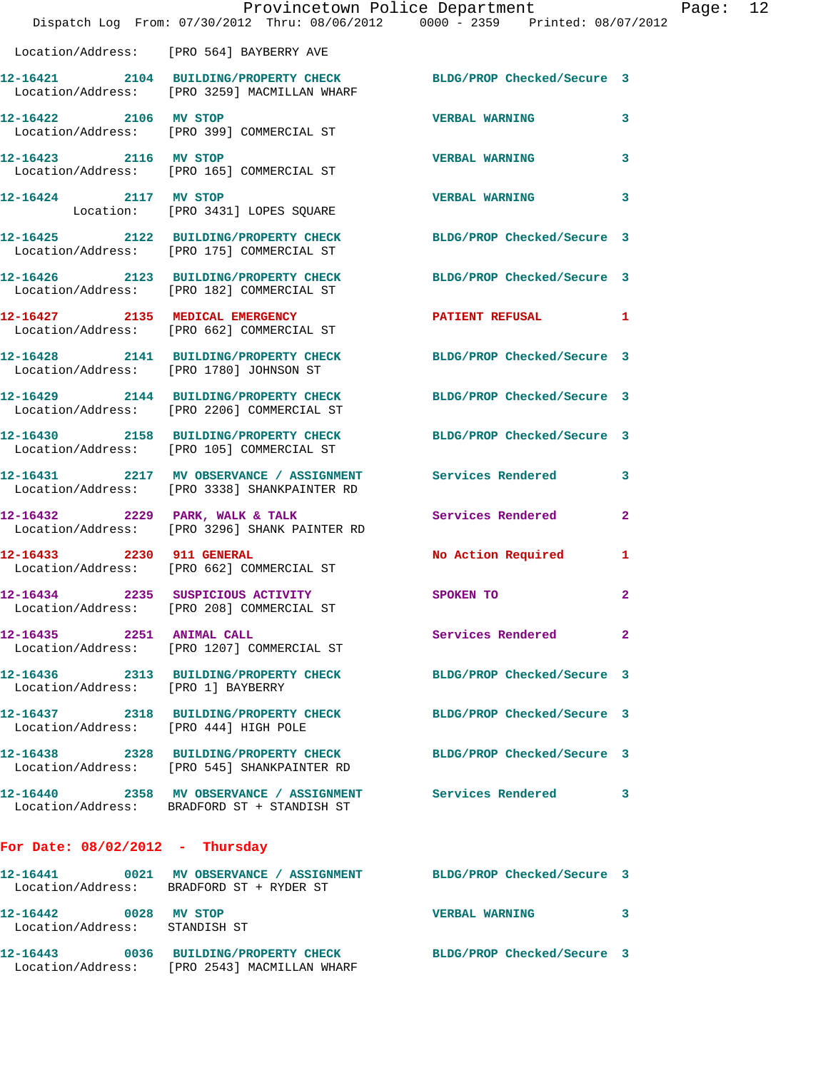|                                                        | Provincetown Police Department<br>Dispatch Log From: 07/30/2012 Thru: 08/06/2012 0000 - 2359 Printed: 08/07/2012 |                            |                |
|--------------------------------------------------------|------------------------------------------------------------------------------------------------------------------|----------------------------|----------------|
|                                                        | Location/Address: [PRO 564] BAYBERRY AVE                                                                         |                            |                |
|                                                        | 12-16421 2104 BUILDING/PROPERTY CHECK BLDG/PROP Checked/Secure 3<br>Location/Address: [PRO 3259] MACMILLAN WHARF |                            |                |
| 12-16422 2106 MV STOP                                  | Location/Address: [PRO 399] COMMERCIAL ST                                                                        | <b>VERBAL WARNING</b>      | 3              |
| 12-16423 2116 MV STOP                                  | Location/Address: [PRO 165] COMMERCIAL ST                                                                        | <b>VERBAL WARNING</b>      | 3              |
| 12-16424 2117 MV STOP                                  | Location: [PRO 3431] LOPES SQUARE                                                                                | <b>VERBAL WARNING</b>      | 3              |
|                                                        | 12-16425 2122 BUILDING/PROPERTY CHECK<br>Location/Address: [PRO 175] COMMERCIAL ST                               | BLDG/PROP Checked/Secure 3 |                |
|                                                        | 12-16426 2123 BUILDING/PROPERTY CHECK BLDG/PROP Checked/Secure 3<br>Location/Address: [PRO 182] COMMERCIAL ST    |                            |                |
|                                                        | 12-16427 2135 MEDICAL EMERGENCY<br>Location/Address: [PRO 662] COMMERCIAL ST                                     | <b>PATIENT REFUSAL</b>     | 1              |
|                                                        | 12-16428 2141 BUILDING/PROPERTY CHECK<br>Location/Address: [PRO 1780] JOHNSON ST                                 | BLDG/PROP Checked/Secure 3 |                |
|                                                        | 12-16429 2144 BUILDING/PROPERTY CHECK<br>Location/Address: [PRO 2206] COMMERCIAL ST                              | BLDG/PROP Checked/Secure 3 |                |
|                                                        | 12-16430 2158 BUILDING/PROPERTY CHECK<br>Location/Address: [PRO 105] COMMERCIAL ST                               | BLDG/PROP Checked/Secure 3 |                |
|                                                        | 12-16431 2217 MV OBSERVANCE / ASSIGNMENT Services Rendered<br>Location/Address: [PRO 3338] SHANKPAINTER RD       |                            | 3              |
|                                                        | 12-16432 2229 PARK, WALK & TALK<br>Location/Address: [PRO 3296] SHANK PAINTER RD                                 | Services Rendered          | $\overline{a}$ |
| 12-16433 2230 911 GENERAL                              | Location/Address: [PRO 662] COMMERCIAL ST                                                                        | No Action Required         | 1              |
|                                                        | 12-16434 2235 SUSPICIOUS ACTIVITY SPOKEN TO<br>Location/Address: [PRO 208] COMMERCIAL ST                         |                            | $\overline{a}$ |
| 12-16435 2251 ANIMAL CALL                              | Location/Address: [PRO 1207] COMMERCIAL ST                                                                       | Services Rendered          | $\overline{2}$ |
| Location/Address: [PRO 1] BAYBERRY                     | 12-16436 2313 BUILDING/PROPERTY CHECK                                                                            | BLDG/PROP Checked/Secure 3 |                |
| Location/Address: [PRO 444] HIGH POLE                  | 12-16437 2318 BUILDING/PROPERTY CHECK BLDG/PROP Checked/Secure 3                                                 |                            |                |
|                                                        | 12-16438 2328 BUILDING/PROPERTY CHECK BLDG/PROP Checked/Secure 3<br>Location/Address: [PRO 545] SHANKPAINTER RD  |                            |                |
|                                                        | 12-16440 2358 MV OBSERVANCE / ASSIGNMENT Services Rendered<br>Location/Address: BRADFORD ST + STANDISH ST        |                            | 3              |
| For Date: $08/02/2012$ - Thursday                      |                                                                                                                  |                            |                |
|                                                        | 12-16441 0021 MV OBSERVANCE / ASSIGNMENT BLDG/PROP Checked/Secure 3<br>Location/Address: BRADFORD ST + RYDER ST  |                            |                |
| 12-16442 0028 MV STOP<br>Location/Address: STANDISH ST |                                                                                                                  | <b>VERBAL WARNING</b>      | 3              |
|                                                        | 12-16443 0036 BUILDING/PROPERTY CHECK<br>Location/Address: [PRO 2543] MACMILLAN WHARF                            | BLDG/PROP Checked/Secure 3 |                |

Page:  $12$ <br>012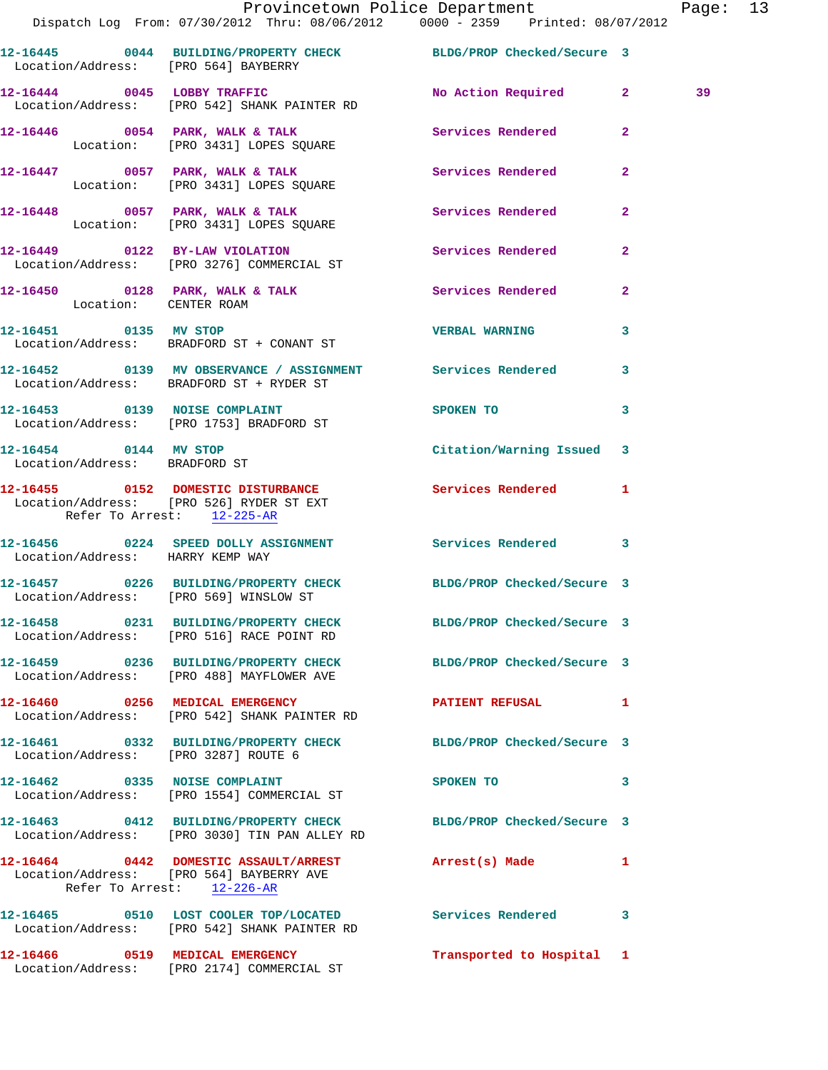|                                                        | Provincetown Police Department The Rage: 13                                                                                    |                                                                                                               |              |    |  |
|--------------------------------------------------------|--------------------------------------------------------------------------------------------------------------------------------|---------------------------------------------------------------------------------------------------------------|--------------|----|--|
|                                                        | 12-16445 0044 BUILDING/PROPERTY CHECK BLDG/PROP Checked/Secure 3<br>Location/Address: [PRO 564] BAYBERRY                       |                                                                                                               |              |    |  |
|                                                        | 12-16444 0045 LOBBY TRAFFIC No Action Required 2<br>Location/Address: [PRO 542] SHANK PAINTER RD                               |                                                                                                               |              | 39 |  |
|                                                        |                                                                                                                                |                                                                                                               |              |    |  |
|                                                        |                                                                                                                                |                                                                                                               | $\mathbf{2}$ |    |  |
|                                                        | 12-16448 0057 PARK, WALK & TALK Services Rendered Location: [PRO 3431] LOPES SQUARE                                            |                                                                                                               | $\mathbf{2}$ |    |  |
|                                                        | 12-16449 0122 BY-LAW VIOLATION Services Rendered<br>Location/Address: [PRO 3276] COMMERCIAL ST                                 |                                                                                                               | $\mathbf{2}$ |    |  |
| Location: CENTER ROAM                                  | 12-16450 0128 PARK, WALK & TALK Services Rendered 2                                                                            |                                                                                                               |              |    |  |
|                                                        | 12-16451 0135 MV STOP VERBAL WARNING<br>Location/Address: BRADFORD ST + CONANT ST                                              |                                                                                                               | $\mathbf{3}$ |    |  |
|                                                        | 12-16452 0139 MV OBSERVANCE / ASSIGNMENT Services Rendered 3<br>Location/Address: BRADFORD ST + RYDER ST                       |                                                                                                               |              |    |  |
|                                                        | 12-16453 0139 NOISE COMPLAINT<br>Location/Address: [PRO 1753] BRADFORD ST                                                      | SPOKEN TO AND TO A STATE OF THE STATE OF THE STATE OF THE STATE OF THE STATE OF THE STATE OF THE STATE OF THE | $\mathbf{3}$ |    |  |
| 12-16454 0144 MV STOP<br>Location/Address: BRADFORD ST |                                                                                                                                | Citation/Warning Issued 3                                                                                     |              |    |  |
| Refer To Arrest: 12-225-AR                             |                                                                                                                                |                                                                                                               |              |    |  |
| Location/Address: HARRY KEMP WAY                       | 12-16456 0224 SPEED DOLLY ASSIGNMENT Services Rendered 3                                                                       |                                                                                                               |              |    |  |
| Location/Address: [PRO 569] WINSLOW ST                 | 12-16457 0226 BUILDING/PROPERTY CHECK BLDG/PROP Checked/Secure 3                                                               |                                                                                                               |              |    |  |
|                                                        | 12-16458 0231 BUILDING/PROPERTY CHECK BLDG/PROP Checked/Secure 3<br>Location/Address: [PRO 516] RACE POINT RD                  |                                                                                                               |              |    |  |
|                                                        | 12-16459 0236 BUILDING/PROPERTY CHECK BLDG/PROP Checked/Secure 3<br>Location/Address: [PRO 488] MAYFLOWER AVE                  |                                                                                                               |              |    |  |
|                                                        | 12-16460 0256 MEDICAL EMERGENCY CONTROL PATIENT REFUSAL 1<br>Location/Address: [PRO 542] SHANK PAINTER RD                      |                                                                                                               |              |    |  |
| Location/Address: [PRO 3287] ROUTE 6                   | 12-16461 0332 BUILDING/PROPERTY CHECK BLDG/PROP Checked/Secure 3                                                               |                                                                                                               |              |    |  |
|                                                        | 12-16462 0335 NOISE COMPLAINT<br>Location/Address: [PRO 1554] COMMERCIAL ST                                                    | SPOKEN TO THE STATE OF THE SPOKEN TO                                                                          | $\mathbf{3}$ |    |  |
|                                                        | 12-16463  0412  BUILDING/PROPERTY CHECK BLDG/PROP Checked/Secure 3<br>Location/Address: [PRO 3030] TIN PAN ALLEY RD            |                                                                                                               |              |    |  |
|                                                        | 12-16464 0442 DOMESTIC ASSAULT/ARREST Arrest(s) Made<br>Location/Address: [PRO 564] BAYBERRY AVE<br>Refer To Arrest: 12-226-AR |                                                                                                               | 1            |    |  |
|                                                        | 12-16465 0510 LOST COOLER TOP/LOCATED Services Rendered 3<br>Location/Address: [PRO 542] SHANK PAINTER RD                      |                                                                                                               |              |    |  |
|                                                        | 12-16466 0519 MEDICAL EMERGENCY<br>Location/Address: [PRO 2174] COMMERCIAL ST                                                  | Transported to Hospital 1                                                                                     |              |    |  |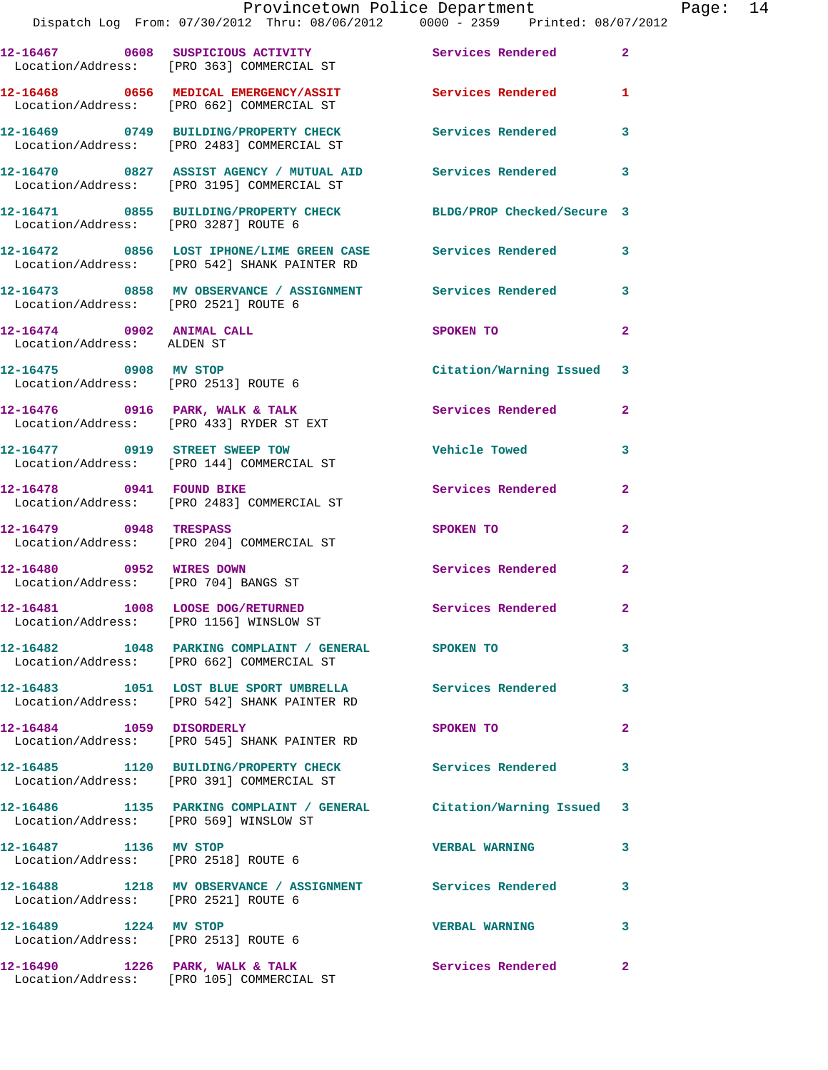|                                                                  | Provincetown Police Department<br>Dispatch Log From: 07/30/2012 Thru: 08/06/2012 0000 - 2359 Printed: 08/07/2012 |                          |                |
|------------------------------------------------------------------|------------------------------------------------------------------------------------------------------------------|--------------------------|----------------|
|                                                                  | 12-16467 0608 SUSPICIOUS ACTIVITY Services Rendered<br>Location/Address: [PRO 363] COMMERCIAL ST                 |                          | $\overline{a}$ |
|                                                                  | 12-16468 0656 MEDICAL EMERGENCY/ASSIT Services Rendered<br>Location/Address: [PRO 662] COMMERCIAL ST             |                          | 1              |
|                                                                  | 12-16469 0749 BUILDING/PROPERTY CHECK Services Rendered<br>Location/Address: [PRO 2483] COMMERCIAL ST            |                          | 3              |
|                                                                  | 12-16470 0827 ASSIST AGENCY / MUTUAL AID Services Rendered<br>Location/Address: [PRO 3195] COMMERCIAL ST         |                          | 3              |
|                                                                  | 12-16471 0855 BUILDING/PROPERTY CHECK BLDG/PROP Checked/Secure 3<br>Location/Address: [PRO 3287] ROUTE 6         |                          |                |
|                                                                  | 12-16472 0856 LOST IPHONE/LIME GREEN CASE Services Rendered<br>Location/Address: [PRO 542] SHANK PAINTER RD      |                          | 3              |
|                                                                  |                                                                                                                  |                          | 3              |
| 12-16474 0902 ANIMAL CALL<br>Location/Address: ALDEN ST          |                                                                                                                  | SPOKEN TO                | $\mathbf{2}$   |
| 12-16475 0908 MV STOP                                            | Location/Address: [PRO 2513] ROUTE 6                                                                             | Citation/Warning Issued  | 3              |
|                                                                  | $12-16476$ 0916 PARK, WALK & TALK<br>Location/Address: [PRO 433] RYDER ST EXT                                    | Services Rendered        | $\mathbf{2}$   |
|                                                                  | 12-16477 0919 STREET SWEEP TOW<br>Location/Address: [PRO 144] COMMERCIAL ST                                      | <b>Vehicle Towed</b>     | 3              |
|                                                                  | 12-16478 0941 FOUND BIKE<br>Location/Address: [PRO 2483] COMMERCIAL ST                                           | Services Rendered        | $\mathbf{2}$   |
| 12-16479 0948 TRESPASS                                           | Location/Address: [PRO 204] COMMERCIAL ST                                                                        | SPOKEN TO                | $\overline{a}$ |
| 12-16480 0952 WIRES DOWN<br>Location/Address: [PRO 704] BANGS ST |                                                                                                                  | <b>Services Rendered</b> | $\overline{2}$ |
| Location/Address: [PRO 1156] WINSLOW ST                          | 12-16481 1008 LOOSE DOG/RETURNED                                                                                 | Services Rendered        | 2              |
|                                                                  | 12-16482 1048 PARKING COMPLAINT / GENERAL SPOKEN TO<br>Location/Address: [PRO 662] COMMERCIAL ST                 |                          | 3              |
|                                                                  | 12-16483 1051 LOST BLUE SPORT UMBRELLA Services Rendered<br>Location/Address: [PRO 542] SHANK PAINTER RD         |                          | 3              |
| 12-16484 1059 DISORDERLY                                         | Location/Address: [PRO 545] SHANK PAINTER RD                                                                     | SPOKEN TO                | 2              |
|                                                                  | 12-16485 1120 BUILDING/PROPERTY CHECK<br>Location/Address: [PRO 391] COMMERCIAL ST                               | Services Rendered        | 3              |
| Location/Address: [PRO 569] WINSLOW ST                           | 12-16486 1135 PARKING COMPLAINT / GENERAL Citation/Warning Issued                                                |                          | 3              |
| 12-16487 1136 MV STOP                                            | Location/Address: [PRO 2518] ROUTE 6                                                                             | <b>VERBAL WARNING</b>    | 3              |
| Location/Address: [PRO 2521] ROUTE 6                             | 12-16488 1218 MV OBSERVANCE / ASSIGNMENT Services Rendered                                                       |                          | 3              |
| 12-16489 1224 MV STOP<br>Location/Address: [PRO 2513] ROUTE 6    |                                                                                                                  | <b>VERBAL WARNING</b>    | 3              |
|                                                                  | 12-16490 1226 PARK, WALK & TALK                                                                                  | Services Rendered        | $\overline{2}$ |

Location/Address: [PRO 105] COMMERCIAL ST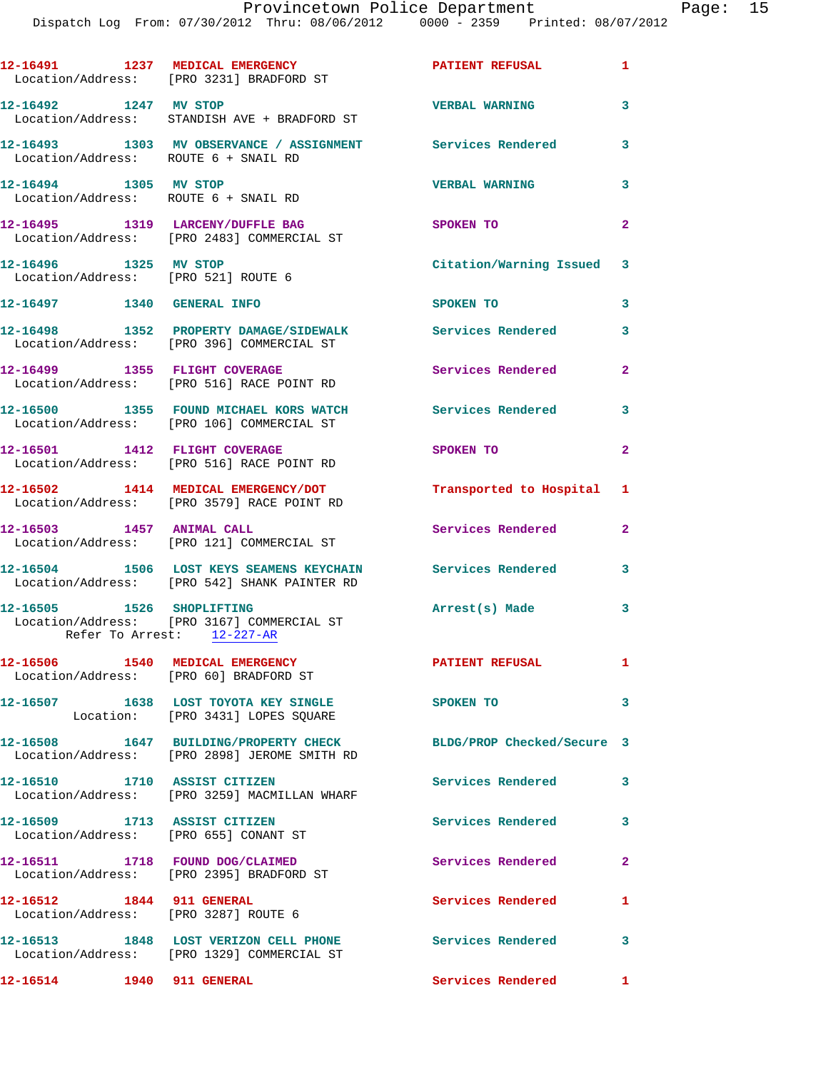|                                                                           | 12-16491 1237 MEDICAL EMERGENCY<br>Location/Address: [PRO 3231] BRADFORD ST                                  | <b>PATIENT REFUSAL</b>     | $\blacksquare$ |
|---------------------------------------------------------------------------|--------------------------------------------------------------------------------------------------------------|----------------------------|----------------|
| 12-16492 1247 MV STOP                                                     | Location/Address: STANDISH AVE + BRADFORD ST                                                                 | <b>VERBAL WARNING</b>      | 3              |
| Location/Address: ROUTE 6 + SNAIL RD                                      | 12-16493 1303 MV OBSERVANCE / ASSIGNMENT Services Rendered                                                   |                            | 3              |
| 12-16494 1305 MV STOP<br>Location/Address: ROUTE 6 + SNAIL RD             |                                                                                                              | <b>VERBAL WARNING</b>      | 3              |
|                                                                           | 12-16495 1319 LARCENY/DUFFLE BAG<br>Location/Address: [PRO 2483] COMMERCIAL ST                               | SPOKEN TO                  | $\overline{2}$ |
| 12-16496 1325 MV STOP<br>Location/Address: [PRO 521] ROUTE 6              |                                                                                                              | Citation/Warning Issued 3  |                |
| 12-16497 1340 GENERAL INFO                                                |                                                                                                              | SPOKEN TO                  | 3              |
|                                                                           | 12-16498 1352 PROPERTY DAMAGE/SIDEWALK<br>Location/Address: [PRO 396] COMMERCIAL ST                          | Services Rendered          | 3              |
| 12-16499 1355 FLIGHT COVERAGE                                             | Location/Address: [PRO 516] RACE POINT RD                                                                    | Services Rendered          | $\overline{2}$ |
|                                                                           | 12-16500 1355 FOUND MICHAEL KORS WATCH<br>Location/Address: [PRO 106] COMMERCIAL ST                          | <b>Services Rendered</b>   | 3              |
| 12-16501 1412 FLIGHT COVERAGE                                             | Location/Address: [PRO 516] RACE POINT RD                                                                    | SPOKEN TO                  | $\overline{2}$ |
|                                                                           | 12-16502 1414 MEDICAL EMERGENCY/DOT<br>Location/Address: [PRO 3579] RACE POINT RD                            | Transported to Hospital 1  |                |
| 12-16503 1457 ANIMAL CALL                                                 | Location/Address: [PRO 121] COMMERCIAL ST                                                                    | Services Rendered          | $\mathbf{2}$   |
|                                                                           | 12-16504 1506 LOST KEYS SEAMENS KEYCHAIN Services Rendered 3<br>Location/Address: [PRO 542] SHANK PAINTER RD |                            |                |
| 12-16505 1526 SHOPLIFTING                                                 | Location/Address: [PRO 3167] COMMERCIAL ST<br>Refer To Arrest: 12-227-AR                                     | Arrest(s) Made             | 3              |
| 12-16506 1540 MEDICAL EMERGENCY<br>Location/Address: [PRO 60] BRADFORD ST |                                                                                                              | <b>PATIENT REFUSAL</b>     | $\mathbf{1}$   |
|                                                                           | 12-16507 1638 LOST TOYOTA KEY SINGLE<br>Location: [PRO 3431] LOPES SQUARE                                    | <b>SPOKEN TO</b>           | 3              |
|                                                                           | 12-16508 1647 BUILDING/PROPERTY CHECK<br>Location/Address: [PRO 2898] JEROME SMITH RD                        | BLDG/PROP Checked/Secure 3 |                |
| 12-16510 1710 ASSIST CITIZEN                                              | Location/Address: [PRO 3259] MACMILLAN WHARF                                                                 | Services Rendered          | 3              |
| 12-16509 1713 ASSIST CITIZEN                                              | Location/Address: [PRO 655] CONANT ST                                                                        | <b>Services Rendered</b>   | 3              |
|                                                                           | 12-16511 1718 FOUND DOG/CLAIMED<br>Location/Address: [PRO 2395] BRADFORD ST                                  | Services Rendered          | $\mathbf{2}$   |
| 12-16512 1844 911 GENERAL                                                 | Location/Address: [PRO 3287] ROUTE 6                                                                         | <b>Services Rendered</b>   | 1              |
|                                                                           | 12-16513 1848 LOST VERIZON CELL PHONE Services Rendered<br>Location/Address: [PRO 1329] COMMERCIAL ST        |                            | 3              |
| 12-16514 1940 911 GENERAL                                                 |                                                                                                              | Services Rendered          | $\mathbf{1}$   |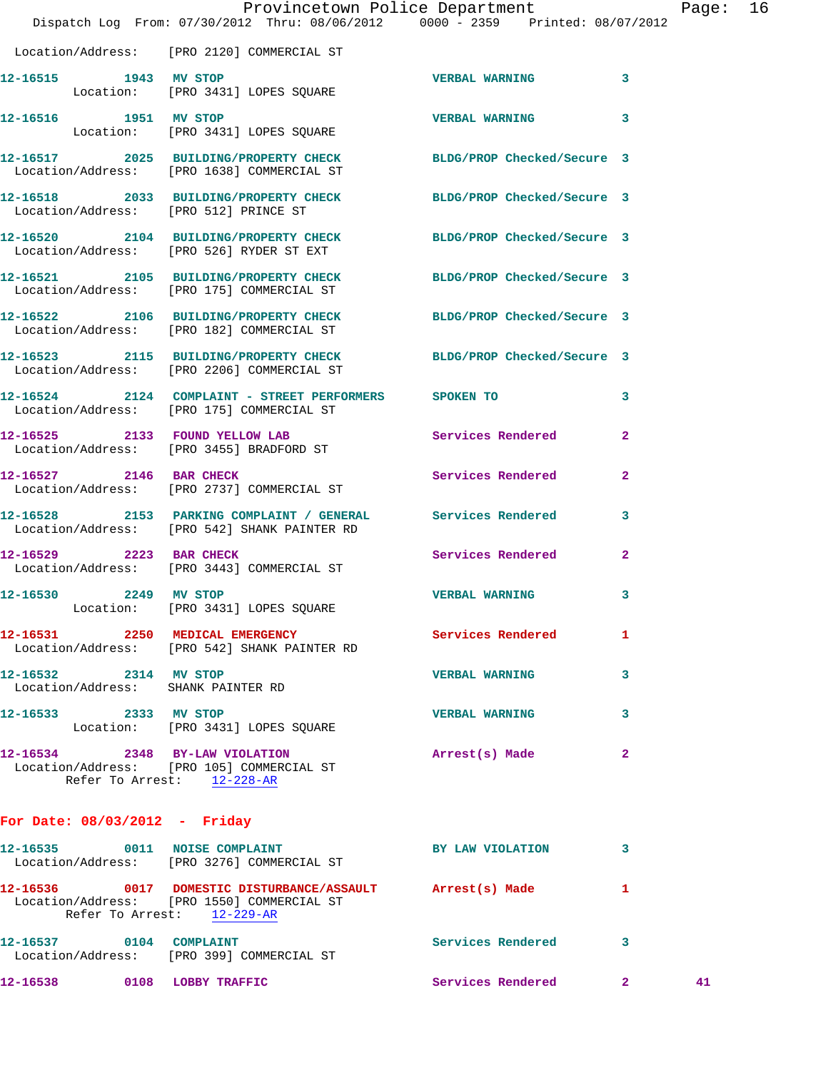|                                                             | Provincetown Police Department The Rage: 16<br>Dispatch Log From: 07/30/2012 Thru: 08/06/2012   0000 - 2359   Printed: 08/07/2012 |                       |                |  |
|-------------------------------------------------------------|-----------------------------------------------------------------------------------------------------------------------------------|-----------------------|----------------|--|
|                                                             | Location/Address: [PRO 2120] COMMERCIAL ST                                                                                        |                       |                |  |
|                                                             | 12-16515 1943 MV STOP<br>Location: [PRO 3431] LOPES SQUARE                                                                        | <b>VERBAL WARNING</b> | 3              |  |
| 12-16516 1951 MV STOP                                       | Location: [PRO 3431] LOPES SQUARE                                                                                                 | <b>VERBAL WARNING</b> | 3              |  |
|                                                             | 12-16517 2025 BUILDING/PROPERTY CHECK BLDG/PROP Checked/Secure 3<br>Location/Address: [PRO 1638] COMMERCIAL ST                    |                       |                |  |
| Location/Address: [PRO 512] PRINCE ST                       | 12-16518 2033 BUILDING/PROPERTY CHECK BLDG/PROP Checked/Secure 3                                                                  |                       |                |  |
|                                                             | 12-16520 2104 BUILDING/PROPERTY CHECK BLDG/PROP Checked/Secure 3<br>Location/Address: [PRO 526] RYDER ST EXT                      |                       |                |  |
|                                                             | 12-16521 2105 BUILDING/PROPERTY CHECK BLDG/PROP Checked/Secure 3<br>Location/Address: [PRO 175] COMMERCIAL ST                     |                       |                |  |
|                                                             | 12-16522 2106 BUILDING/PROPERTY CHECK BLDG/PROP Checked/Secure 3<br>Location/Address: [PRO 182] COMMERCIAL ST                     |                       |                |  |
|                                                             | 12-16523 2115 BUILDING/PROPERTY CHECK BLDG/PROP Checked/Secure 3<br>Location/Address: [PRO 2206] COMMERCIAL ST                    |                       |                |  |
|                                                             | 12-16524  2124  COMPLAINT - STREET PERFORMERS  SPOKEN TO<br>Location/Address: [PRO 175] COMMERCIAL ST                             |                       | 3              |  |
|                                                             | 12-16525 2133 FOUND YELLOW LAB<br>Location/Address: [PRO 3455] BRADFORD ST                                                        | Services Rendered     | $\overline{a}$ |  |
|                                                             | 12-16527 2146 BAR CHECK<br>Location/Address: [PRO 2737] COMMERCIAL ST                                                             | Services Rendered     | $\overline{2}$ |  |
|                                                             | 12-16528 2153 PARKING COMPLAINT / GENERAL Services Rendered<br>Location/Address: [PRO 542] SHANK PAINTER RD                       |                       | 3              |  |
|                                                             | 12-16529 2223 BAR CHECK<br>Location/Address: [PRO 3443] COMMERCIAL ST                                                             | Services Rendered 2   |                |  |
| 12-16530 2249 MV STOP                                       | Location: [PRO 3431] LOPES SQUARE                                                                                                 | <b>VERBAL WARNING</b> | 3              |  |
|                                                             | 12-16531 2250 MEDICAL EMERGENCY<br>Location/Address: [PRO 542] SHANK PAINTER RD                                                   | Services Rendered     | 1              |  |
| 12-16532 2314 MV STOP<br>Location/Address: SHANK PAINTER RD |                                                                                                                                   | <b>VERBAL WARNING</b> | 3              |  |
| 12-16533 2333 MV STOP                                       | Location: [PRO 3431] LOPES SQUARE                                                                                                 | <b>VERBAL WARNING</b> | 3              |  |
|                                                             | 12-16534 2348 BY-LAW VIOLATION<br>Location/Address: [PRO 105] COMMERCIAL ST<br>Refer To Arrest: 12-228-AR                         | Arrest(s) Made        | 2              |  |

## **For Date: 08/03/2012 - Friday**

| 12-16535 | 0011             | <b>NOISE COMPLAINT</b>                     | BY LAW VIOLATION  |   |    |
|----------|------------------|--------------------------------------------|-------------------|---|----|
|          |                  | Location/Address: [PRO 3276] COMMERCIAL ST |                   |   |    |
| 12-16536 | 0017             | DOMESTIC DISTURBANCE/ASSAULT               | Arrest(s) Made    |   |    |
|          |                  | Location/Address: [PRO 1550] COMMERCIAL ST |                   |   |    |
|          | Refer To Arrest: | 12-229-AR                                  |                   |   |    |
| 12-16537 | 0104             | COMPLAINT                                  | Services Rendered | 3 |    |
|          |                  | Location/Address: [PRO 399] COMMERCIAL ST  |                   |   |    |
| 12-16538 | 0108             | LOBBY TRAFFIC                              | Services Rendered | 2 | 41 |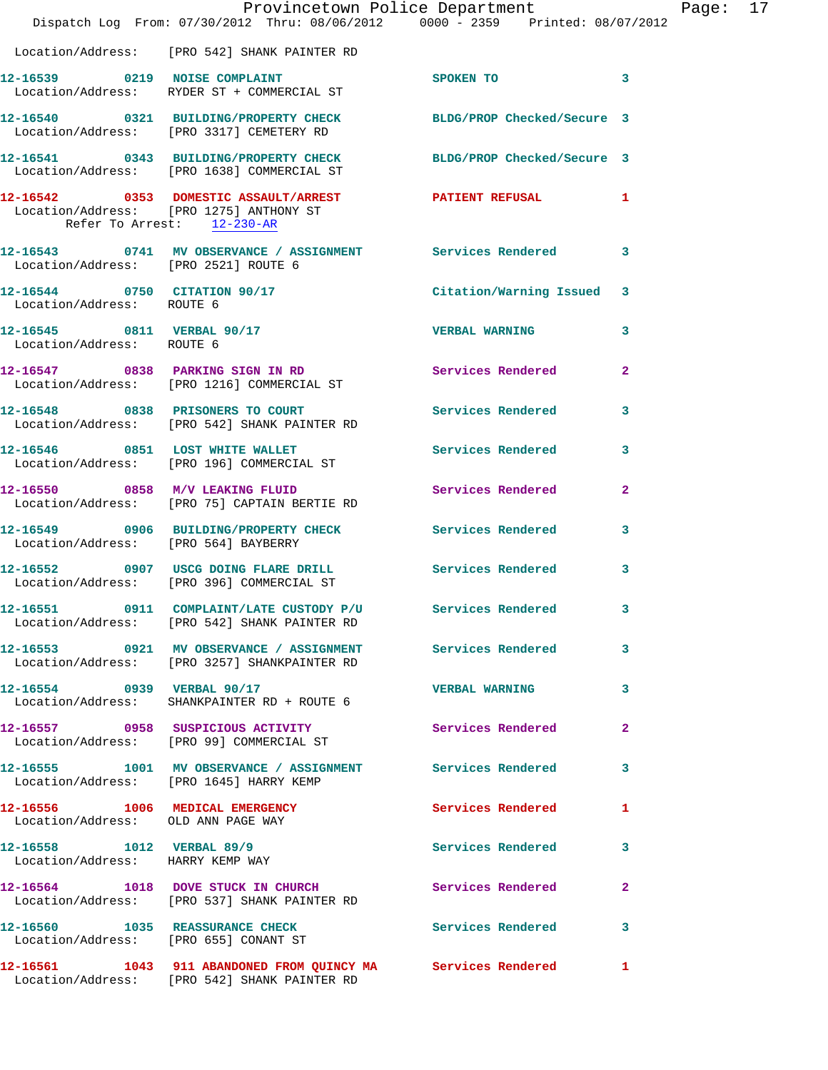|                                                                       | Provincetown Police Department<br>Dispatch Log From: 07/30/2012 Thru: 08/06/2012 0000 - 2359 Printed: 08/07/2012 |                          |                         |
|-----------------------------------------------------------------------|------------------------------------------------------------------------------------------------------------------|--------------------------|-------------------------|
|                                                                       |                                                                                                                  |                          |                         |
|                                                                       | Location/Address: [PRO 542] SHANK PAINTER RD                                                                     |                          |                         |
|                                                                       | 12-16539 0219 NOISE COMPLAINT<br>Location/Address: RYDER ST + COMMERCIAL ST                                      | <b>SPOKEN TO</b>         | 3                       |
|                                                                       | 12-16540 0321 BUILDING/PROPERTY CHECK BLDG/PROP Checked/Secure 3<br>Location/Address: [PRO 3317] CEMETERY RD     |                          |                         |
|                                                                       | 12-16541 0343 BUILDING/PROPERTY CHECK BLDG/PROP Checked/Secure 3<br>Location/Address: [PRO 1638] COMMERCIAL ST   |                          |                         |
| Refer To Arrest: 12-230-AR                                            | 12-16542 0353 DOMESTIC ASSAULT/ARREST PATIENT REFUSAL<br>Location/Address: [PRO 1275] ANTHONY ST                 |                          | 1                       |
|                                                                       | 12-16543 0741 MV OBSERVANCE / ASSIGNMENT Services Rendered<br>Location/Address: [PRO 2521] ROUTE 6               |                          | 3                       |
| 12-16544 0750 CITATION 90/17<br>Location/Address: ROUTE 6             |                                                                                                                  | Citation/Warning Issued  | 3                       |
| Location/Address: ROUTE 6                                             | 12-16545 0811 VERBAL 90/17                                                                                       | <b>VERBAL WARNING</b>    | 3                       |
|                                                                       | 12-16547 0838 PARKING SIGN IN RD<br>Location/Address: [PRO 1216] COMMERCIAL ST                                   | Services Rendered        | $\overline{\mathbf{2}}$ |
|                                                                       | 12-16548 0838 PRISONERS TO COURT<br>Location/Address: [PRO 542] SHANK PAINTER RD                                 | Services Rendered        | 3                       |
|                                                                       | 12-16546 0851 LOST WHITE WALLET<br>Location/Address: [PRO 196] COMMERCIAL ST                                     | Services Rendered        | 3                       |
|                                                                       | 12-16550 0858 M/V LEAKING FLUID<br>Location/Address: [PRO 75] CAPTAIN BERTIE RD                                  | <b>Services Rendered</b> | 2                       |
| Location/Address: [PRO 564] BAYBERRY                                  | 12-16549 0906 BUILDING/PROPERTY CHECK Services Rendered                                                          |                          | 3                       |
|                                                                       | 12-16552 0907 USCG DOING FLARE DRILL<br>Location/Address: [PRO 396] COMMERCIAL ST                                | Services Rendered        | 3                       |
| 12-16551                                                              | 0911 COMPLAINT/LATE CUSTODY P/U<br>Location/Address: [PRO 542] SHANK PAINTER RD                                  | Services Rendered        | 3                       |
|                                                                       | 12-16553 0921 MV OBSERVANCE / ASSIGNMENT<br>Location/Address: [PRO 3257] SHANKPAINTER RD                         | Services Rendered        | 3                       |
|                                                                       | 12-16554 0939 VERBAL 90/17<br>Location/Address: SHANKPAINTER RD + ROUTE 6                                        | <b>VERBAL WARNING</b>    | 3                       |
|                                                                       | 12-16557 0958 SUSPICIOUS ACTIVITY<br>Location/Address: [PRO 99] COMMERCIAL ST                                    | <b>Services Rendered</b> | $\mathbf{2}$            |
|                                                                       | 12-16555 1001 MV OBSERVANCE / ASSIGNMENT Services Rendered<br>Location/Address: [PRO 1645] HARRY KEMP            |                          | 3                       |
| 12-16556 1006 MEDICAL EMERGENCY<br>Location/Address: OLD ANN PAGE WAY |                                                                                                                  | Services Rendered        | 1                       |
| 12-16558 1012 VERBAL 89/9<br>Location/Address: HARRY KEMP WAY         |                                                                                                                  | Services Rendered        | 3                       |
|                                                                       | 12-16564 1018 DOVE STUCK IN CHURCH<br>Location/Address: [PRO 537] SHANK PAINTER RD                               | Services Rendered        | $\mathbf{2}$            |
| Location/Address: [PRO 655] CONANT ST                                 | 12-16560 1035 REASSURANCE CHECK                                                                                  | Services Rendered        | 3                       |
|                                                                       | 12-16561 1043 911 ABANDONED FROM QUINCY MA Services Rendered<br>Location/Address: [PRO 542] SHANK PAINTER RD     |                          | 1                       |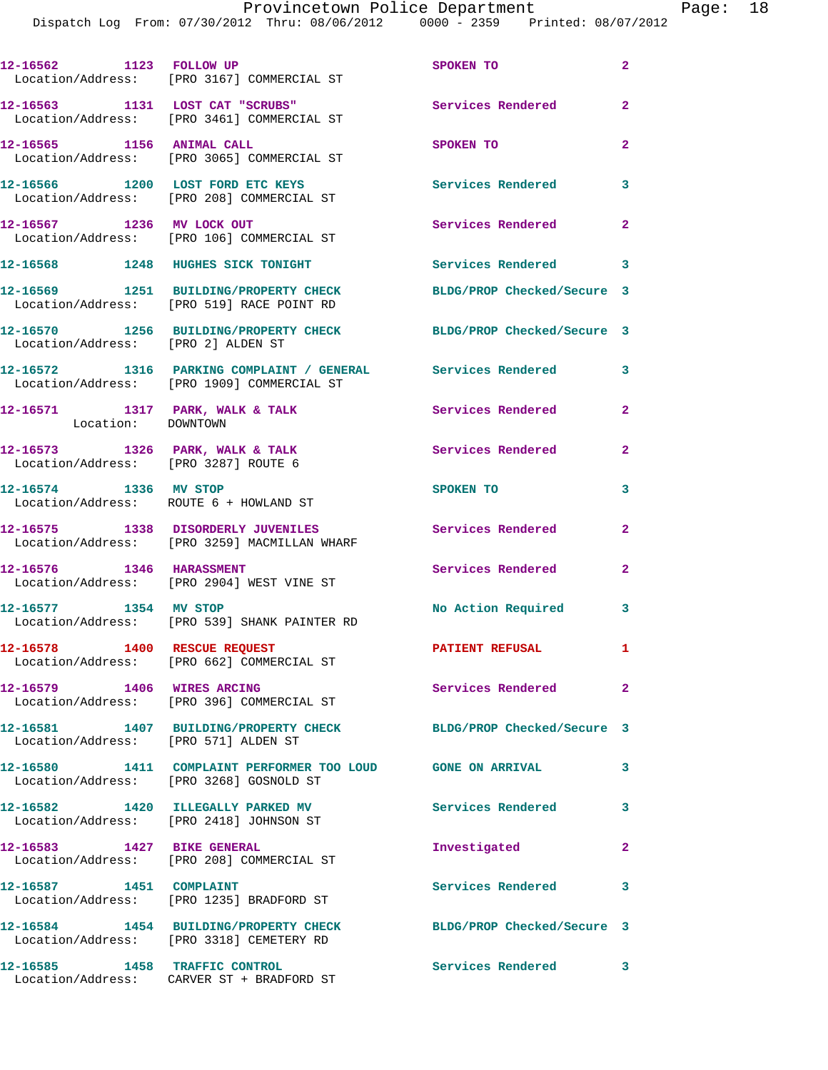|                                         | 12-16562 1123 FOLLOW UP<br>Location/Address: [PRO 3167] COMMERCIAL ST                                        | SPOKEN TO                     | $\mathbf{2}$            |
|-----------------------------------------|--------------------------------------------------------------------------------------------------------------|-------------------------------|-------------------------|
|                                         | 12-16563 1131 LOST CAT "SCRUBS"<br>Location/Address: [PRO 3461] COMMERCIAL ST                                | Services Rendered             | $\mathbf{2}$            |
| 12-16565 1156 ANIMAL CALL               | Location/Address: [PRO 3065] COMMERCIAL ST                                                                   | SPOKEN TO                     | $\overline{2}$          |
|                                         | 12-16566 1200 LOST FORD ETC KEYS<br>Location/Address: [PRO 208] COMMERCIAL ST                                | <b>Services Rendered</b>      | $\overline{\mathbf{3}}$ |
|                                         | 12-16567 1236 MV LOCK OUT<br>Location/Address: [PRO 106] COMMERCIAL ST                                       | Services Rendered             | $\mathbf{2}$            |
|                                         | 12-16568 1248 HUGHES SICK TONIGHT                                                                            | Services Rendered 3           |                         |
|                                         | 12-16569 1251 BUILDING/PROPERTY CHECK<br>Location/Address: [PRO 519] RACE POINT RD                           | BLDG/PROP Checked/Secure 3    |                         |
| Location/Address: [PRO 2] ALDEN ST      | 12-16570 1256 BUILDING/PROPERTY CHECK BLDG/PROP Checked/Secure 3                                             |                               |                         |
|                                         | 12-16572 1316 PARKING COMPLAINT / GENERAL Services Rendered<br>Location/Address: [PRO 1909] COMMERCIAL ST    |                               | $\overline{\mathbf{3}}$ |
| Location: DOWNTOWN                      | 12-16571 1317 PARK, WALK & TALK                                                                              | Services Rendered 2           |                         |
| Location/Address: [PRO 3287] ROUTE 6    | 12-16573 1326 PARK, WALK & TALK                                                                              | <b>Services Rendered</b>      | $\mathbf{2}$            |
| 12-16574 1336 MV STOP                   | Location/Address: ROUTE 6 + HOWLAND ST                                                                       | SPOKEN TO                     | $\mathbf{3}$            |
|                                         | 12-16575 1338 DISORDERLY JUVENILES<br>Location/Address: [PRO 3259] MACMILLAN WHARF                           | <b>Services Rendered</b>      | $\mathbf{2}$            |
| 12-16576 1346 HARASSMENT                | Location/Address: [PRO 2904] WEST VINE ST                                                                    | <b>Services Rendered</b>      | $\mathbf{2}$            |
|                                         | 12-16577 1354 MV STOP<br>Location/Address: [PRO 539] SHANK PAINTER RD                                        | No Action Required 3          |                         |
|                                         | 12-16578 1400 RESCUE REQUEST<br>Location/Address: [PRO 662] COMMERCIAL ST                                    | <b>PATIENT REFUSAL</b>        |                         |
| 12-16579 1406 WIRES ARCING              | Location/Address: [PRO 396] COMMERCIAL ST                                                                    | Services Rendered             | $\mathbf{2}$            |
| Location/Address: [PRO 571] ALDEN ST    | 12-16581 1407 BUILDING/PROPERTY CHECK                                                                        | BLDG/PROP Checked/Secure 3    |                         |
| Location/Address: [PRO 3268] GOSNOLD ST | 12-16580 1411 COMPLAINT PERFORMER TOO LOUD GONE ON ARRIVAL                                                   |                               | 3                       |
|                                         | 12-16582 1420 ILLEGALLY PARKED MV<br>Location/Address: [PRO 2418] JOHNSON ST                                 | Services Rendered<br>$\sim$ 3 |                         |
|                                         | 12-16583 1427 BIKE GENERAL<br>Location/Address: [PRO 208] COMMERCIAL ST                                      | Investigated                  | $\mathbf{2}$            |
| 12-16587 1451 COMPLAINT                 | Location/Address: [PRO 1235] BRADFORD ST                                                                     | Services Rendered 3           |                         |
|                                         | 12-16584 1454 BUILDING/PROPERTY CHECK BLDG/PROP Checked/Secure 3<br>Location/Address: [PRO 3318] CEMETERY RD |                               |                         |
| 12-16585 1458 TRAFFIC CONTROL           | Location/Address: CARVER ST + BRADFORD ST                                                                    | Services Rendered             | $\mathbf{3}$            |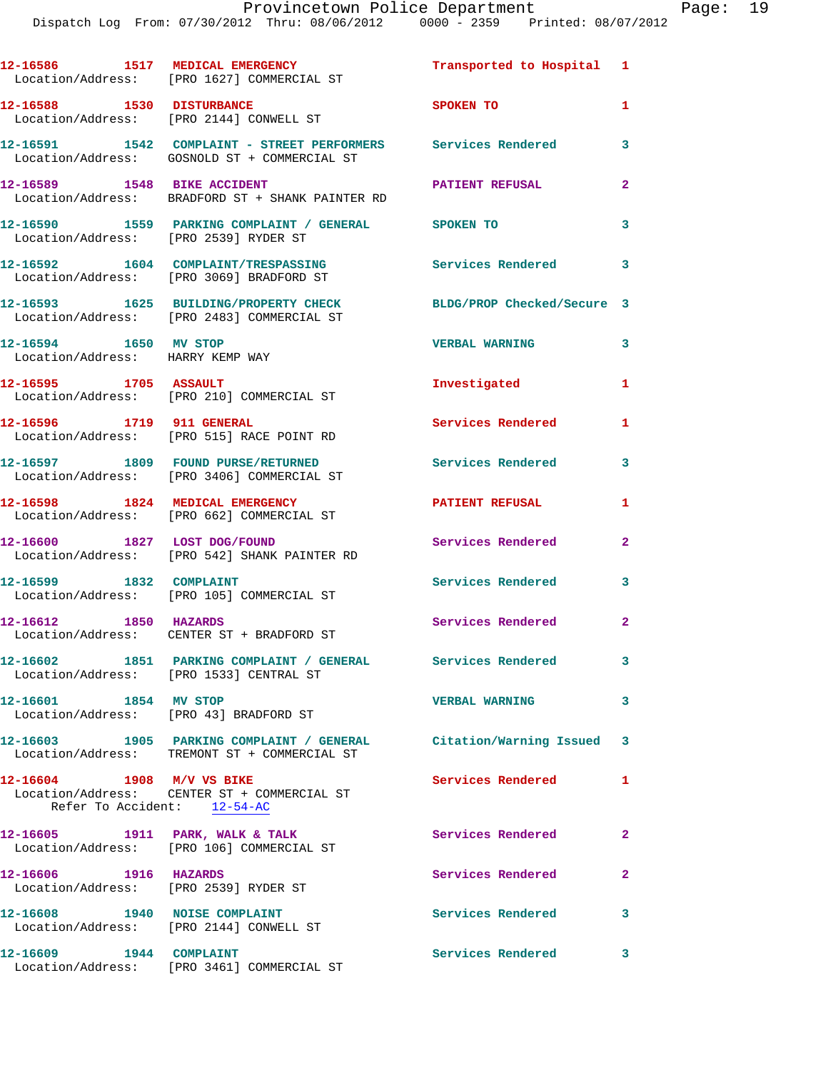|                                                                 | 12-16586 1517 MEDICAL EMERGENCY<br>Location/Address: [PRO 1627] COMMERCIAL ST                                 | Transported to Hospital 1  |                |
|-----------------------------------------------------------------|---------------------------------------------------------------------------------------------------------------|----------------------------|----------------|
| 12-16588 1530 DISTURBANCE                                       | Location/Address: [PRO 2144] CONWELL ST                                                                       | SPOKEN TO                  | $\mathbf{1}$   |
|                                                                 | 12-16591 1542 COMPLAINT - STREET PERFORMERS Services Rendered<br>Location/Address: GOSNOLD ST + COMMERCIAL ST |                            | 3              |
| 12-16589 1548 BIKE ACCIDENT                                     | Location/Address: BRADFORD ST + SHANK PAINTER RD                                                              | PATIENT REFUSAL            | $\overline{a}$ |
| Location/Address: [PRO 2539] RYDER ST                           | 12-16590 1559 PARKING COMPLAINT / GENERAL SPOKEN TO                                                           |                            | 3              |
|                                                                 | 12-16592 1604 COMPLAINT/TRESPASSING<br>Location/Address: [PRO 3069] BRADFORD ST                               | <b>Services Rendered</b>   | 3              |
|                                                                 | 12-16593 1625 BUILDING/PROPERTY CHECK<br>Location/Address: [PRO 2483] COMMERCIAL ST                           | BLDG/PROP Checked/Secure 3 |                |
| 12-16594 1650 MV STOP<br>Location/Address: HARRY KEMP WAY       |                                                                                                               | <b>VERBAL WARNING</b>      | 3              |
|                                                                 | 12-16595 1705 ASSAULT<br>Location/Address: [PRO 210] COMMERCIAL ST                                            | Investigated               | 1              |
| 12-16596 1719 911 GENERAL                                       | Location/Address: [PRO 515] RACE POINT RD                                                                     | Services Rendered          | 1.             |
|                                                                 | 12-16597 1809 FOUND PURSE/RETURNED<br>Location/Address: [PRO 3406] COMMERCIAL ST                              | <b>Services Rendered</b>   | 3              |
|                                                                 | 12-16598 1824 MEDICAL EMERGENCY<br>Location/Address: [PRO 662] COMMERCIAL ST                                  | <b>PATIENT REFUSAL</b>     | $\mathbf{1}$   |
| 12-16600 1827 LOST DOG/FOUND                                    | Location/Address: [PRO 542] SHANK PAINTER RD                                                                  | Services Rendered          | $\mathbf{2}$   |
| 12-16599 1832 COMPLAINT                                         | Location/Address: [PRO 105] COMMERCIAL ST                                                                     | Services Rendered          | 3              |
| 12-16612 1850 HAZARDS                                           | Location/Address: CENTER ST + BRADFORD ST                                                                     | Services Rendered          | $\overline{2}$ |
|                                                                 | 12-16602 1851 PARKING COMPLAINT / GENERAL Services Rendered<br>Location/Address: [PRO 1533] CENTRAL ST        |                            | 3              |
| 12-16601 1854 MV STOP<br>Location/Address: [PRO 43] BRADFORD ST |                                                                                                               | <b>VERBAL WARNING</b>      | 3              |
|                                                                 | 12-16603 1905 PARKING COMPLAINT / GENERAL<br>Location/Address: TREMONT ST + COMMERCIAL ST                     | Citation/Warning Issued 3  |                |
| 12-16604 1908 M/V VS BIKE<br>Refer To Accident: 12-54-AC        | Location/Address: CENTER ST + COMMERCIAL ST                                                                   | <b>Services Rendered</b>   | $\mathbf{1}$   |
|                                                                 | 12-16605 1911 PARK, WALK & TALK<br>Location/Address: [PRO 106] COMMERCIAL ST                                  | Services Rendered          | $\mathbf{2}$   |
| 12-16606 1916 HAZARDS<br>Location/Address: [PRO 2539] RYDER ST  |                                                                                                               | Services Rendered          | $\overline{2}$ |
| 12-16608 1940 NOISE COMPLAINT                                   | Location/Address: [PRO 2144] CONWELL ST                                                                       | Services Rendered          | 3              |
| 12-16609 1944 COMPLAINT                                         | Location/Address: [PRO 3461] COMMERCIAL ST                                                                    | Services Rendered          | 3              |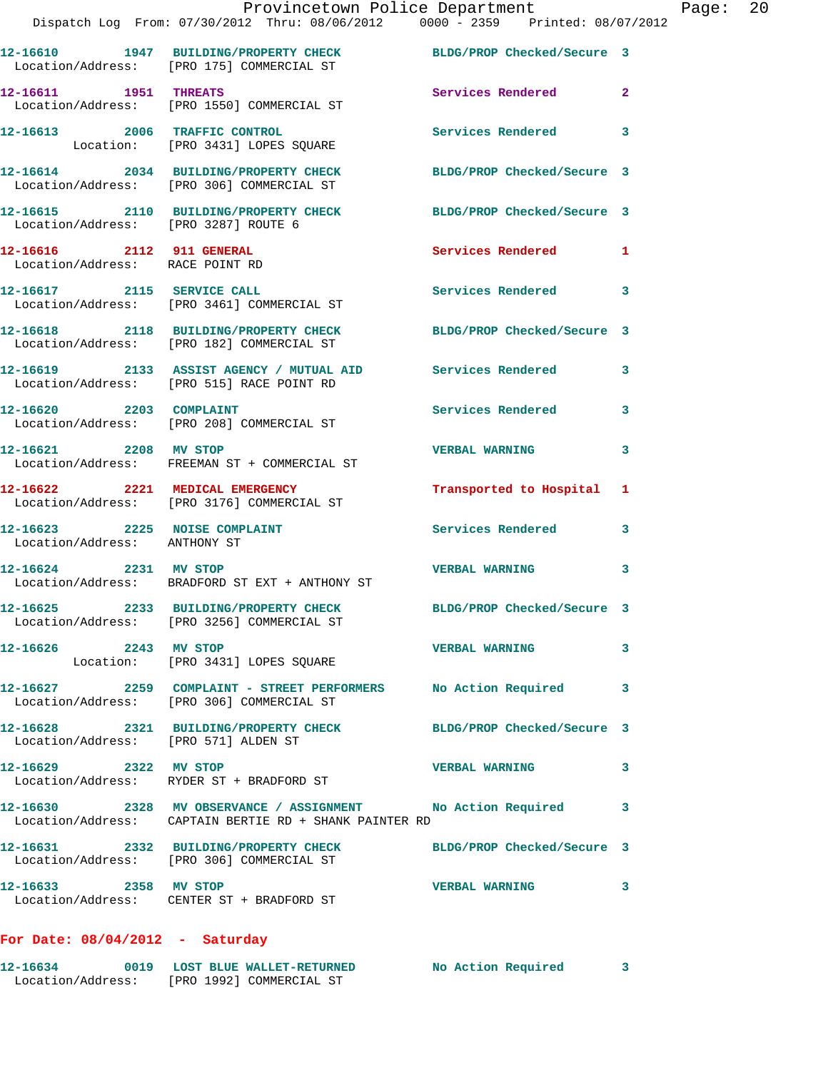|                                      | Provincetown Police Department Page: 20                                                                                 |                            |   |
|--------------------------------------|-------------------------------------------------------------------------------------------------------------------------|----------------------------|---|
|                                      | 12-16610 1947 BUILDING/PROPERTY CHECK BLDG/PROP Checked/Secure 3<br>Location/Address: [PRO 175] COMMERCIAL ST           |                            |   |
| 12-16611 1951 THREATS                | Location/Address: [PRO 1550] COMMERCIAL ST                                                                              | Services Rendered 2        |   |
|                                      | 12-16613 2006 TRAFFIC CONTROL<br>Location: [PRO 3431] LOPES SQUARE                                                      | Services Rendered 3        |   |
|                                      | 12-16614 2034 BUILDING/PROPERTY CHECK BLDG/PROP Checked/Secure 3<br>Location/Address: [PRO 306] COMMERCIAL ST           |                            |   |
| Location/Address: [PRO 3287] ROUTE 6 | 12-16615 2110 BUILDING/PROPERTY CHECK BLDG/PROP Checked/Secure 3                                                        |                            |   |
| Location/Address: RACE POINT RD      | 12-16616 2112 911 GENERAL                                                                                               | Services Rendered 1        |   |
|                                      | 12-16617 2115 SERVICE CALL<br>Location/Address: [PRO 3461] COMMERCIAL ST                                                | Services Rendered 3        |   |
|                                      | 12-16618 2118 BUILDING/PROPERTY CHECK BLDG/PROP Checked/Secure 3<br>Location/Address: [PRO 182] COMMERCIAL ST           |                            |   |
|                                      | 12-16619   2133   ASSIST AGENCY / MUTUAL AID   Services Rendered   3<br>Location/Address: [PRO 515] RACE POINT RD       |                            |   |
|                                      | $12 - 16620$ 2203 COMPLAINT<br>Location/Address: [PRO 208] COMMERCIAL ST                                                | Services Rendered 3        |   |
|                                      | 12-16621 2208 MV STOP<br>Location/Address: FREEMAN ST + COMMERCIAL ST                                                   | <b>VERBAL WARNING</b>      | 3 |
|                                      | 12-16622 2221 MEDICAL EMERGENCY<br>Location/Address: [PRO 3176] COMMERCIAL ST                                           | Transported to Hospital 1  |   |
| Location/Address: ANTHONY ST         | 12-16623 2225 NOISE COMPLAINT Services Rendered 3                                                                       |                            |   |
|                                      | 12-16624 2231 MV STOP 2008 2009 2231 MV STOP<br>Location/Address: BRADFORD ST EXT + ANTHONY ST                          |                            | 3 |
|                                      | 12-16625 2233 BUILDING/PROPERTY CHECK<br>Location/Address: [PRO 3256] COMMERCIAL ST                                     | BLDG/PROP Checked/Secure 3 |   |
| 12-16626 2243 MV STOP                | Location: [PRO 3431] LOPES SQUARE                                                                                       | <b>VERBAL WARNING 3</b>    |   |
|                                      | 12-16627 2259 COMPLAINT - STREET PERFORMERS No Action Required 3<br>Location/Address: [PRO 306] COMMERCIAL ST           |                            |   |
| Location/Address: [PRO 571] ALDEN ST | 12-16628 2321 BUILDING/PROPERTY CHECK BLDG/PROP Checked/Secure 3                                                        |                            |   |
|                                      | 12-16629 2322 MV STOP<br>Location/Address: RYDER ST + BRADFORD ST                                                       | <b>VERBAL WARNING</b>      | 3 |
|                                      | 12-16630 2328 MV OBSERVANCE / ASSIGNMENT No Action Required 3<br>Location/Address: CAPTAIN BERTIE RD + SHANK PAINTER RD |                            |   |
|                                      | 12-16631 2332 BUILDING/PROPERTY CHECK BLDG/PROP Checked/Secure 3<br>Location/Address: [PRO 306] COMMERCIAL ST           |                            |   |
| 12-16633 2358 MV STOP                | Location/Address: CENTER ST + BRADFORD ST                                                                               | <b>VERBAL WARNING</b>      | 3 |
|                                      |                                                                                                                         |                            |   |

## **For Date: 08/04/2012 - Saturday**

| 12-16634          | 0019 | <b>LOST BLUE WALLET-RETURNED</b> | No Action Required |  |
|-------------------|------|----------------------------------|--------------------|--|
| Location/Address: |      | [PRO 1992] COMMERCIAL ST         |                    |  |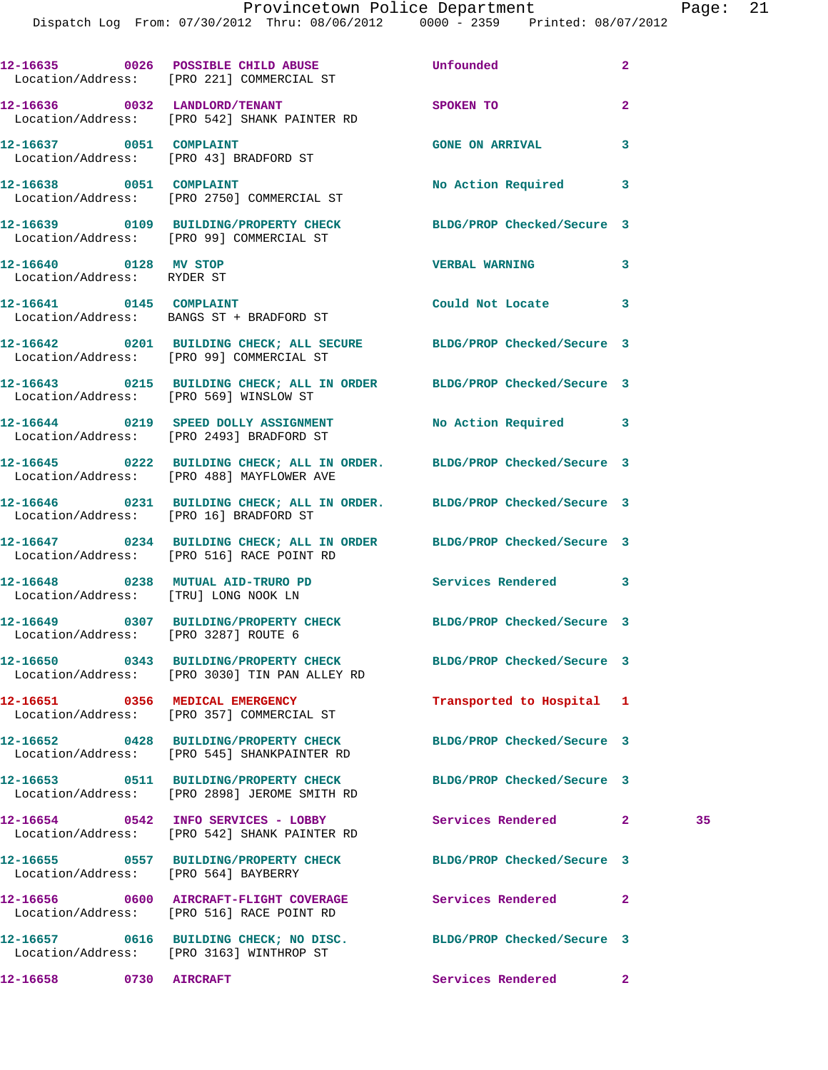|                                      | 12-16635 0026 POSSIBLE CHILD ABUSE<br>Location/Address: [PRO 221] COMMERCIAL ST                                     | Unfounded                  | $\mathbf{2}$   |    |
|--------------------------------------|---------------------------------------------------------------------------------------------------------------------|----------------------------|----------------|----|
|                                      | 12-16636 0032 LANDLORD/TENANT<br>Location/Address: [PRO 542] SHANK PAINTER RD                                       | <b>SPOKEN TO</b>           | $\overline{2}$ |    |
|                                      | 12-16637 0051 COMPLAINT<br>Location/Address: [PRO 43] BRADFORD ST                                                   | <b>GONE ON ARRIVAL</b>     | 3              |    |
| 12-16638 0051 COMPLAINT              |                                                                                                                     | No Action Required 3       |                |    |
|                                      | Location/Address: [PRO 2750] COMMERCIAL ST<br>12-16639 0109 BUILDING/PROPERTY CHECK BLDG/PROP Checked/Secure 3      |                            |                |    |
| 12-16640 0128 MV STOP                | Location/Address: [PRO 99] COMMERCIAL ST                                                                            | VERBAL WARNING 3           |                |    |
| Location/Address: RYDER ST           |                                                                                                                     |                            |                |    |
|                                      | 12-16641 0145 COMPLAINT<br>Location/Address: BANGS ST + BRADFORD ST                                                 | Could Not Locate 3         |                |    |
|                                      | 12-16642 0201 BUILDING CHECK; ALL SECURE BLDG/PROP Checked/Secure 3<br>Location/Address: [PRO 99] COMMERCIAL ST     |                            |                |    |
|                                      | 12-16643 0215 BUILDING CHECK; ALL IN ORDER BLDG/PROP Checked/Secure 3<br>Location/Address: [PRO 569] WINSLOW ST     |                            |                |    |
|                                      |                                                                                                                     |                            |                |    |
|                                      | 12-16644 0219 SPEED DOLLY ASSIGNMENT<br>Location/Address: [PRO 2493] BRADFORD ST                                    | No Action Required 3       |                |    |
|                                      | 12-16645 0222 BUILDING CHECK; ALL IN ORDER. BLDG/PROP Checked/Secure 3<br>Location/Address: [PRO 488] MAYFLOWER AVE |                            |                |    |
|                                      | 12-16646 0231 BUILDING CHECK; ALL IN ORDER. BLDG/PROP Checked/Secure 3<br>Location/Address: [PRO 16] BRADFORD ST    |                            |                |    |
|                                      | 12-16647 0234 BUILDING CHECK; ALL IN ORDER BLDG/PROP Checked/Secure 3<br>Location/Address: [PRO 516] RACE POINT RD  |                            |                |    |
| Location/Address: [TRU] LONG NOOK LN | 12-16648 0238 MUTUAL AID-TRURO PD Services Rendered 3                                                               |                            |                |    |
| Location/Address: [PRO 3287] ROUTE 6 | 12-16649 0307 BUILDING/PROPERTY CHECK BLDG/PROP Checked/Secure 3                                                    |                            |                |    |
|                                      | 12-16650 0343 BUILDING/PROPERTY CHECK<br>Location/Address: [PRO 3030] TIN PAN ALLEY RD                              | BLDG/PROP Checked/Secure 3 |                |    |
|                                      | 12-16651 0356 MEDICAL EMERGENCY<br>Location/Address: [PRO 357] COMMERCIAL ST                                        | Transported to Hospital 1  |                |    |
|                                      | 12-16652 0428 BUILDING/PROPERTY CHECK<br>Location/Address: [PRO 545] SHANKPAINTER RD                                | BLDG/PROP Checked/Secure 3 |                |    |
|                                      | 12-16653 0511 BUILDING/PROPERTY CHECK<br>Location/Address: [PRO 2898] JEROME SMITH RD                               | BLDG/PROP Checked/Secure 3 |                |    |
|                                      | 12-16654 0542 INFO SERVICES - LOBBY<br>Location/Address: [PRO 542] SHANK PAINTER RD                                 | Services Rendered          | $\mathbf{2}$   | 35 |
| Location/Address: [PRO 564] BAYBERRY | 12-16655 0557 BUILDING/PROPERTY CHECK                                                                               | BLDG/PROP Checked/Secure 3 |                |    |
|                                      | 12-16656 0600 AIRCRAFT-FLIGHT COVERAGE<br>Location/Address: [PRO 516] RACE POINT RD                                 | Services Rendered          | $\mathbf{2}$   |    |
|                                      | 12-16657 0616 BUILDING CHECK; NO DISC. BLDG/PROP Checked/Secure 3<br>Location/Address: [PRO 3163] WINTHROP ST       |                            |                |    |
| 12-16658 0730 AIRCRAFT               |                                                                                                                     | Services Rendered          | $\mathbf{2}$   |    |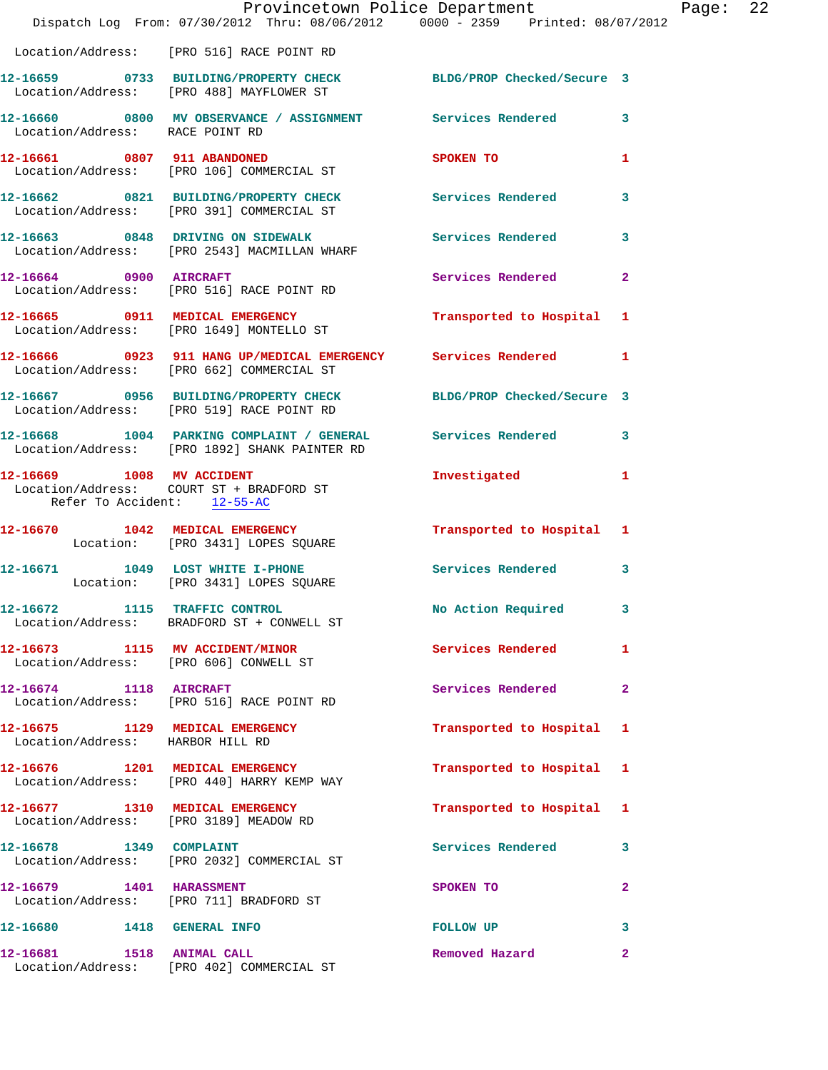|                                                                           | Provincetown Police Department<br>Dispatch Log From: 07/30/2012 Thru: 08/06/2012 0000 - 2359 Printed: 08/07/2012 |                          |              |
|---------------------------------------------------------------------------|------------------------------------------------------------------------------------------------------------------|--------------------------|--------------|
|                                                                           | Location/Address: [PRO 516] RACE POINT RD                                                                        |                          |              |
|                                                                           | 12-16659 0733 BUILDING/PROPERTY CHECK BLDG/PROP Checked/Secure 3<br>Location/Address: [PRO 488] MAYFLOWER ST     |                          |              |
| Location/Address: RACE POINT RD                                           | 12-16660 0800 MV OBSERVANCE / ASSIGNMENT Services Rendered                                                       |                          | 3            |
|                                                                           | 12-16661 0807 911 ABANDONED<br>Location/Address: [PRO 106] COMMERCIAL ST                                         | <b>SPOKEN TO</b>         | 1            |
|                                                                           | 12-16662 0821 BUILDING/PROPERTY CHECK Services Rendered<br>Location/Address: [PRO 391] COMMERCIAL ST             |                          | 3            |
|                                                                           | 12-16663 0848 DRIVING ON SIDEWALK Services Rendered<br>Location/Address: [PRO 2543] MACMILLAN WHARF              |                          | 3            |
|                                                                           | 12-16664 0900 AIRCRAFT<br>Location/Address: [PRO 516] RACE POINT RD                                              | Services Rendered        | $\mathbf{2}$ |
|                                                                           | 12-16665 0911 MEDICAL EMERGENCY<br>Location/Address: [PRO 1649] MONTELLO ST                                      | Transported to Hospital  | 1            |
|                                                                           | 12-16666 0923 911 HANG UP/MEDICAL EMERGENCY Services Rendered<br>Location/Address: [PRO 662] COMMERCIAL ST       |                          | 1            |
|                                                                           | 12-16667 0956 BUILDING/PROPERTY CHECK BLDG/PROP Checked/Secure 3<br>Location/Address: [PRO 519] RACE POINT RD    |                          |              |
|                                                                           | 12-16668 1004 PARKING COMPLAINT / GENERAL Services Rendered<br>Location/Address: [PRO 1892] SHANK PAINTER RD     |                          | 3            |
| 12-16669 1008 MV ACCIDENT<br>Refer To Accident: 12-55-AC                  | Location/Address: COURT ST + BRADFORD ST                                                                         | Investigated             | 1            |
|                                                                           | 12-16670 1042 MEDICAL EMERGENCY Transported to Hospital 1<br>Location: [PRO 3431] LOPES SQUARE                   |                          |              |
|                                                                           | 12-16671 1049 LOST WHITE I-PHONE<br>Location: [PRO 3431] LOPES SQUARE                                            | <b>Services Rendered</b> | 3            |
| 12-16672 1115 TRAFFIC CONTROL                                             | Location/Address: BRADFORD ST + CONWELL ST                                                                       | No Action Required       | 3            |
| 12-16673 1115 MV ACCIDENT/MINOR                                           | Location/Address: [PRO 606] CONWELL ST                                                                           | <b>Services Rendered</b> | 1            |
| 12-16674 1118 AIRCRAFT                                                    | Location/Address: [PRO 516] RACE POINT RD                                                                        | Services Rendered        | $\mathbf{2}$ |
| 12-16675 1129 MEDICAL EMERGENCY<br>Location/Address: HARBOR HILL RD       |                                                                                                                  | Transported to Hospital  | 1            |
|                                                                           | 12-16676 1201 MEDICAL EMERGENCY<br>Location/Address: [PRO 440] HARRY KEMP WAY                                    | Transported to Hospital  | 1            |
| 12-16677 1310 MEDICAL EMERGENCY<br>Location/Address: [PRO 3189] MEADOW RD |                                                                                                                  | Transported to Hospital  | 1            |
|                                                                           | Location/Address: [PRO 2032] COMMERCIAL ST                                                                       | Services Rendered        | 3            |
| 12-16679 1401 HARASSMENT                                                  | Location/Address: [PRO 711] BRADFORD ST                                                                          | SPOKEN TO                | 2            |
| 12-16680 1418 GENERAL INFO                                                |                                                                                                                  | FOLLOW UP                | 3            |
| 12-16681 1518 ANIMAL CALL                                                 | Location/Address: [PRO 402] COMMERCIAL ST                                                                        | Removed Hazard           | $\mathbf{2}$ |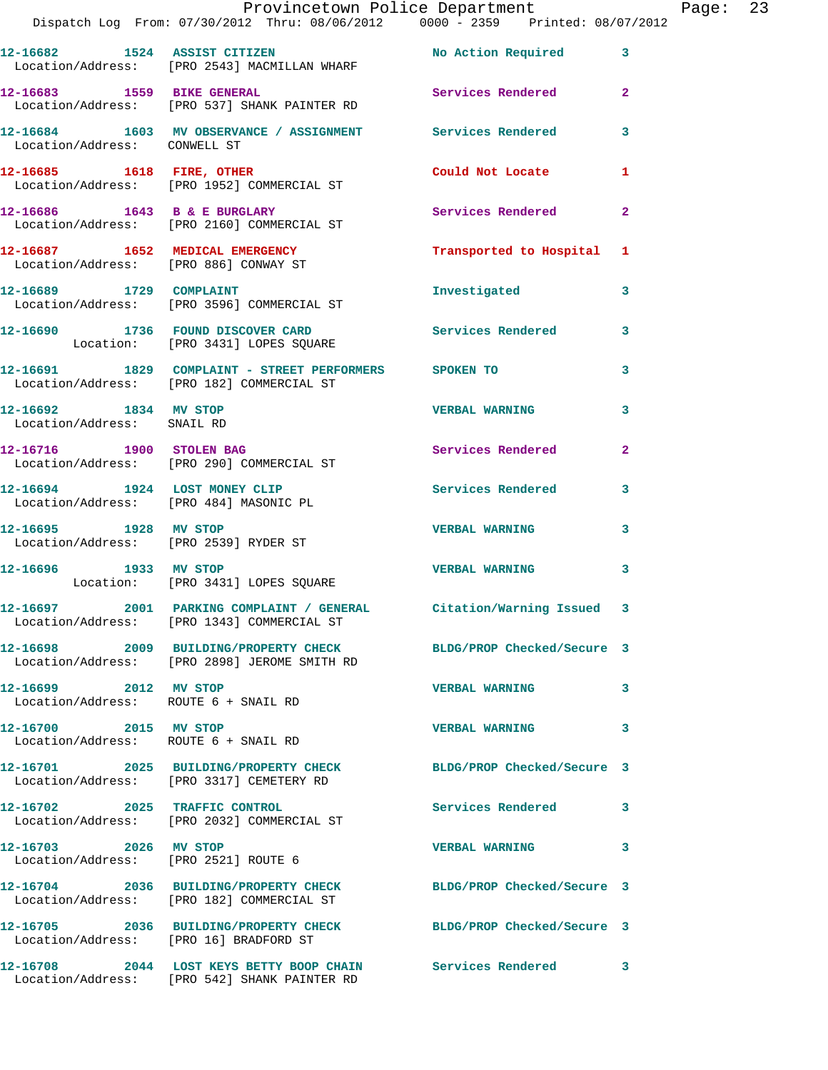|                                                               | Provincetown Police Department                                                                                    |                          |                | Page: 23 |  |
|---------------------------------------------------------------|-------------------------------------------------------------------------------------------------------------------|--------------------------|----------------|----------|--|
|                                                               | Dispatch Log From: 07/30/2012 Thru: 08/06/2012 0000 - 2359 Printed: 08/07/2012                                    |                          |                |          |  |
|                                                               | 12-16682 1524 ASSIST CITIZEN No Action Required<br>Location/Address: [PRO 2543] MACMILLAN WHARF                   |                          | $\mathbf{3}$   |          |  |
|                                                               | 12-16683 1559 BIKE GENERAL Services Rendered<br>Location/Address: [PRO 537] SHANK PAINTER RD                      |                          | $\overline{2}$ |          |  |
|                                                               | 12-16684 1603 MV OBSERVANCE / ASSIGNMENT Services Rendered<br>Location/Address: CONWELL ST                        |                          | 3              |          |  |
|                                                               | 12-16685 1618 FIRE, OTHER 10 Could Not Locate<br>Location/Address: [PRO 1952] COMMERCIAL ST                       |                          | 1              |          |  |
|                                                               | $12-16686$ $1643$ B & E BURGLARY<br>Location/Address: [PRO 2160] COMMERCIAL ST                                    | Services Rendered        | $\overline{a}$ |          |  |
|                                                               | 12-16687 1652 MEDICAL EMERGENCY 1 Transported to Hospital 1<br>Location/Address: [PRO 886] CONWAY ST              |                          |                |          |  |
|                                                               | 12-16689 1729 COMPLAINT<br>Location/Address: [PRO 3596] COMMERCIAL ST                                             | Investigated             | 3              |          |  |
|                                                               | 12-16690 1736 FOUND DISCOVER CARD Services Rendered<br>Location: [PRO 3431] LOPES SQUARE                          |                          | 3              |          |  |
|                                                               | 12-16691 1829 COMPLAINT - STREET PERFORMERS SPOKEN TO<br>Location/Address: [PRO 182] COMMERCIAL ST                |                          | 3              |          |  |
| 12-16692 1834 MV STOP<br>Location/Address: SNAIL RD           |                                                                                                                   | <b>VERBAL WARNING</b>    | 3              |          |  |
|                                                               | 12-16716 1900 STOLEN BAG<br>Location/Address: [PRO 290] COMMERCIAL ST                                             | Services Rendered        | $\overline{2}$ |          |  |
| Location/Address: [PRO 484] MASONIC PL                        | 12-16694 1924 LOST MONEY CLIP                                                                                     | Services Rendered        | 3              |          |  |
| 12-16695 1928 MV STOP                                         | Location/Address: [PRO 2539] RYDER ST                                                                             | <b>VERBAL WARNING</b>    | 3              |          |  |
|                                                               | 12-16696 1933 MV STOP<br>Location: [PRO 3431] LOPES SQUARE                                                        | <b>VERBAL WARNING</b>    | 3              |          |  |
|                                                               | 12-16697 2001 PARKING COMPLAINT / GENERAL Citation/Warning Issued 3<br>Location/Address: [PRO 1343] COMMERCIAL ST |                          |                |          |  |
|                                                               | 12-16698 2009 BUILDING/PROPERTY CHECK BLDG/PROP Checked/Secure 3<br>Location/Address: [PRO 2898] JEROME SMITH RD  |                          |                |          |  |
| 12-16699 2012 MV STOP<br>Location/Address: ROUTE 6 + SNAIL RD |                                                                                                                   | <b>VERBAL WARNING</b>    | 3              |          |  |
| 12-16700 2015 MV STOP<br>Location/Address: ROUTE 6 + SNAIL RD |                                                                                                                   | <b>VERBAL WARNING</b>    | 3              |          |  |
|                                                               | 12-16701 2025 BUILDING/PROPERTY CHECK BLDG/PROP Checked/Secure 3<br>Location/Address: [PRO 3317] CEMETERY RD      |                          |                |          |  |
|                                                               | 12-16702 2025 TRAFFIC CONTROL<br>Location/Address: [PRO 2032] COMMERCIAL ST                                       | <b>Services Rendered</b> | 3              |          |  |
| 12-16703 2026 MV STOP                                         | Location/Address: [PRO 2521] ROUTE 6                                                                              | <b>VERBAL WARNING</b>    | 3              |          |  |
|                                                               | 12-16704 2036 BUILDING/PROPERTY CHECK BLDG/PROP Checked/Secure 3<br>Location/Address: [PRO 182] COMMERCIAL ST     |                          |                |          |  |
| Location/Address: [PRO 16] BRADFORD ST                        | 12-16705 2036 BUILDING/PROPERTY CHECK BLDG/PROP Checked/Secure 3                                                  |                          |                |          |  |
|                                                               | 12-16708 2044 LOST KEYS BETTY BOOP CHAIN Services Rendered<br>Location/Address: [PRO 542] SHANK PAINTER RD        |                          | 3              |          |  |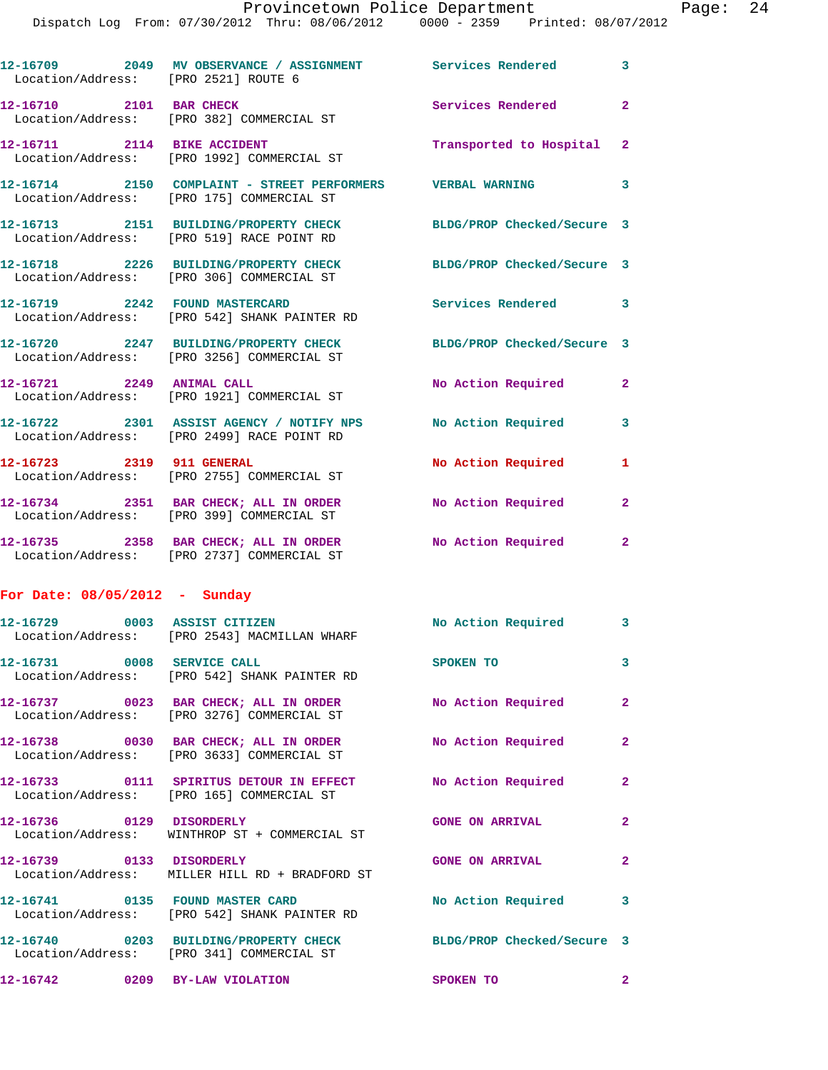| Location/Address: [PRO 2521] ROUTE 6 | 12-16709 2049 MV OBSERVANCE / ASSIGNMENT Services Rendered 3                                                        |                            |                |
|--------------------------------------|---------------------------------------------------------------------------------------------------------------------|----------------------------|----------------|
| 12-16710 2101 BAR CHECK              | Location/Address: [PRO 382] COMMERCIAL ST                                                                           | <b>Services Rendered</b>   | $\overline{2}$ |
| 12-16711 2114 BIKE ACCIDENT          | Location/Address: [PRO 1992] COMMERCIAL ST                                                                          | Transported to Hospital 2  |                |
|                                      | 12-16714     2150   COMPLAINT - STREET PERFORMERS     VERBAL WARNING<br>Location/Address:   [PRO 175] COMMERCIAL ST |                            | 3              |
|                                      | 12-16713 2151 BUILDING/PROPERTY CHECK BLDG/PROP Checked/Secure 3<br>Location/Address: [PRO 519] RACE POINT RD       |                            |                |
|                                      | 12-16718 2226 BUILDING/PROPERTY CHECK<br>Location/Address: [PRO 306] COMMERCIAL ST                                  | BLDG/PROP Checked/Secure 3 |                |
|                                      | 12-16719  2242 FOUND MASTERCARD<br>Location/Address: [PRO 542] SHANK PAINTER RD                                     | Services Rendered 3        |                |
|                                      | 12-16720 2247 BUILDING/PROPERTY CHECK<br>Location/Address: [PRO 3256] COMMERCIAL ST                                 | BLDG/PROP Checked/Secure 3 |                |
| 12-16721 2249 ANIMAL CALL            | Location/Address: [PRO 1921] COMMERCIAL ST                                                                          | No Action Required         | $\mathbf{2}$   |
|                                      | 12-16722 2301 ASSIST AGENCY / NOTIFY NPS No Action Required 3<br>Location/Address: [PRO 2499] RACE POINT RD         |                            |                |
|                                      | 12-16723 2319 911 GENERAL<br>Location/Address: [PRO 2755] COMMERCIAL ST                                             | No Action Required         | $\mathbf{1}$   |
|                                      | 12-16734 2351 BAR CHECK; ALL IN ORDER No Action Required<br>Location/Address: [PRO 399] COMMERCIAL ST               |                            | $\mathbf{2}$   |
|                                      | 12-16735 2358 BAR CHECK; ALL IN ORDER No Action Required<br>Location/Address: [PRO 2737] COMMERCIAL ST              |                            | $\mathbf{2}$   |
| For Date: $08/05/2012$ - Sunday      |                                                                                                                     |                            |                |
|                                      | 12-16729 0003 ASSIST CITIZEN<br>Location/Address: [PRO 2543] MACMILLAN WHARF                                        | No Action Required 3       |                |
| 12-16731 0008 SERVICE CALL           | Location/Address: [PRO 542] SHANK PAINTER RD                                                                        | SPOKEN TO                  | 3              |
|                                      | 12-16737 0023 BAR CHECK; ALL IN ORDER No Action Required 2<br>Location/Address: [PRO 3276] COMMERCIAL ST            |                            |                |
|                                      | 12-16738 0030 BAR CHECK; ALL IN ORDER<br>Location/Address: [PRO 3633] COMMERCIAL ST                                 | No Action Required         | $\overline{2}$ |
|                                      | 12-16733 0111 SPIRITUS DETOUR IN EFFECT No Action Required<br>Location/Address: [PRO 165] COMMERCIAL ST             |                            | $\mathbf{2}$   |
| 12-16736 0129 DISORDERLY             | Location/Address: WINTHROP ST + COMMERCIAL ST                                                                       | <b>GONE ON ARRIVAL</b>     | $\overline{2}$ |
| 12-16739 0133 DISORDERLY             | Location/Address: MILLER HILL RD + BRADFORD ST                                                                      | <b>GONE ON ARRIVAL</b>     | $\mathbf{2}$   |
| 12-16741 0135 FOUND MASTER CARD      | Location/Address: [PRO 542] SHANK PAINTER RD                                                                        | No Action Required 3       |                |
|                                      | 12-16740 0203 BUILDING/PROPERTY CHECK BLDG/PROP Checked/Secure 3<br>Location/Address: [PRO 341] COMMERCIAL ST       |                            |                |
| 12-16742 0209 BY-LAW VIOLATION       |                                                                                                                     | SPOKEN TO                  | $\mathbf{2}$   |
|                                      |                                                                                                                     |                            |                |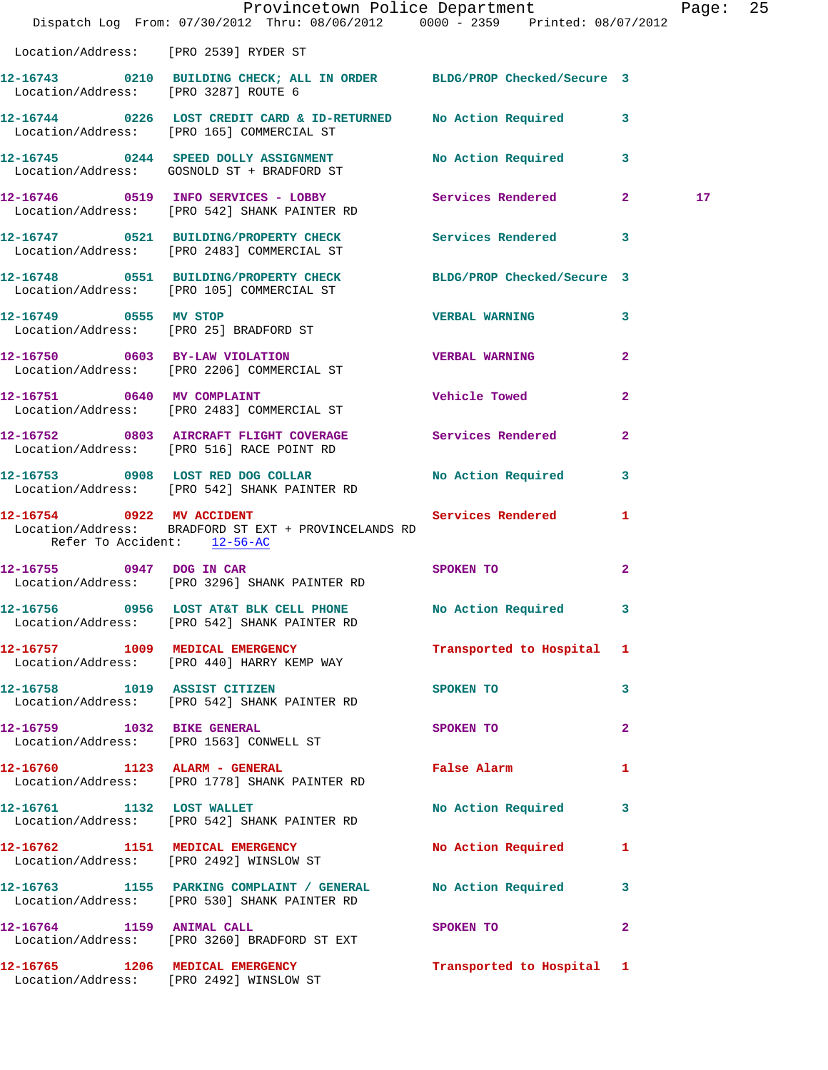|                                       | Provincetown Police Department The Rage: 25                                                                                          |                                         |              |                 |  |
|---------------------------------------|--------------------------------------------------------------------------------------------------------------------------------------|-----------------------------------------|--------------|-----------------|--|
|                                       | Dispatch Log From: 07/30/2012 Thru: 08/06/2012   0000 - 2359   Printed: 08/07/2012                                                   |                                         |              |                 |  |
| Location/Address: [PRO 2539] RYDER ST |                                                                                                                                      |                                         |              |                 |  |
| Location/Address: [PRO 3287] ROUTE 6  | 12-16743 0210 BUILDING CHECK; ALL IN ORDER BLDG/PROP Checked/Secure 3                                                                |                                         |              |                 |  |
|                                       | 12-16744 0226 LOST CREDIT CARD & ID-RETURNED No Action Required 3<br>Location/Address: [PRO 165] COMMERCIAL ST                       |                                         |              |                 |  |
|                                       | 12-16745 0244 SPEED DOLLY ASSIGNMENT No Action Required 3<br>Location/Address: GOSNOLD ST + BRADFORD ST                              |                                         |              |                 |  |
|                                       | 12-16746 0519 INFO SERVICES - LOBBY Services Rendered 2<br>Location/Address: [PRO 542] SHANK PAINTER RD                              |                                         |              | 17 <sub>1</sub> |  |
|                                       | 12-16747 0521 BUILDING/PROPERTY CHECK Services Rendered 3<br>Location/Address: [PRO 2483] COMMERCIAL ST                              |                                         |              |                 |  |
|                                       | 12-16748 0551 BUILDING/PROPERTY CHECK BLDG/PROP Checked/Secure 3<br>Location/Address: [PRO 105] COMMERCIAL ST                        |                                         |              |                 |  |
|                                       | 12-16749 0555 MV STOP<br>Location/Address: [PRO 25] BRADFORD ST                                                                      | <b>VERBAL WARNING</b>                   | $\mathbf{3}$ |                 |  |
|                                       | 12-16750 0603 BY-LAW VIOLATION<br>Location/Address: [PRO 2206] COMMERCIAL ST                                                         | <b>VERBAL WARNING</b>                   | $\mathbf{2}$ |                 |  |
|                                       | 12-16751 0640 MV COMPLAINT<br>Location/Address: [PRO 2483] COMMERCIAL ST                                                             | Vehicle Towed                           | $\mathbf{2}$ |                 |  |
|                                       | 12-16752 0803 AIRCRAFT FLIGHT COVERAGE Services Rendered 2<br>Location/Address: [PRO 516] RACE POINT RD                              |                                         |              |                 |  |
|                                       | 12-16753 0908 LOST RED DOG COLLAR<br>Location/Address: [PRO 542] SHANK PAINTER RD                                                    | No Action Required 3                    |              |                 |  |
|                                       | 12-16754 0922 MV ACCIDENT Services Rendered 1<br>Location/Address: BRADFORD ST EXT + PROVINCELANDS RD<br>Refer To Accident: 12-56-AC |                                         |              |                 |  |
|                                       | 12-16755 0947 DOG IN CAR<br>Location/Address: [PRO 3296] SHANK PAINTER RD                                                            | SPOKEN TO                               | $\mathbf{2}$ |                 |  |
|                                       | 12-16756 0956 LOST AT&T BLK CELL PHONE No Action Required 3<br>Location/Address: [PRO 542] SHANK PAINTER RD                          |                                         |              |                 |  |
|                                       | 12-16757 1009 MEDICAL EMERGENCY<br>Location/Address: [PRO 440] HARRY KEMP WAY                                                        | Transported to Hospital 1               |              |                 |  |
|                                       | 12-16758 1019 ASSIST CITIZEN<br>Location/Address: [PRO 542] SHANK PAINTER RD                                                         | <b>SPOKEN TO</b>                        | 3            |                 |  |
|                                       | 12-16759 1032 BIKE GENERAL<br>Location/Address: [PRO 1563] CONWELL ST                                                                | SPOKEN TO                               | $\mathbf{2}$ |                 |  |
|                                       | 12-16760 1123 ALARM - GENERAL<br>Location/Address: [PRO 1778] SHANK PAINTER RD                                                       | False Alarm                             | $\mathbf{1}$ |                 |  |
|                                       | 12-16761 1132 LOST WALLET<br>Location/Address: [PRO 542] SHANK PAINTER RD                                                            | No Action Required 3                    |              |                 |  |
|                                       | 12-16762 1151 MEDICAL EMERGENCY No Action Required 1<br>Location/Address: [PRO 2492] WINSLOW ST                                      |                                         |              |                 |  |
|                                       | 12-16763 1155 PARKING COMPLAINT / GENERAL No Action Required 3<br>Location/Address: [PRO 530] SHANK PAINTER RD                       |                                         |              |                 |  |
| 12-16764 1159 ANIMAL CALL             | Location/Address: [PRO 3260] BRADFORD ST EXT                                                                                         | SPOKEN TO DESCRIPTION OF REAL PROPERTY. | $\mathbf{2}$ |                 |  |
|                                       | 12-16765 1206 MEDICAL EMERGENCY<br>Location/Address: [PRO 2492] WINSLOW ST                                                           | Transported to Hospital 1               |              |                 |  |
|                                       |                                                                                                                                      |                                         |              |                 |  |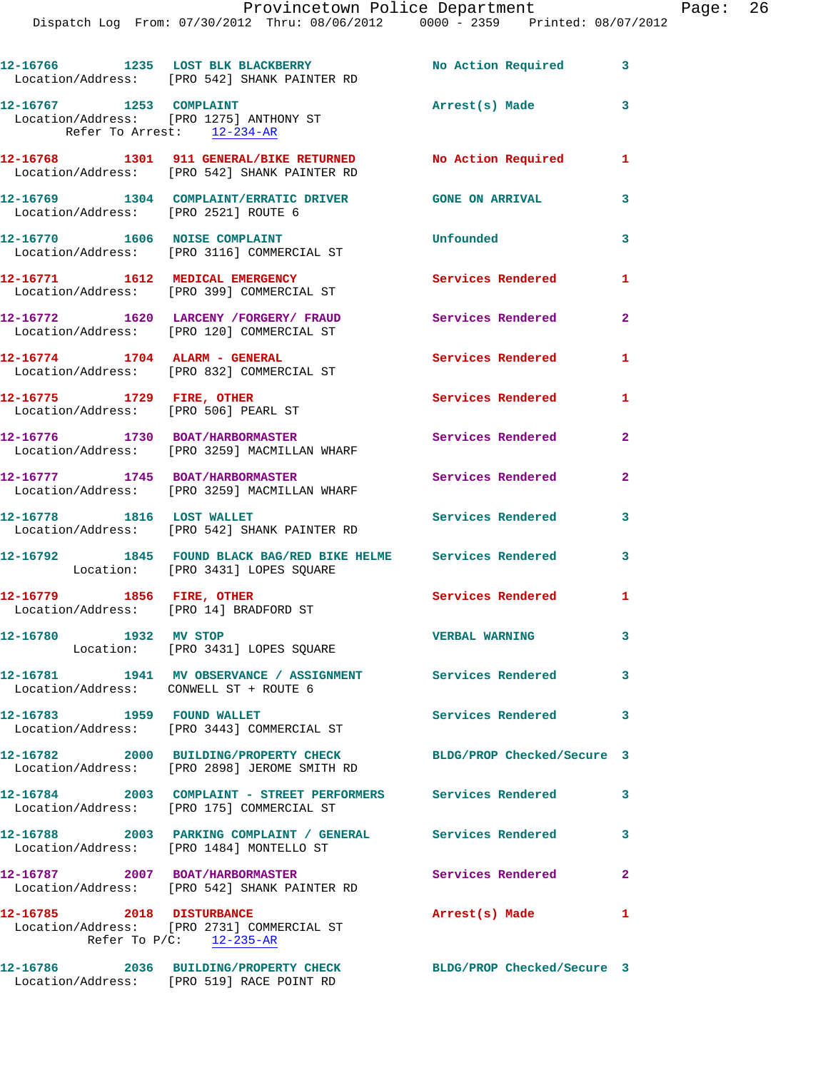|                                                       | 12-16766 1235 LOST BLK BLACKBERRY<br>Location/Address: [PRO 542] SHANK PAINTER RD                                | No Action Required 3       |                            |
|-------------------------------------------------------|------------------------------------------------------------------------------------------------------------------|----------------------------|----------------------------|
| 12-16767 1253 COMPLAINT<br>Refer To Arrest: 12-234-AR | Location/Address: [PRO 1275] ANTHONY ST                                                                          | Arrest(s) Made             | $\overline{\phantom{a}}$ 3 |
|                                                       | 12-16768 1301 911 GENERAL/BIKE RETURNED No Action Required<br>Location/Address: [PRO 542] SHANK PAINTER RD       |                            | 1                          |
| Location/Address: [PRO 2521] ROUTE 6                  | 12-16769 1304 COMPLAINT/ERRATIC DRIVER GONE ON ARRIVAL                                                           |                            | 3                          |
|                                                       | 12-16770 1606 NOISE COMPLAINT<br>Location/Address: [PRO 3116] COMMERCIAL ST                                      | Unfounded                  | $\overline{\mathbf{3}}$    |
|                                                       | 12-16771 1612 MEDICAL EMERGENCY<br>Location/Address: [PRO 399] COMMERCIAL ST                                     | <b>Services Rendered</b>   | 1                          |
|                                                       | 12-16772 1620 LARCENY /FORGERY/ FRAUD<br>Location/Address: [PRO 120] COMMERCIAL ST                               | Services Rendered          | $\overline{2}$             |
|                                                       | 12-16774 1704 ALARM - GENERAL<br>Location/Address: [PRO 832] COMMERCIAL ST                                       | <b>Services Rendered</b>   | 1                          |
| 12-16775 1729 FIRE, OTHER                             | Location/Address: [PRO 506] PEARL ST                                                                             | Services Rendered          | $\mathbf{1}$               |
|                                                       | 12-16776 1730 BOAT/HARBORMASTER<br>Location/Address: [PRO 3259] MACMILLAN WHARF                                  | <b>Services Rendered</b>   | $\mathbf{2}$               |
| 12-16777 1745 BOAT/HARBORMASTER                       | Location/Address: [PRO 3259] MACMILLAN WHARF                                                                     | <b>Services Rendered</b>   | $\overline{2}$             |
|                                                       | 12-16778 1816 LOST WALLET<br>Location/Address: [PRO 542] SHANK PAINTER RD                                        | Services Rendered          | 3                          |
|                                                       | 12-16792 1845 FOUND BLACK BAG/RED BIKE HELME Services Rendered<br>Location: [PRO 3431] LOPES SQUARE              |                            | 3                          |
| 12-16779 1856 FIRE, OTHER                             | Location/Address: [PRO 14] BRADFORD ST                                                                           | Services Rendered          | 1                          |
| 12-16780 1932 MV STOP                                 | Location: [PRO 3431] LOPES SQUARE                                                                                | <b>VERBAL WARNING</b>      | $\overline{\mathbf{3}}$    |
|                                                       | 12-16781 1941 MV OBSERVANCE / ASSIGNMENT Services Rendered<br>Location/Address: CONWELL ST + ROUTE 6             |                            | $\mathbf{3}$               |
| 12-16783 1959 FOUND WALLET                            | Location/Address: [PRO 3443] COMMERCIAL ST                                                                       | Services Rendered 3        |                            |
|                                                       | 12-16782 2000 BUILDING/PROPERTY CHECK BLDG/PROP Checked/Secure 3<br>Location/Address: [PRO 2898] JEROME SMITH RD |                            |                            |
|                                                       | 12-16784 2003 COMPLAINT - STREET PERFORMERS Services Rendered<br>Location/Address: [PRO 175] COMMERCIAL ST       |                            | $\mathbf{3}$               |
|                                                       | 12-16788 2003 PARKING COMPLAINT / GENERAL Services Rendered<br>Location/Address: [PRO 1484] MONTELLO ST          |                            | 3                          |
| 12-16787 2007 BOAT/HARBORMASTER                       | Location/Address: [PRO 542] SHANK PAINTER RD                                                                     | Services Rendered 2        |                            |
| 12-16785 2018 DISTURBANCE                             | Location/Address: [PRO 2731] COMMERCIAL ST<br>Refer To $P/C$ : 12-235-AR                                         | Arrest(s) Made             | 1                          |
|                                                       | 12-16786 2036 BUILDING/PROPERTY CHECK<br>Location/Address: [PRO 519] RACE POINT RD                               | BLDG/PROP Checked/Secure 3 |                            |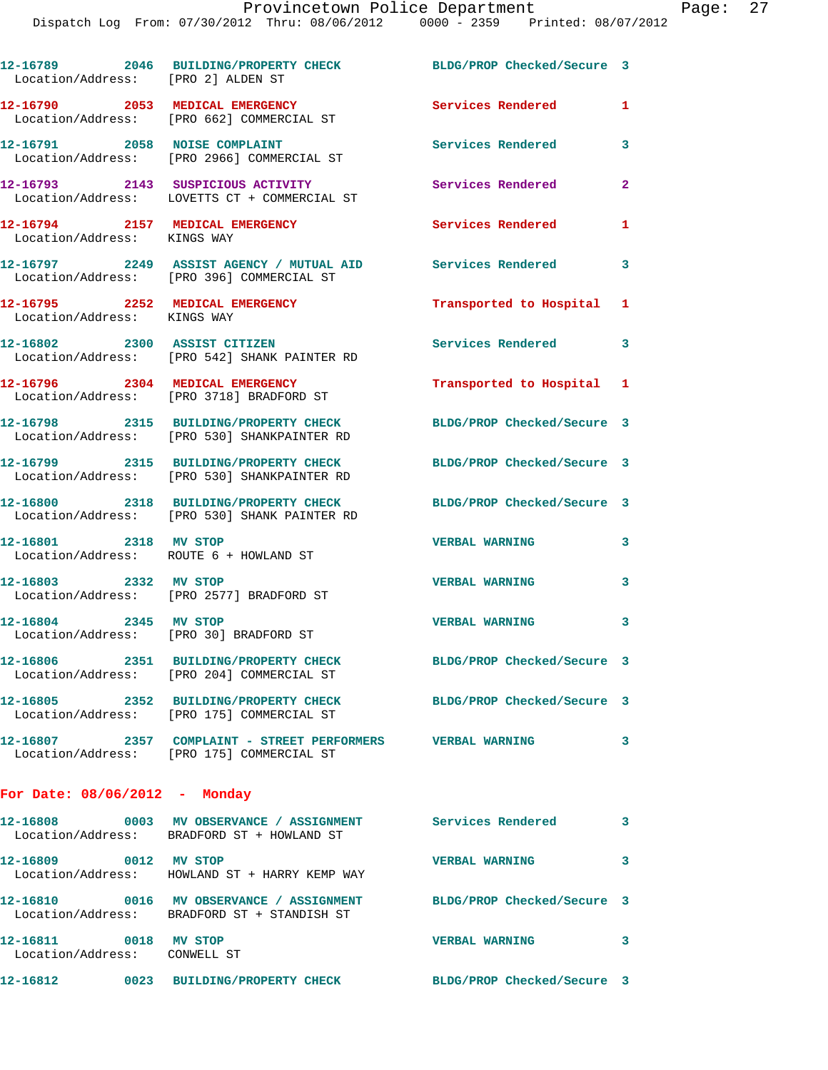| Location/Address: [PRO 2] ALDEN ST                              | 12-16789 2046 BUILDING/PROPERTY CHECK                                                                         | BLDG/PROP Checked/Secure 3 |                |
|-----------------------------------------------------------------|---------------------------------------------------------------------------------------------------------------|----------------------------|----------------|
|                                                                 | 12-16790 2053 MEDICAL EMERGENCY<br>Location/Address: [PRO 662] COMMERCIAL ST                                  | Services Rendered          | $\mathbf{1}$   |
|                                                                 | 12-16791 2058 NOISE COMPLAINT<br>Location/Address: [PRO 2966] COMMERCIAL ST                                   | Services Rendered          | 3              |
|                                                                 | 12-16793 2143 SUSPICIOUS ACTIVITY<br>Location/Address: LOVETTS CT + COMMERCIAL ST                             | Services Rendered          | $\overline{2}$ |
| 12-16794 2157 MEDICAL EMERGENCY<br>Location/Address: KINGS WAY  |                                                                                                               | Services Rendered          | $\mathbf{1}$   |
|                                                                 | 12-16797 2249 ASSIST AGENCY / MUTUAL AID<br>Location/Address: [PRO 396] COMMERCIAL ST                         | Services Rendered          | 3              |
| Location/Address: KINGS WAY                                     | 12-16795 2252 MEDICAL EMERGENCY                                                                               | Transported to Hospital 1  |                |
|                                                                 | 12-16802 2300 ASSIST CITIZEN<br>Location/Address: [PRO 542] SHANK PAINTER RD                                  | Services Rendered          | 3              |
| 12-16796 2304 MEDICAL EMERGENCY                                 | Location/Address: [PRO 3718] BRADFORD ST                                                                      | Transported to Hospital 1  |                |
|                                                                 | 12-16798 2315 BUILDING/PROPERTY CHECK<br>Location/Address: [PRO 530] SHANKPAINTER RD                          | BLDG/PROP Checked/Secure 3 |                |
|                                                                 | 12-16799 2315 BUILDING/PROPERTY CHECK<br>Location/Address: [PRO 530] SHANKPAINTER RD                          | BLDG/PROP Checked/Secure 3 |                |
|                                                                 | 12-16800 2318 BUILDING/PROPERTY CHECK<br>Location/Address: [PRO 530] SHANK PAINTER RD                         | BLDG/PROP Checked/Secure 3 |                |
| 12-16801 2318 MV STOP<br>Location/Address: ROUTE 6 + HOWLAND ST |                                                                                                               | <b>VERBAL WARNING</b>      | 3              |
| 12-16803 2332 MV STOP                                           | Location/Address: [PRO 2577] BRADFORD ST                                                                      | <b>VERBAL WARNING</b>      | 3              |
| 12-16804 2345 MV STOP                                           | Location/Address: [PRO 30] BRADFORD ST                                                                        | <b>VERBAL WARNING</b>      | 3              |
|                                                                 | 12-16806 2351 BUILDING/PROPERTY CHECK<br>Location/Address: [PRO 204] COMMERCIAL ST                            | BLDG/PROP Checked/Secure 3 |                |
|                                                                 | 12-16805 2352 BUILDING/PROPERTY CHECK BLDG/PROP Checked/Secure 3<br>Location/Address: [PRO 175] COMMERCIAL ST |                            |                |
|                                                                 | 12-16807  2357  COMPLAINT - STREET PERFORMERS  VERBAL WARNING<br>Location/Address: [PRO 175] COMMERCIAL ST    |                            | 3              |
| For Date: $08/06/2012$ - Monday                                 |                                                                                                               |                            |                |
|                                                                 | Location/Address: BRADFORD ST + HOWLAND ST                                                                    |                            | 3              |
| 12-16809 0012 MV STOP                                           | Location/Address: HOWLAND ST + HARRY KEMP WAY                                                                 | <b>VERBAL WARNING</b>      | 3              |
|                                                                 | 12-16810 0016 MV OBSERVANCE / ASSIGNMENT<br>Location/Address: BRADFORD ST + STANDISH ST                       | BLDG/PROP Checked/Secure 3 |                |
| 12-16811 0018 MV STOP<br>Location/Address: CONWELL ST           |                                                                                                               | <b>VERBAL WARNING</b>      | 3              |

**12-16812 0023 BUILDING/PROPERTY CHECK BLDG/PROP Checked/Secure 3**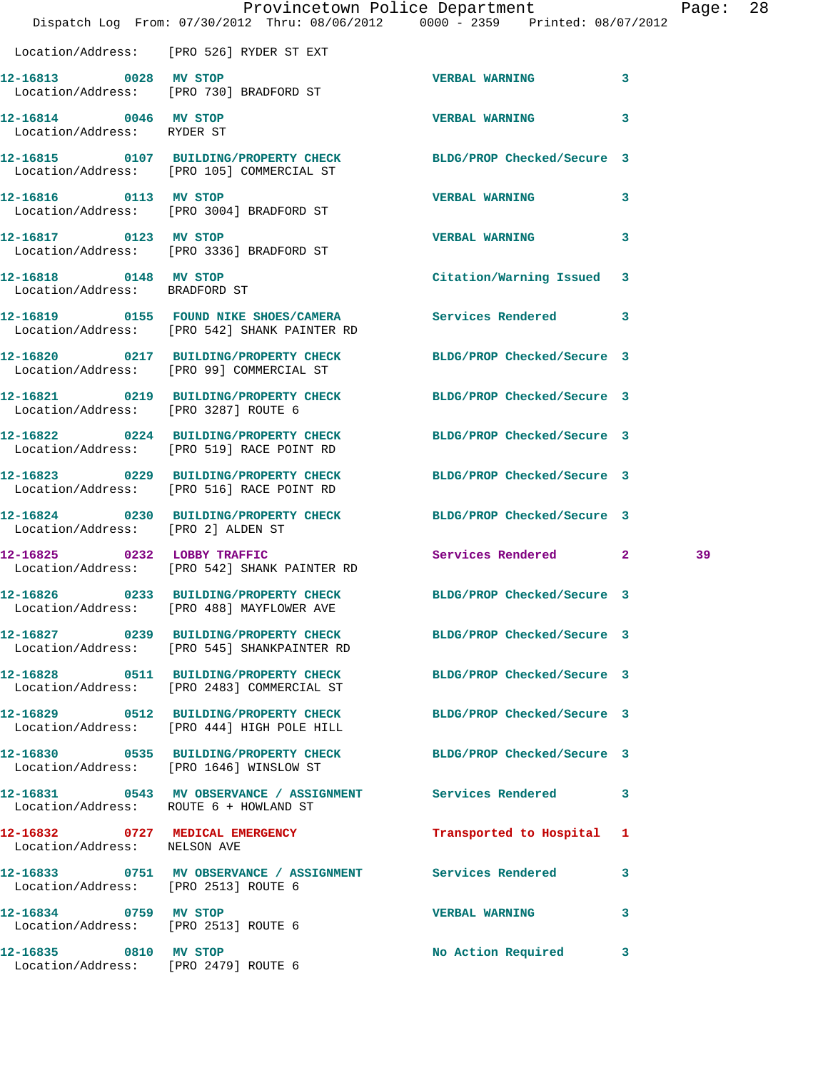|                                                               | Dispatch Log From: 07/30/2012 Thru: 08/06/2012 0000 - 2359 Printed: 08/07/2012                                  | Provincetown Police Department |              | Page: | 28 |
|---------------------------------------------------------------|-----------------------------------------------------------------------------------------------------------------|--------------------------------|--------------|-------|----|
|                                                               | Location/Address: [PRO 526] RYDER ST EXT                                                                        |                                |              |       |    |
| 12-16813 0028 MV STOP                                         | Location/Address: [PRO 730] BRADFORD ST                                                                         | <b>VERBAL WARNING</b>          | $\mathbf{3}$ |       |    |
| 12-16814 0046 MV STOP<br>Location/Address: RYDER ST           |                                                                                                                 | <b>VERBAL WARNING</b>          | $\mathbf{3}$ |       |    |
|                                                               | 12-16815 0107 BUILDING/PROPERTY CHECK<br>Location/Address: [PRO 105] COMMERCIAL ST                              | BLDG/PROP Checked/Secure 3     |              |       |    |
| 12-16816 0113 MV STOP                                         | Location/Address: [PRO 3004] BRADFORD ST                                                                        | <b>VERBAL WARNING</b>          | 3            |       |    |
| 12-16817 0123 MV STOP                                         | Location/Address: [PRO 3336] BRADFORD ST                                                                        | VERBAL WARNING 3               |              |       |    |
| 12-16818 0148 MV STOP<br>Location/Address: BRADFORD ST        |                                                                                                                 | Citation/Warning Issued 3      |              |       |    |
|                                                               | 12-16819 0155 FOUND NIKE SHOES/CAMERA Services Rendered 3<br>Location/Address: [PRO 542] SHANK PAINTER RD       |                                |              |       |    |
|                                                               | 12-16820 0217 BUILDING/PROPERTY CHECK<br>Location/Address: [PRO 99] COMMERCIAL ST                               | BLDG/PROP Checked/Secure 3     |              |       |    |
| Location/Address: [PRO 3287] ROUTE 6                          | 12-16821 0219 BUILDING/PROPERTY CHECK BLDG/PROP Checked/Secure 3                                                |                                |              |       |    |
|                                                               | 12-16822 0224 BUILDING/PROPERTY CHECK<br>Location/Address: [PRO 519] RACE POINT RD                              | BLDG/PROP Checked/Secure 3     |              |       |    |
|                                                               | 12-16823 0229 BUILDING/PROPERTY CHECK<br>Location/Address: [PRO 516] RACE POINT RD                              | BLDG/PROP Checked/Secure 3     |              |       |    |
| Location/Address: [PRO 2] ALDEN ST                            | 12-16824 0230 BUILDING/PROPERTY CHECK BLDG/PROP Checked/Secure 3                                                |                                |              |       |    |
|                                                               | 12-16825 0232 LOBBY TRAFFIC<br>Location/Address: [PRO 542] SHANK PAINTER RD                                     | Services Rendered 2            |              | 39    |    |
|                                                               | 12-16826 0233 BUILDING/PROPERTY CHECK BLDG/PROP Checked/Secure 3<br>Location/Address: [PRO 488] MAYFLOWER AVE   |                                |              |       |    |
|                                                               | 12-16827 0239 BUILDING/PROPERTY CHECK BLDG/PROP Checked/Secure 3<br>Location/Address: [PRO 545] SHANKPAINTER RD |                                |              |       |    |
|                                                               | 12-16828 0511 BUILDING/PROPERTY CHECK<br>Location/Address: [PRO 2483] COMMERCIAL ST                             | BLDG/PROP Checked/Secure 3     |              |       |    |
|                                                               | 12-16829 0512 BUILDING/PROPERTY CHECK BLDG/PROP Checked/Secure 3<br>Location/Address: [PRO 444] HIGH POLE HILL  |                                |              |       |    |
|                                                               | 12-16830 0535 BUILDING/PROPERTY CHECK BLDG/PROP Checked/Secure 3<br>Location/Address: [PRO 1646] WINSLOW ST     |                                |              |       |    |
|                                                               | 12-16831 0543 MV OBSERVANCE / ASSIGNMENT Services Rendered 3<br>Location/Address: ROUTE 6 + HOWLAND ST          |                                |              |       |    |
| Location/Address: NELSON AVE                                  | 12-16832 0727 MEDICAL EMERGENCY                                                                                 | Transported to Hospital 1      |              |       |    |
| Location/Address: [PRO 2513] ROUTE 6                          | 12-16833 0751 MV OBSERVANCE / ASSIGNMENT Services Rendered                                                      |                                | 3            |       |    |
| 12-16834 0759 MV STOP<br>Location/Address: [PRO 2513] ROUTE 6 |                                                                                                                 | VERBAL WARNING 3               |              |       |    |
| 12-16835 0810 MV STOP                                         | Location/Address: [PRO 2479] ROUTE 6                                                                            | No Action Required 3           |              |       |    |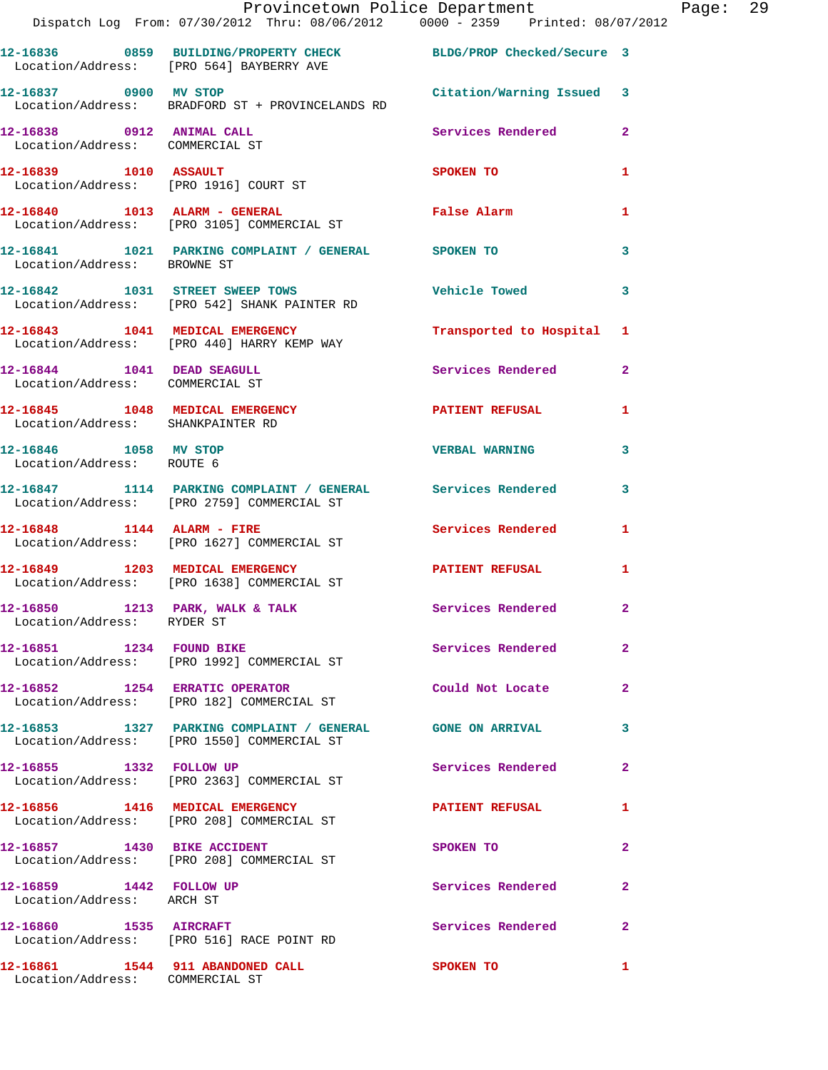|                                                      | Provincetown Police Department<br>Dispatch Log From: 07/30/2012 Thru: 08/06/2012 0000 - 2359 Printed: 08/07/2012 |                           |                | Page: 29 |  |
|------------------------------------------------------|------------------------------------------------------------------------------------------------------------------|---------------------------|----------------|----------|--|
|                                                      | 12-16836 0859 BUILDING/PROPERTY CHECK BLDG/PROP Checked/Secure 3<br>Location/Address: [PRO 564] BAYBERRY AVE     |                           |                |          |  |
|                                                      | 12-16837 0900 MV STOP 12-16837 Citation/Warning Issued 3<br>Location/Address: BRADFORD ST + PROVINCELANDS RD     |                           |                |          |  |
|                                                      | 12-16838 0912 ANIMAL CALL Services Rendered 2<br>Location/Address: COMMERCIAL ST                                 |                           |                |          |  |
|                                                      | 12-16839 1010 ASSAULT<br>Location/Address: [PRO 1916] COURT ST                                                   | SPOKEN TO                 | 1              |          |  |
|                                                      | 12-16840    1013    ALARM - GENERAL<br>Location/Address: [PRO 3105] COMMERCIAL ST                                | False Alarm               | 1              |          |  |
| Location/Address: BROWNE ST                          | 12-16841 1021 PARKING COMPLAINT / GENERAL SPOKEN TO                                                              |                           | $\mathbf{3}$   |          |  |
|                                                      | 12-16842 1031 STREET SWEEP TOWS<br>Location/Address: [PRO 542] SHANK PAINTER RD                                  | Vehicle Towed 3           |                |          |  |
|                                                      | 12-16843 1041 MEDICAL EMERGENCY<br>Location/Address: [PRO 440] HARRY KEMP WAY                                    | Transported to Hospital 1 |                |          |  |
| Location/Address: COMMERCIAL ST                      | 12-16844 1041 DEAD SEAGULL                                                                                       | Services Rendered 2       |                |          |  |
| Location/Address: SHANKPAINTER RD                    | 12-16845 1048 MEDICAL EMERGENCY PATIENT REFUSAL                                                                  |                           | 1              |          |  |
| 12-16846 1058 MV STOP<br>Location/Address: ROUTE 6   |                                                                                                                  | <b>VERBAL WARNING</b>     | $\mathbf{3}$   |          |  |
|                                                      | 12-16847 1114 PARKING COMPLAINT / GENERAL Services Rendered 3<br>Location/Address: [PRO 2759] COMMERCIAL ST      |                           |                |          |  |
|                                                      | $12-16848$ 1144 ALARM - FIRE<br>Location/Address: [PRO 1627] COMMERCIAL ST                                       | Services Rendered 1       |                |          |  |
|                                                      | 12-16849 1203 MEDICAL EMERGENCY<br>Location/Address: [PRO 1638] COMMERCIAL ST                                    | PATIENT REFUSAL 1         |                |          |  |
| Location/Address: RYDER ST                           | 12-16850 1213 PARK, WALK & TALK                                                                                  | <b>Services Rendered</b>  |                |          |  |
|                                                      | 12-16851 1234 FOUND BIKE<br>Location/Address: [PRO 1992] COMMERCIAL ST                                           | Services Rendered         | $\overline{2}$ |          |  |
|                                                      | 12-16852 1254 ERRATIC OPERATOR<br>Location/Address: [PRO 182] COMMERCIAL ST                                      | Could Not Locate          | $\mathbf{2}$   |          |  |
|                                                      | 12-16853 1327 PARKING COMPLAINT / GENERAL GONE ON ARRIVAL<br>Location/Address: [PRO 1550] COMMERCIAL ST          |                           | 3              |          |  |
| 12-16855 1332 FOLLOW UP                              | Location/Address: [PRO 2363] COMMERCIAL ST                                                                       | Services Rendered         | $\mathbf{2}$   |          |  |
|                                                      | 12-16856 1416 MEDICAL EMERGENCY<br>Location/Address: [PRO 208] COMMERCIAL ST                                     | PATIENT REFUSAL           | 1              |          |  |
| 12-16857 1430 BIKE ACCIDENT                          | Location/Address: [PRO 208] COMMERCIAL ST                                                                        | SPOKEN TO                 | $\mathbf{2}$   |          |  |
| 12-16859 1442 FOLLOW UP<br>Location/Address: ARCH ST |                                                                                                                  | Services Rendered         | $\mathbf{2}$   |          |  |
|                                                      | 12-16860 1535 AIRCRAFT<br>Location/Address: [PRO 516] RACE POINT RD                                              | Services Rendered         | $\mathbf{2}$   |          |  |
| Location/Address: COMMERCIAL ST                      | 12-16861 1544 911 ABANDONED CALL SPOKEN TO                                                                       |                           | 1              |          |  |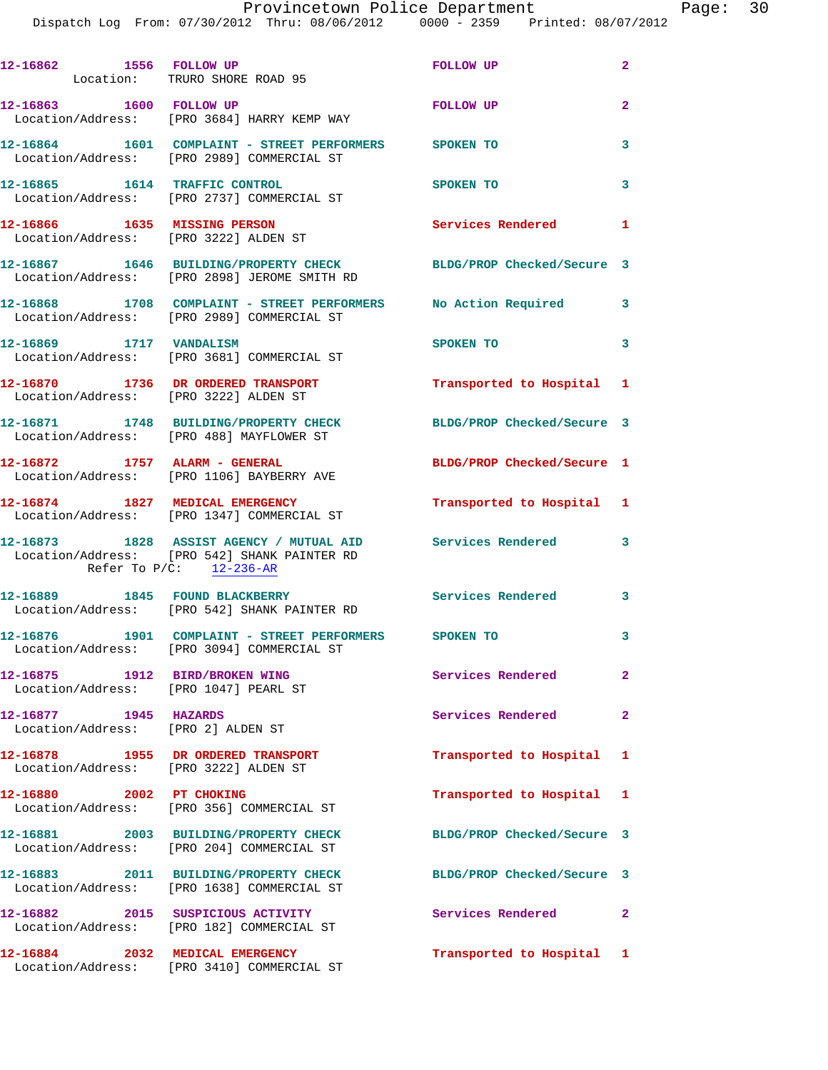| 12-16862 1556 FOLLOW UP                                     | Location: TRURO SHORE ROAD 95                                                                                                              | <b>FOLLOW UP</b>           | $\mathbf{2}$               |
|-------------------------------------------------------------|--------------------------------------------------------------------------------------------------------------------------------------------|----------------------------|----------------------------|
| 12-16863 1600 FOLLOW UP                                     | Location/Address: [PRO 3684] HARRY KEMP WAY                                                                                                | <b>FOLLOW UP</b>           | $\overline{a}$             |
|                                                             | 12-16864 1601 COMPLAINT - STREET PERFORMERS SPOKEN TO<br>Location/Address: [PRO 2989] COMMERCIAL ST                                        |                            | 3                          |
|                                                             | 12-16865 1614 TRAFFIC CONTROL<br>Location/Address: [PRO 2737] COMMERCIAL ST                                                                | SPOKEN TO                  | 3                          |
| 12-16866 1635 MISSING PERSON                                | Location/Address: [PRO 3222] ALDEN ST                                                                                                      | Services Rendered          | $\mathbf{1}$               |
|                                                             | 12-16867 1646 BUILDING/PROPERTY CHECK<br>Location/Address: [PRO 2898] JEROME SMITH RD                                                      | BLDG/PROP Checked/Secure 3 |                            |
|                                                             | 12-16868 1708 COMPLAINT - STREET PERFORMERS No Action Required 3<br>Location/Address: [PRO 2989] COMMERCIAL ST                             |                            |                            |
| 12-16869 1717 VANDALISM                                     | Location/Address: [PRO 3681] COMMERCIAL ST                                                                                                 | SPOKEN TO                  | $\overline{\mathbf{3}}$    |
| Location/Address: [PRO 3222] ALDEN ST                       | 12-16870 1736 DR ORDERED TRANSPORT                                                                                                         | Transported to Hospital 1  |                            |
|                                                             | 12-16871 1748 BUILDING/PROPERTY CHECK<br>Location/Address: [PRO 488] MAYFLOWER ST                                                          | BLDG/PROP Checked/Secure 3 |                            |
|                                                             | 12-16872 1757 ALARM - GENERAL<br>Location/Address: [PRO 1106] BAYBERRY AVE                                                                 | BLDG/PROP Checked/Secure 1 |                            |
| 12-16874 1827 MEDICAL EMERGENCY                             | Location/Address: [PRO 1347] COMMERCIAL ST                                                                                                 | Transported to Hospital 1  |                            |
|                                                             | 12-16873 1828 ASSIST AGENCY / MUTUAL AID Services Rendered 3<br>Location/Address: [PRO 542] SHANK PAINTER RD<br>Refer To $P/C$ : 12-236-AR |                            |                            |
|                                                             | 12-16889 1845 FOUND BLACKBERRY<br>Location/Address: [PRO 542] SHANK PAINTER RD                                                             | <b>Services Rendered</b>   | $\overline{\phantom{a}}$ 3 |
|                                                             | 12-16876 1901 COMPLAINT - STREET PERFORMERS SPOKEN TO<br>Location/Address: [PRO 3094] COMMERCIAL ST                                        |                            | 3                          |
| 12-16875 1912 BIRD/BROKEN WING                              | Location/Address: [PRO 1047] PEARL ST                                                                                                      | Services Rendered          | $\overline{2}$             |
| 12-16877 1945 HAZARDS<br>Location/Address: [PRO 2] ALDEN ST |                                                                                                                                            | Services Rendered          | $\mathbf{2}$               |
| Location/Address: [PRO 3222] ALDEN ST                       | 12-16878 1955 DR ORDERED TRANSPORT                                                                                                         | Transported to Hospital 1  |                            |
| 12-16880 2002 PT CHOKING                                    | Location/Address: [PRO 356] COMMERCIAL ST                                                                                                  | Transported to Hospital 1  |                            |
|                                                             | 12-16881 2003 BUILDING/PROPERTY CHECK<br>Location/Address: [PRO 204] COMMERCIAL ST                                                         | BLDG/PROP Checked/Secure 3 |                            |
|                                                             | 12-16883 2011 BUILDING/PROPERTY CHECK<br>Location/Address: [PRO 1638] COMMERCIAL ST                                                        | BLDG/PROP Checked/Secure 3 |                            |
|                                                             | 12-16882 2015 SUSPICIOUS ACTIVITY<br>Location/Address: [PRO 182] COMMERCIAL ST                                                             | Services Rendered          | $\mathbf{2}$               |
|                                                             | 12-16884 2032 MEDICAL EMERGENCY<br>Location/Address: [PRO 3410] COMMERCIAL ST                                                              | Transported to Hospital 1  |                            |